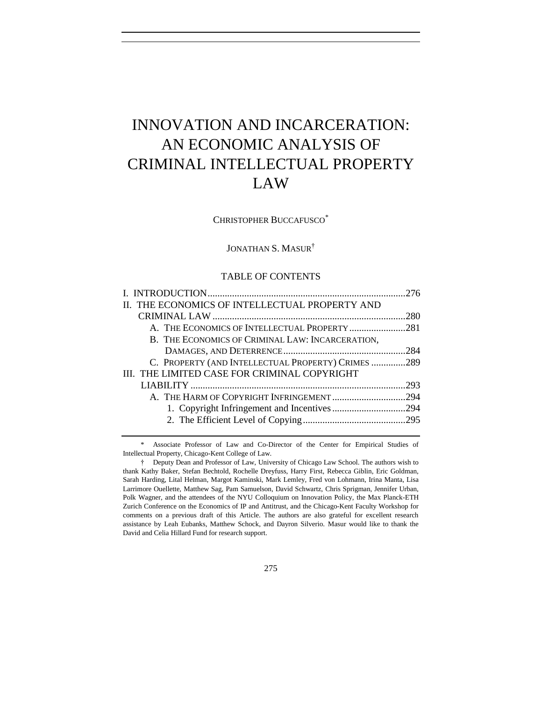# INNOVATION AND INCARCERATION: AN ECONOMIC ANALYSIS OF CRIMINAL INTELLECTUAL PROPERTY LAW

CHRISTOPHER BUCCAFUSCO\*

# JONATHAN S. MASUR†

## TABLE OF CONTENTS

| II. THE ECONOMICS OF INTELLECTUAL PROPERTY AND     |  |
|----------------------------------------------------|--|
|                                                    |  |
| A. THE ECONOMICS OF INTELLECTUAL PROPERTY 281      |  |
| B. THE ECONOMICS OF CRIMINAL LAW: INCARCERATION,   |  |
|                                                    |  |
| C. PROPERTY (AND INTELLECTUAL PROPERTY) CRIMES 289 |  |
| III. THE LIMITED CASE FOR CRIMINAL COPYRIGHT       |  |
|                                                    |  |
| A. THE HARM OF COPYRIGHT INFRINGEMENT294           |  |
| 1. Copyright Infringement and Incentives 294       |  |
|                                                    |  |
|                                                    |  |

\* Associate Professor of Law and Co-Director of the Center for Empirical Studies of Intellectual Property, Chicago-Kent College of Law.

<sup>†</sup> Deputy Dean and Professor of Law, University of Chicago Law School. The authors wish to thank Kathy Baker, Stefan Bechtold, Rochelle Dreyfuss, Harry First, Rebecca Giblin, Eric Goldman, Sarah Harding, Lital Helman, Margot Kaminski, Mark Lemley, Fred von Lohmann, Irina Manta, Lisa Larrimore Ouellette, Matthew Sag, Pam Samuelson, David Schwartz, Chris Sprigman, Jennifer Urban, Polk Wagner, and the attendees of the NYU Colloquium on Innovation Policy, the Max Planck-ETH Zurich Conference on the Economics of IP and Antitrust, and the Chicago-Kent Faculty Workshop for comments on a previous draft of this Article. The authors are also grateful for excellent research assistance by Leah Eubanks, Matthew Schock, and Dayron Silverio. Masur would like to thank the David and Celia Hillard Fund for research support.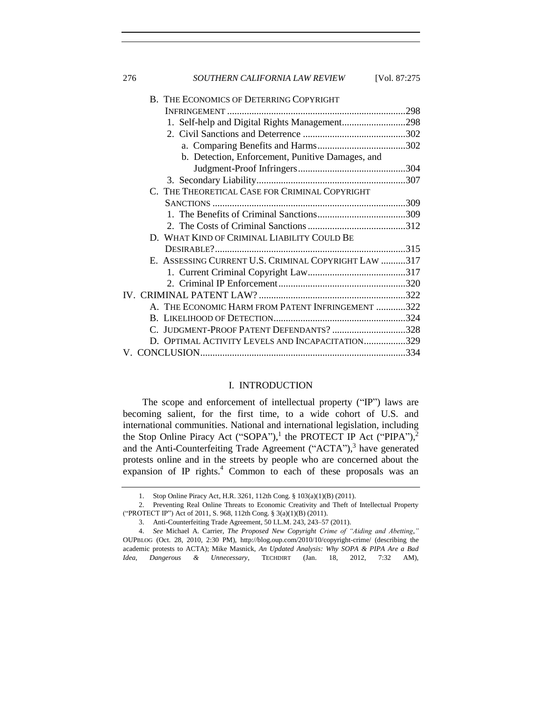| 276<br>SOUTHERN CALIFORNIA LAW REVIEW<br>[Vol. 87:275] |
|--------------------------------------------------------|
| B. THE ECONOMICS OF DETERRING COPYRIGHT                |
|                                                        |
| 1. Self-help and Digital Rights Management298          |
|                                                        |
|                                                        |
| b. Detection, Enforcement, Punitive Damages, and       |
|                                                        |
|                                                        |
| C. THE THEORETICAL CASE FOR CRIMINAL COPYRIGHT         |
|                                                        |
|                                                        |
|                                                        |
| D. WHAT KIND OF CRIMINAL LIABILITY COULD BE            |
|                                                        |
| E. ASSESSING CURRENT U.S. CRIMINAL COPYRIGHT LAW 317   |
|                                                        |
|                                                        |
|                                                        |
| A. THE ECONOMIC HARM FROM PATENT INFRINGEMENT 322      |
|                                                        |
| C. JUDGMENT-PROOF PATENT DEFENDANTS? 328               |
| D. OPTIMAL ACTIVITY LEVELS AND INCAPACITATION329       |
|                                                        |

## <span id="page-1-1"></span>I. INTRODUCTION

<span id="page-1-0"></span>The scope and enforcement of intellectual property ("IP") laws are becoming salient, for the first time, to a wide cohort of U.S. and international communities. National and international legislation, including the Stop Online Piracy Act ("SOPA"),<sup>1</sup> the PROTECT IP Act ("PIPA"),<sup>2</sup> and the Anti-Counterfeiting Trade Agreement ("ACTA"),<sup>3</sup> have generated protests online and in the streets by people who are concerned about the expansion of IP rights. $4 \text{ Common}$  to each of these proposals was an

<sup>1.</sup> Stop Online Piracy Act, H.R. 3261, 112th Cong. § 103(a)(1)(B) (2011).

<sup>2.</sup> Preventing Real Online Threats to Economic Creativity and Theft of Intellectual Property ("PROTECT IP") Act of 2011, S. 968, 112th Cong. § 3(a)(1)(B) (2011).

<sup>3.</sup> Anti-Counterfeiting Trade Agreement, 50 I.L.M. 243, 243–57 (2011).

<sup>4.</sup> *See* Michael A. Carrier, *The Proposed New Copyright Crime of "Aiding and Abetting*,*"* OUPBLOG (Oct. 28, 2010, 2:30 PM), http://blog.oup.com/2010/10/copyright-crime/ (describing the academic protests to ACTA); Mike Masnick, *An Updated Analysis: Why SOPA & PIPA Are a Bad Idea, Dangerous & Unnecessary*, TECHDIRT (Jan. 18, 2012, 7:32 AM),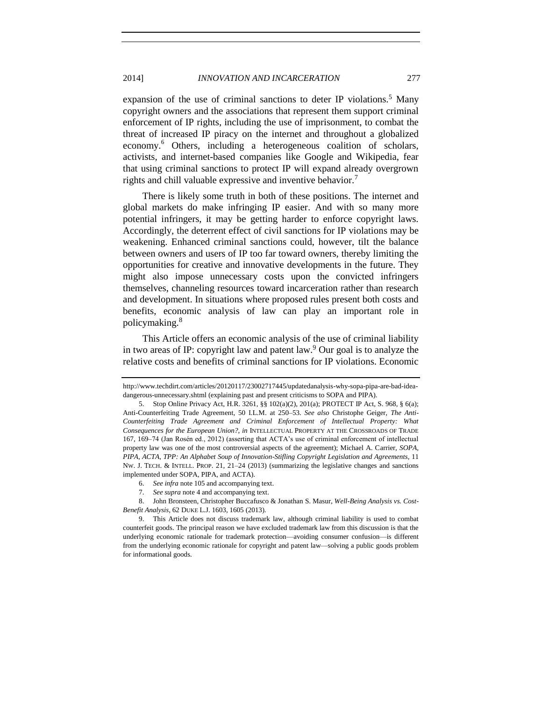# 2014] *INNOVATION AND INCARCERATION* 277

expansion of the use of criminal sanctions to deter IP violations.<sup>5</sup> Many copyright owners and the associations that represent them support criminal enforcement of IP rights, including the use of imprisonment, to combat the threat of increased IP piracy on the internet and throughout a globalized economy.<sup>6</sup> Others, including a heterogeneous coalition of scholars, activists, and internet-based companies like Google and Wikipedia, fear that using criminal sanctions to protect IP will expand already overgrown rights and chill valuable expressive and inventive behavior.<sup>7</sup>

There is likely some truth in both of these positions. The internet and global markets do make infringing IP easier. And with so many more potential infringers, it may be getting harder to enforce copyright laws. Accordingly, the deterrent effect of civil sanctions for IP violations may be weakening. Enhanced criminal sanctions could, however, tilt the balance between owners and users of IP too far toward owners, thereby limiting the opportunities for creative and innovative developments in the future. They might also impose unnecessary costs upon the convicted infringers themselves, channeling resources toward incarceration rather than research and development. In situations where proposed rules present both costs and benefits, economic analysis of law can play an important role in policymaking.<sup>8</sup>

<span id="page-2-0"></span>This Article offers an economic analysis of the use of criminal liability in two areas of IP: copyright law and patent law.<sup>9</sup> Our goal is to analyze the relative costs and benefits of criminal sanctions for IP violations. Economic

http://www.techdirt.com/articles/20120117/23002717445/updatedanalysis-why-sopa-pipa-are-bad-ideadangerous-unnecessary.shtml (explaining past and present criticisms to SOPA and PIPA).

<sup>5.</sup> Stop Online Privacy Act, H.R. 3261, §§ 102(a)(2), 201(a); PROTECT IP Act, S. 968, § 6(a); Anti-Counterfeiting Trade Agreement, 50 I.L.M. at 250–53. *See also* Christophe Geiger, *The Anti-Counterfeiting Trade Agreement and Criminal Enforcement of Intellectual Property: What Consequences for the European Union?*, *in* INTELLECTUAL PROPERTY AT THE CROSSROADS OF TRADE 167, 169–74 (Jan Rosén ed., 2012) (asserting that ACTA's use of criminal enforcement of intellectual property law was one of the most controversial aspects of the agreement); Michael A. Carrier, *SOPA, PIPA, ACTA, TPP: An Alphabet Soup of Innovation-Stifling Copyright Legislation and Agreements*, 11 NW. J. TECH. & INTELL. PROP. 21, 21–24 (2013) (summarizing the legislative changes and sanctions implemented under SOPA, PIPA, and ACTA).

<sup>6.</sup> *See infra* not[e 105](#page-18-1) and accompanying text.

<sup>7.</sup> *See supra* not[e 4](#page-1-1) and accompanying text.

<sup>8.</sup> John Bronsteen, Christopher Buccafusco & Jonathan S. Masur, *Well-Being Analysis vs. Cost-Benefit Analysis*, 62 DUKE L.J. 1603, 1605 (2013).

<sup>9.</sup> This Article does not discuss trademark law, although criminal liability is used to combat counterfeit goods. The principal reason we have excluded trademark law from this discussion is that the underlying economic rationale for trademark protection—avoiding consumer confusion—is different from the underlying economic rationale for copyright and patent law—solving a public goods problem for informational goods.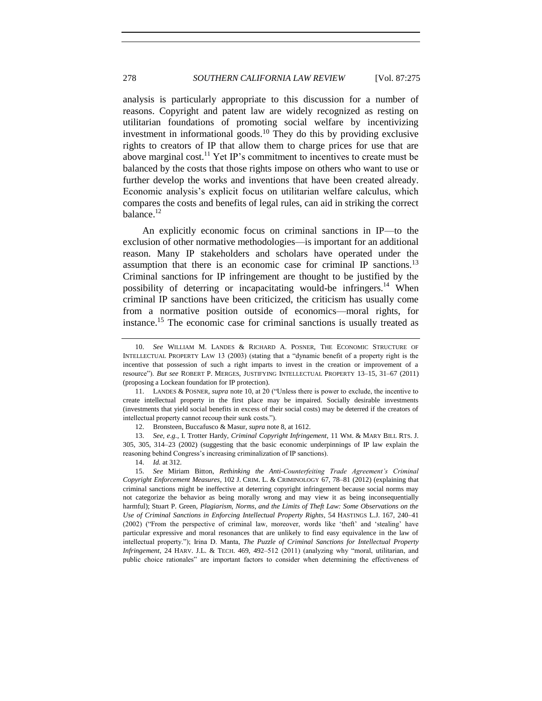<span id="page-3-0"></span>analysis is particularly appropriate to this discussion for a number of reasons. Copyright and patent law are widely recognized as resting on utilitarian foundations of promoting social welfare by incentivizing investment in informational goods.<sup>10</sup> They do this by providing exclusive rights to creators of IP that allow them to charge prices for use that are above marginal cost.<sup>11</sup> Yet IP's commitment to incentives to create must be balanced by the costs that those rights impose on others who want to use or further develop the works and inventions that have been created already. Economic analysis's explicit focus on utilitarian welfare calculus, which compares the costs and benefits of legal rules, can aid in striking the correct balance. $12$ 

<span id="page-3-1"></span>An explicitly economic focus on criminal sanctions in IP—to the exclusion of other normative methodologies—is important for an additional reason. Many IP stakeholders and scholars have operated under the assumption that there is an economic case for criminal IP sanctions.<sup>13</sup> Criminal sanctions for IP infringement are thought to be justified by the possibility of deterring or incapacitating would-be infringers.<sup>14</sup> When criminal IP sanctions have been criticized, the criticism has usually come from a normative position outside of economics—moral rights, for instance.<sup>15</sup> The economic case for criminal sanctions is usually treated as

14. *Id.* at 312.

<span id="page-3-2"></span><sup>10.</sup> *See* WILLIAM M. LANDES & RICHARD A. POSNER, THE ECONOMIC STRUCTURE OF INTELLECTUAL PROPERTY LAW 13 (2003) (stating that a "dynamic benefit of a property right is the incentive that possession of such a right imparts to invest in the creation or improvement of a resource"). *But see* ROBERT P. MERGES, JUSTIFYING INTELLECTUAL PROPERTY 13–15, 31–67 (2011) (proposing a Lockean foundation for IP protection).

<sup>11.</sup> LANDES & POSNER, *supra* not[e 10,](#page-3-0) at 20 ("Unless there is power to exclude, the incentive to create intellectual property in the first place may be impaired. Socially desirable investments (investments that yield social benefits in excess of their social costs) may be deterred if the creators of intellectual property cannot recoup their sunk costs.").

<sup>12.</sup> Bronsteen, Buccafusco & Masur, *supra* not[e 8,](#page-2-0) at 1612.

<sup>13.</sup> *See, e.g.*, I. Trotter Hardy, *Criminal Copyright Infringement*, 11 WM. & MARY BILL RTS. J. 305, 305, 314–23 (2002) (suggesting that the basic economic underpinnings of IP law explain the reasoning behind Congress's increasing criminalization of IP sanctions).

<sup>15.</sup> *See* Miriam Bitton, *Rethinking the Anti-Counterfeiting Trade Agreement's Criminal Copyright Enforcement Measures*, 102 J. CRIM. L. & CRIMINOLOGY 67, 78–81 (2012) (explaining that criminal sanctions might be ineffective at deterring copyright infringement because social norms may not categorize the behavior as being morally wrong and may view it as being inconsequentially harmful); Stuart P. Green, *Plagiarism, Norms, and the Limits of Theft Law: Some Observations on the Use of Criminal Sanctions in Enforcing Intellectual Property Rights*, 54 HASTINGS L.J. 167, 240–41 (2002) ("From the perspective of criminal law, moreover, words like 'theft' and 'stealing' have particular expressive and moral resonances that are unlikely to find easy equivalence in the law of intellectual property."); Irina D. Manta, *The Puzzle of Criminal Sanctions for Intellectual Property Infringement*, 24 HARV. J.L. & TECH. 469, 492–512 (2011) (analyzing why "moral, utilitarian, and public choice rationales" are important factors to consider when determining the effectiveness of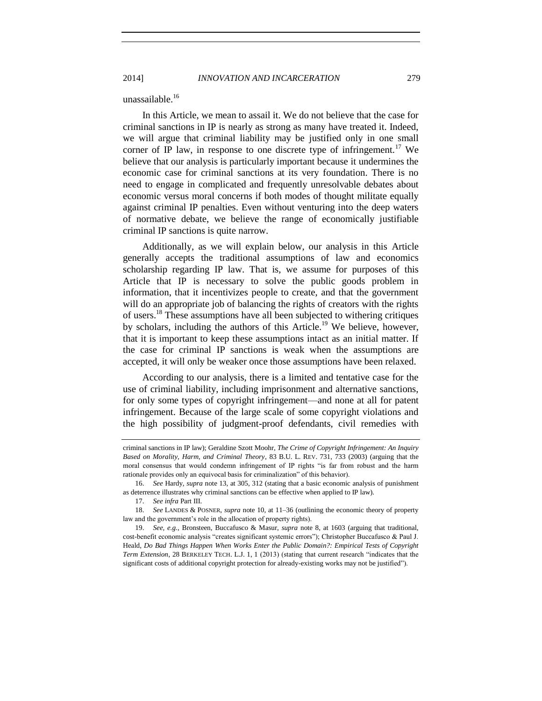2014] *INNOVATION AND INCARCERATION* 279

unassailable.<sup>16</sup>

In this Article, we mean to assail it. We do not believe that the case for criminal sanctions in IP is nearly as strong as many have treated it. Indeed, we will argue that criminal liability may be justified only in one small corner of IP law, in response to one discrete type of infringement.<sup>17</sup> We believe that our analysis is particularly important because it undermines the economic case for criminal sanctions at its very foundation. There is no need to engage in complicated and frequently unresolvable debates about economic versus moral concerns if both modes of thought militate equally against criminal IP penalties. Even without venturing into the deep waters of normative debate, we believe the range of economically justifiable criminal IP sanctions is quite narrow.

Additionally, as we will explain below, our analysis in this Article generally accepts the traditional assumptions of law and economics scholarship regarding IP law. That is, we assume for purposes of this Article that IP is necessary to solve the public goods problem in information, that it incentivizes people to create, and that the government will do an appropriate job of balancing the rights of creators with the rights of users.<sup>18</sup> These assumptions have all been subjected to withering critiques by scholars, including the authors of this Article.<sup>19</sup> We believe, however, that it is important to keep these assumptions intact as an initial matter. If the case for criminal IP sanctions is weak when the assumptions are accepted, it will only be weaker once those assumptions have been relaxed.

According to our analysis, there is a limited and tentative case for the use of criminal liability, including imprisonment and alternative sanctions, for only some types of copyright infringement—and none at all for patent infringement. Because of the large scale of some copyright violations and the high possibility of judgment-proof defendants, civil remedies with

criminal sanctions in IP law); Geraldine Szott Moohr, *The Crime of Copyright Infringement: An Inquiry Based on Morality, Harm, and Criminal Theory*, 83 B.U. L. REV. 731, 733 (2003) (arguing that the moral consensus that would condemn infringement of IP rights "is far from robust and the harm rationale provides only an equivocal basis for criminalization" of this behavior).

<sup>16.</sup> *See* Hardy, *supra* note [13,](#page-3-1) at 305, 312 (stating that a basic economic analysis of punishment as deterrence illustrates why criminal sanctions can be effective when applied to IP law).

<sup>17.</sup> *See infra* Part III.

<sup>18.</sup> *See* LANDES & POSNER, *supra* not[e 10,](#page-3-0) at 11–36 (outlining the economic theory of property law and the government's role in the allocation of property rights).

<sup>19.</sup> *See, e.g.*, Bronsteen, Buccafusco & Masur, *supra* note [8,](#page-2-0) at 1603 (arguing that traditional, cost-benefit economic analysis "creates significant systemic errors"); Christopher Buccafusco & Paul J. Heald, *Do Bad Things Happen When Works Enter the Public Domain?: Empirical Tests of Copyright Term Extension*, 28 BERKELEY TECH. L.J. 1, 1 (2013) (stating that current research "indicates that the significant costs of additional copyright protection for already-existing works may not be justified").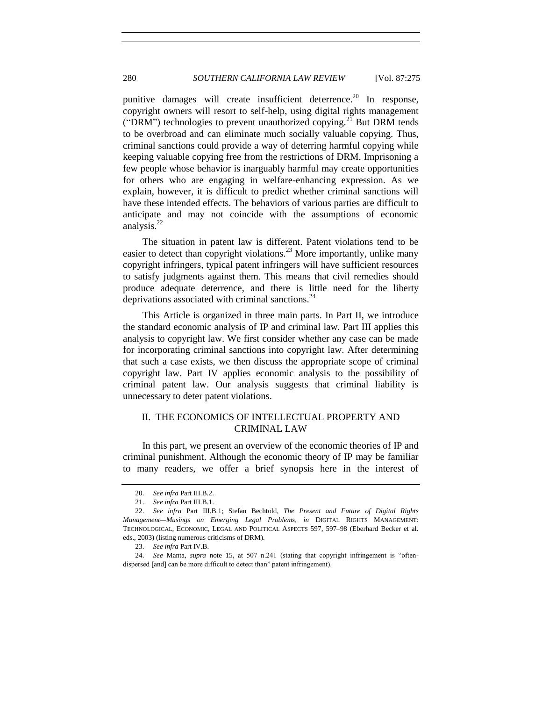punitive damages will create insufficient deterrence.<sup>20</sup> In response, copyright owners will resort to self-help, using digital rights management ("DRM") technologies to prevent unauthorized copying.<sup>21</sup> But DRM tends to be overbroad and can eliminate much socially valuable copying. Thus, criminal sanctions could provide a way of deterring harmful copying while keeping valuable copying free from the restrictions of DRM. Imprisoning a few people whose behavior is inarguably harmful may create opportunities for others who are engaging in welfare-enhancing expression. As we explain, however, it is difficult to predict whether criminal sanctions will have these intended effects. The behaviors of various parties are difficult to anticipate and may not coincide with the assumptions of economic analysis. $^{22}$ 

<span id="page-5-1"></span>The situation in patent law is different. Patent violations tend to be easier to detect than copyright violations.<sup>23</sup> More importantly, unlike many copyright infringers, typical patent infringers will have sufficient resources to satisfy judgments against them. This means that civil remedies should produce adequate deterrence, and there is little need for the liberty deprivations associated with criminal sanctions.<sup>24</sup>

This Article is organized in three main parts. In Part II, we introduce the standard economic analysis of IP and criminal law. Part III applies this analysis to copyright law. We first consider whether any case can be made for incorporating criminal sanctions into copyright law. After determining that such a case exists, we then discuss the appropriate scope of criminal copyright law. Part IV applies economic analysis to the possibility of criminal patent law. Our analysis suggests that criminal liability is unnecessary to deter patent violations.

# <span id="page-5-0"></span>II. THE ECONOMICS OF INTELLECTUAL PROPERTY AND CRIMINAL LAW

In this part, we present an overview of the economic theories of IP and criminal punishment. Although the economic theory of IP may be familiar to many readers, we offer a brief synopsis here in the interest of

<sup>20.</sup> *See infra* Part III.B.2.

<sup>21.</sup> *See infra* Part III.B.1.

<sup>22.</sup> *See infra* Part III.B.1; Stefan Bechtold, *The Present and Future of Digital Rights Management—Musings on Emerging Legal Problems*, *in* DIGITAL RIGHTS MANAGEMENT: TECHNOLOGICAL, ECONOMIC, LEGAL AND POLITICAL ASPECTS 597, 597–98 (Eberhard Becker et al. eds., 2003) (listing numerous criticisms of DRM).

<sup>23.</sup> *See infra* Part IV.B.

<sup>24.</sup> *See* Manta, *supra* note [15,](#page-3-2) at 507 n.241 (stating that copyright infringement is "oftendispersed [and] can be more difficult to detect than" patent infringement).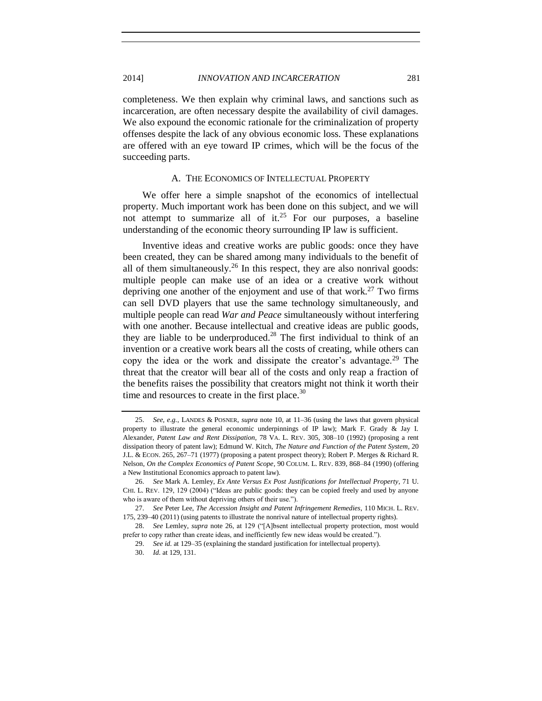completeness. We then explain why criminal laws, and sanctions such as incarceration, are often necessary despite the availability of civil damages. We also expound the economic rationale for the criminalization of property offenses despite the lack of any obvious economic loss. These explanations are offered with an eye toward IP crimes, which will be the focus of the succeeding parts.

#### <span id="page-6-3"></span><span id="page-6-2"></span><span id="page-6-1"></span>A. THE ECONOMICS OF INTELLECTUAL PROPERTY

<span id="page-6-0"></span>We offer here a simple snapshot of the economics of intellectual property. Much important work has been done on this subject, and we will not attempt to summarize all of it.<sup>25</sup> For our purposes, a baseline understanding of the economic theory surrounding IP law is sufficient.

Inventive ideas and creative works are public goods: once they have been created, they can be shared among many individuals to the benefit of all of them simultaneously.<sup>26</sup> In this respect, they are also nonrival goods: multiple people can make use of an idea or a creative work without depriving one another of the enjoyment and use of that work.<sup>27</sup> Two firms can sell DVD players that use the same technology simultaneously, and multiple people can read *War and Peace* simultaneously without interfering with one another. Because intellectual and creative ideas are public goods, they are liable to be underproduced.<sup>28</sup> The first individual to think of an invention or a creative work bears all the costs of creating, while others can copy the idea or the work and dissipate the creator's advantage.<sup>29</sup> The threat that the creator will bear all of the costs and only reap a fraction of the benefits raises the possibility that creators might not think it worth their time and resources to create in the first place. $30$ 

<sup>25.</sup> *See, e.g.*, LANDES & POSNER, *supra* note [10,](#page-3-0) at 11–36 (using the laws that govern physical property to illustrate the general economic underpinnings of IP law); Mark F. Grady & Jay I. Alexander, *Patent Law and Rent Dissipation*, 78 VA. L. REV. 305, 308–10 (1992) (proposing a rent dissipation theory of patent law); Edmund W. Kitch, *The Nature and Function of the Patent System*, 20 J.L. & ECON. 265, 267–71 (1977) (proposing a patent prospect theory); Robert P. Merges & Richard R. Nelson, *On the Complex Economics of Patent Scope*, 90 COLUM. L. REV. 839, 868–84 (1990) (offering a New Institutional Economics approach to patent law).

<sup>26.</sup> *See* Mark A. Lemley, *Ex Ante Versus Ex Post Justifications for Intellectual Property*, 71 U. CHI. L. REV. 129, 129 (2004) ("Ideas are public goods: they can be copied freely and used by anyone who is aware of them without depriving others of their use.").

<sup>27.</sup> *See* Peter Lee, *The Accession Insight and Patent Infringement Remedies*, 110 MICH. L. REV. 175, 239–40 (2011) (using patents to illustrate the nonrival nature of intellectual property rights).

<sup>28.</sup> *See* Lemley, *supra* note [26,](#page-6-1) at 129 ("[A]bsent intellectual property protection, most would prefer to copy rather than create ideas, and inefficiently few new ideas would be created.").

<sup>29.</sup> *See id.* at 129–35 (explaining the standard justification for intellectual property).

<sup>30.</sup> *Id.* at 129, 131.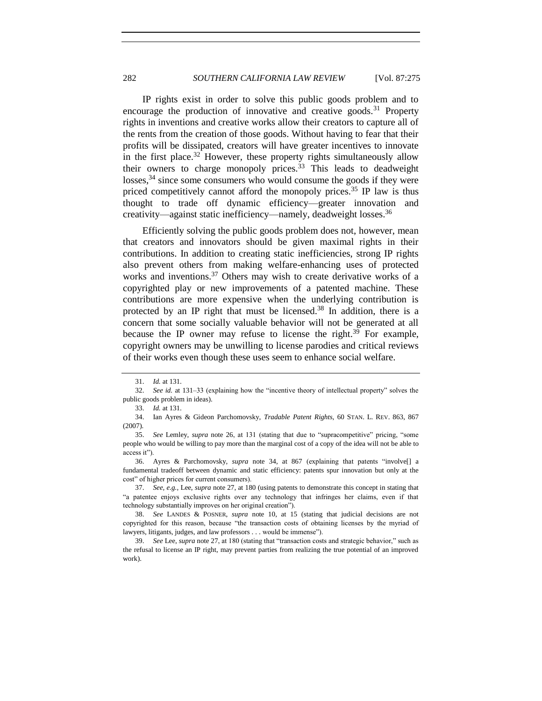IP rights exist in order to solve this public goods problem and to encourage the production of innovative and creative goods.<sup>31</sup> Property rights in inventions and creative works allow their creators to capture all of the rents from the creation of those goods. Without having to fear that their profits will be dissipated, creators will have greater incentives to innovate in the first place.<sup>32</sup> However, these property rights simultaneously allow their owners to charge monopoly prices.<sup>33</sup> This leads to deadweight losses,<sup>34</sup> since some consumers who would consume the goods if they were priced competitively cannot afford the monopoly prices.<sup>35</sup> IP law is thus thought to trade off dynamic efficiency—greater innovation and creativity—against static inefficiency—namely, deadweight losses.<sup>36</sup>

<span id="page-7-0"></span>Efficiently solving the public goods problem does not, however, mean that creators and innovators should be given maximal rights in their contributions. In addition to creating static inefficiencies, strong IP rights also prevent others from making welfare-enhancing uses of protected works and inventions.<sup>37</sup> Others may wish to create derivative works of a copyrighted play or new improvements of a patented machine. These contributions are more expensive when the underlying contribution is protected by an IP right that must be licensed.<sup>38</sup> In addition, there is a concern that some socially valuable behavior will not be generated at all because the IP owner may refuse to license the right.<sup>39</sup> For example, copyright owners may be unwilling to license parodies and critical reviews of their works even though these uses seem to enhance social welfare.

<sup>31.</sup> *Id.* at 131.

<sup>32.</sup> *See id.* at 131–33 (explaining how the "incentive theory of intellectual property" solves the public goods problem in ideas).

<sup>33.</sup> *Id.* at 131.

<sup>34.</sup> Ian Ayres & Gideon Parchomovsky, *Tradable Patent Rights*, 60 STAN. L. REV. 863, 867 (2007).

<sup>35.</sup> *See* Lemley, *supra* note [26,](#page-6-1) at 131 (stating that due to "supracompetitive" pricing, "some people who would be willing to pay more than the marginal cost of a copy of the idea will not be able to access it").

<sup>36.</sup> Ayres & Parchomovsky, *supra* note [34,](#page-7-0) at 867 (explaining that patents "involve[] a fundamental tradeoff between dynamic and static efficiency: patents spur innovation but only at the cost" of higher prices for current consumers).

<sup>37.</sup> *See, e.g.*, Lee, *supra* not[e 27,](#page-6-2) at 180 (using patents to demonstrate this concept in stating that "a patentee enjoys exclusive rights over any technology that infringes her claims, even if that technology substantially improves on her original creation").

<sup>38.</sup> *See* LANDES & POSNER, *supra* note [10,](#page-3-0) at 15 (stating that judicial decisions are not copyrighted for this reason, because "the transaction costs of obtaining licenses by the myriad of lawyers, litigants, judges, and law professors . . . would be immense").

<sup>39.</sup> *See* Lee, *supra* not[e 27,](#page-6-2) at 180 (stating that "transaction costs and strategic behavior," such as the refusal to license an IP right, may prevent parties from realizing the true potential of an improved work).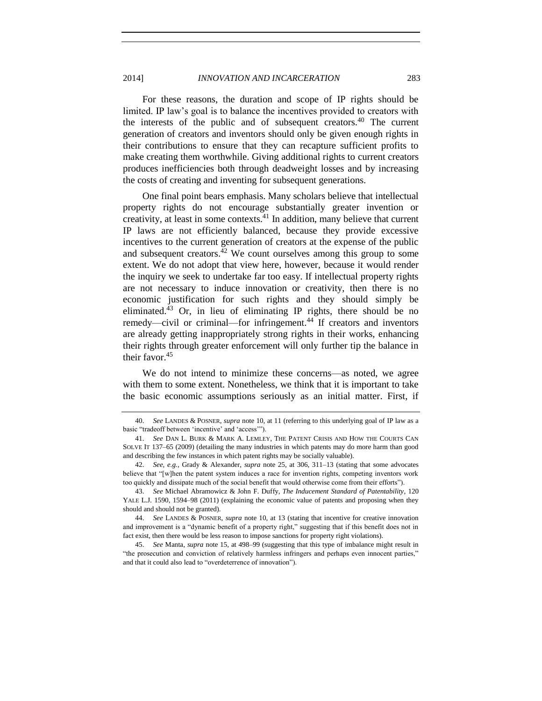For these reasons, the duration and scope of IP rights should be limited. IP law's goal is to balance the incentives provided to creators with the interests of the public and of subsequent creators.<sup>40</sup> The current generation of creators and inventors should only be given enough rights in their contributions to ensure that they can recapture sufficient profits to make creating them worthwhile. Giving additional rights to current creators produces inefficiencies both through deadweight losses and by increasing the costs of creating and inventing for subsequent generations.

<span id="page-8-0"></span>One final point bears emphasis. Many scholars believe that intellectual property rights do not encourage substantially greater invention or creativity, at least in some contexts.<sup>41</sup> In addition, many believe that current IP laws are not efficiently balanced, because they provide excessive incentives to the current generation of creators at the expense of the public and subsequent creators.<sup>42</sup> We count ourselves among this group to some extent. We do not adopt that view here, however, because it would render the inquiry we seek to undertake far too easy. If intellectual property rights are not necessary to induce innovation or creativity, then there is no economic justification for such rights and they should simply be eliminated.<sup>43</sup> Or, in lieu of eliminating IP rights, there should be no remedy—civil or criminal—for infringement.<sup>44</sup> If creators and inventors are already getting inappropriately strong rights in their works, enhancing their rights through greater enforcement will only further tip the balance in their favor.<sup>45</sup>

We do not intend to minimize these concerns—as noted, we agree with them to some extent. Nonetheless, we think that it is important to take the basic economic assumptions seriously as an initial matter. First, if

<sup>40.</sup> *See* LANDES & POSNER, *supra* not[e 10,](#page-3-0) at 11 (referring to this underlying goal of IP law as a basic "tradeoff between 'incentive' and 'access'").

<sup>41.</sup> *See* DAN L. BURK & MARK A. LEMLEY, THE PATENT CRISIS AND HOW THE COURTS CAN SOLVE IT 137–65 (2009) (detailing the many industries in which patents may do more harm than good and describing the few instances in which patent rights may be socially valuable).

<sup>42.</sup> *See, e.g.*, Grady & Alexander, *supra* note [25,](#page-6-3) at 306, 311–13 (stating that some advocates believe that "[w]hen the patent system induces a race for invention rights, competing inventors work too quickly and dissipate much of the social benefit that would otherwise come from their efforts").

<sup>43.</sup> *See* Michael Abramowicz & John F. Duffy, *The Inducement Standard of Patentability*, 120 YALE L.J. 1590, 1594–98 (2011) (explaining the economic value of patents and proposing when they should and should not be granted).

<sup>44.</sup> *See* LANDES & POSNER, *supra* not[e 10,](#page-3-0) at 13 (stating that incentive for creative innovation and improvement is a "dynamic benefit of a property right," suggesting that if this benefit does not in fact exist, then there would be less reason to impose sanctions for property right violations).

<sup>45.</sup> *See* Manta, *supra* not[e 15,](#page-3-2) at 498–99 (suggesting that this type of imbalance might result in "the prosecution and conviction of relatively harmless infringers and perhaps even innocent parties," and that it could also lead to "overdeterrence of innovation").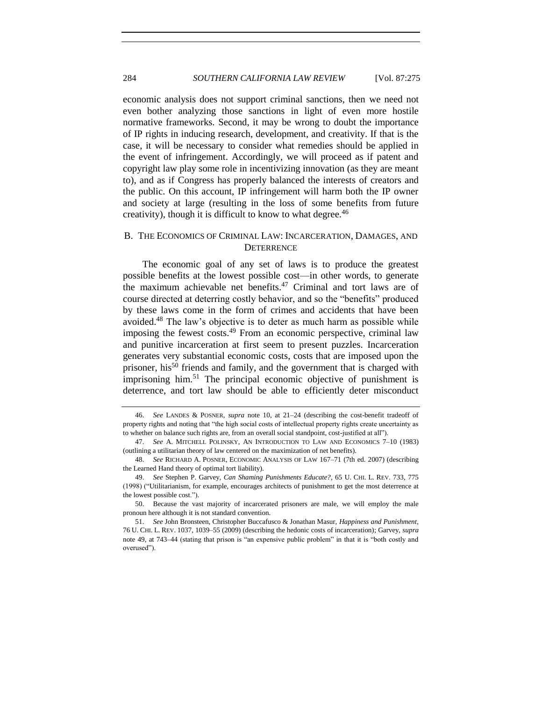economic analysis does not support criminal sanctions, then we need not even bother analyzing those sanctions in light of even more hostile normative frameworks. Second, it may be wrong to doubt the importance of IP rights in inducing research, development, and creativity. If that is the case, it will be necessary to consider what remedies should be applied in the event of infringement. Accordingly, we will proceed as if patent and copyright law play some role in incentivizing innovation (as they are meant to), and as if Congress has properly balanced the interests of creators and the public. On this account, IP infringement will harm both the IP owner and society at large (resulting in the loss of some benefits from future creativity), though it is difficult to know to what degree. $46$ 

# <span id="page-9-0"></span>B. THE ECONOMICS OF CRIMINAL LAW: INCARCERATION, DAMAGES, AND **DETERRENCE**

<span id="page-9-3"></span><span id="page-9-2"></span><span id="page-9-1"></span>The economic goal of any set of laws is to produce the greatest possible benefits at the lowest possible cost—in other words, to generate the maximum achievable net benefits.<sup>47</sup> Criminal and tort laws are of course directed at deterring costly behavior, and so the "benefits" produced by these laws come in the form of crimes and accidents that have been avoided.<sup>48</sup> The law's objective is to deter as much harm as possible while imposing the fewest costs. $49$  From an economic perspective, criminal law and punitive incarceration at first seem to present puzzles. Incarceration generates very substantial economic costs, costs that are imposed upon the prisoner, his<sup>50</sup> friends and family, and the government that is charged with imprisoning him.<sup>51</sup> The principal economic objective of punishment is deterrence, and tort law should be able to efficiently deter misconduct

<span id="page-9-4"></span><sup>46.</sup> *See* LANDES & POSNER, *supra* note [10,](#page-3-0) at 21–24 (describing the cost-benefit tradeoff of property rights and noting that "the high social costs of intellectual property rights create uncertainty as to whether on balance such rights are, from an overall social standpoint, cost-justified at all").

<sup>47.</sup> *See* A. MITCHELL POLINSKY, AN INTRODUCTION TO LAW AND ECONOMICS 7–10 (1983) (outlining a utilitarian theory of law centered on the maximization of net benefits).

<sup>48.</sup> *See* RICHARD A. POSNER, ECONOMIC ANALYSIS OF LAW 167–71 (7th ed. 2007) (describing the Learned Hand theory of optimal tort liability).

<sup>49.</sup> *See* Stephen P. Garvey, *Can Shaming Punishments Educate?*, 65 U. CHI. L. REV. 733, 775 (1998) ("Utilitarianism, for example, encourages architects of punishment to get the most deterrence at the lowest possible cost.").

<sup>50.</sup> Because the vast majority of incarcerated prisoners are male, we will employ the male pronoun here although it is not standard convention.

<sup>51.</sup> *See* John Bronsteen, Christopher Buccafusco & Jonathan Masur, *Happiness and Punishment*, 76 U. CHI. L. REV. 1037, 1039–55 (2009) (describing the hedonic costs of incarceration); Garvey, *supra* note [49,](#page-9-1) at 743–44 (stating that prison is "an expensive public problem" in that it is "both costly and overused").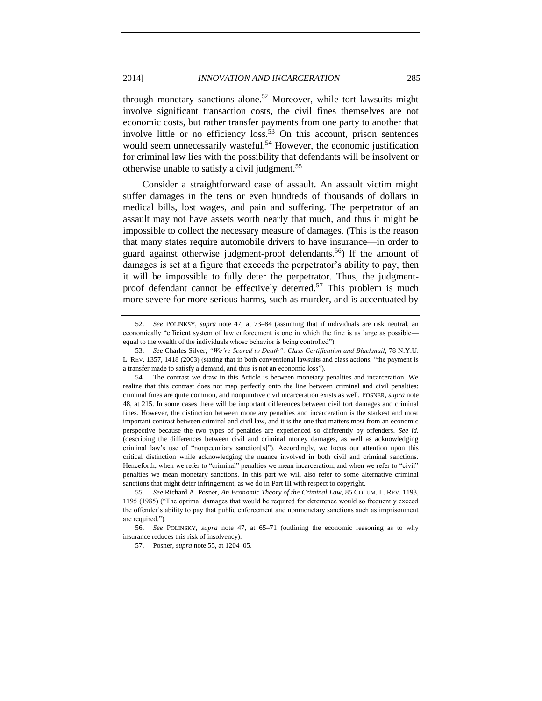through monetary sanctions alone.<sup>52</sup> Moreover, while tort lawsuits might involve significant transaction costs, the civil fines themselves are not economic costs, but rather transfer payments from one party to another that involve little or no efficiency  $loss<sup>53</sup>$  On this account, prison sentences would seem unnecessarily wasteful.<sup>54</sup> However, the economic justification for criminal law lies with the possibility that defendants will be insolvent or otherwise unable to satisfy a civil judgment.<sup>55</sup>

<span id="page-10-0"></span>Consider a straightforward case of assault. An assault victim might suffer damages in the tens or even hundreds of thousands of dollars in medical bills, lost wages, and pain and suffering. The perpetrator of an assault may not have assets worth nearly that much, and thus it might be impossible to collect the necessary measure of damages. (This is the reason that many states require automobile drivers to have insurance—in order to guard against otherwise judgment-proof defendants.<sup>56</sup>) If the amount of damages is set at a figure that exceeds the perpetrator's ability to pay, then it will be impossible to fully deter the perpetrator. Thus, the judgmentproof defendant cannot be effectively deterred.<sup>57</sup> This problem is much more severe for more serious harms, such as murder, and is accentuated by

<sup>52.</sup> *See* POLINKSY, *supra* note [47,](#page-9-2) at 73–84 (assuming that if individuals are risk neutral, an economically "efficient system of law enforcement is one in which the fine is as large as possible equal to the wealth of the individuals whose behavior is being controlled").

<sup>53.</sup> *See* Charles Silver, *"We're Scared to Death": Class Certification and Blackmail*, 78 N.Y.U. L. REV. 1357, 1418 (2003) (stating that in both conventional lawsuits and class actions, "the payment is a transfer made to satisfy a demand, and thus is not an economic loss").

<sup>54.</sup> The contrast we draw in this Article is between monetary penalties and incarceration. We realize that this contrast does not map perfectly onto the line between criminal and civil penalties: criminal fines are quite common, and nonpunitive civil incarceration exists as well. POSNER, *supra* note [48,](#page-9-3) at 215. In some cases there will be important differences between civil tort damages and criminal fines. However, the distinction between monetary penalties and incarceration is the starkest and most important contrast between criminal and civil law, and it is the one that matters most from an economic perspective because the two types of penalties are experienced so differently by offenders. *See id.* (describing the differences between civil and criminal money damages, as well as acknowledging criminal law's use of "nonpecuniary sanction[s]"). Accordingly, we focus our attention upon this critical distinction while acknowledging the nuance involved in both civil and criminal sanctions. Henceforth, when we refer to "criminal" penalties we mean incarceration, and when we refer to "civil" penalties we mean monetary sanctions. In this part we will also refer to some alternative criminal sanctions that might deter infringement, as we do in Part III with respect to copyright.

<sup>55.</sup> *See* Richard A. Posner, *An Economic Theory of the Criminal Law*, 85 COLUM. L. REV. 1193, 1195 (1985) ("The optimal damages that would be required for deterrence would so frequently exceed the offender's ability to pay that public enforcement and nonmonetary sanctions such as imprisonment are required.").

<sup>56.</sup> *See* POLINSKY, *supra* note [47,](#page-9-2) at 65–71 (outlining the economic reasoning as to why insurance reduces this risk of insolvency).

<sup>57.</sup> Posner, *supra* not[e 55,](#page-10-0) at 1204–05.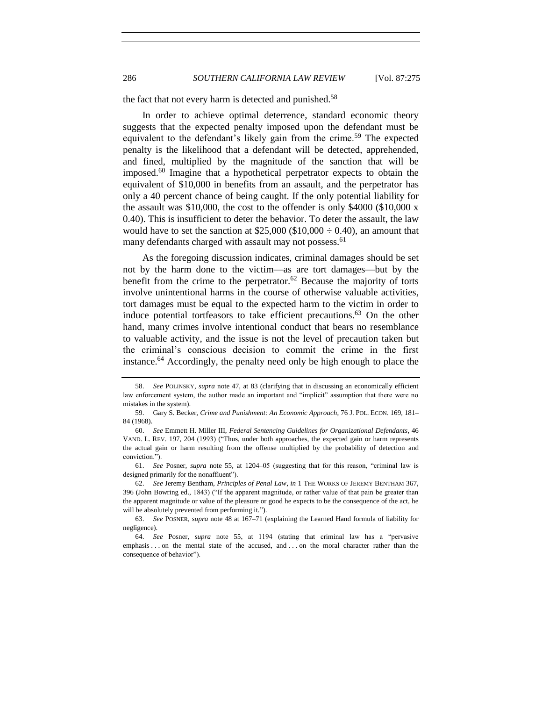the fact that not every harm is detected and punished.<sup>58</sup>

In order to achieve optimal deterrence, standard economic theory suggests that the expected penalty imposed upon the defendant must be equivalent to the defendant's likely gain from the crime.<sup>59</sup> The expected penalty is the likelihood that a defendant will be detected, apprehended, and fined, multiplied by the magnitude of the sanction that will be imposed.<sup>60</sup> Imagine that a hypothetical perpetrator expects to obtain the equivalent of \$10,000 in benefits from an assault, and the perpetrator has only a 40 percent chance of being caught. If the only potential liability for the assault was \$10,000, the cost to the offender is only \$4000 (\$10,000  $\rm x$ ) 0.40). This is insufficient to deter the behavior. To deter the assault, the law would have to set the sanction at  $$25,000 ($10,000 \div 0.40)$ , an amount that many defendants charged with assault may not possess.<sup>61</sup>

As the foregoing discussion indicates, criminal damages should be set not by the harm done to the victim—as are tort damages—but by the benefit from the crime to the perpetrator.<sup>62</sup> Because the majority of torts involve unintentional harms in the course of otherwise valuable activities, tort damages must be equal to the expected harm to the victim in order to induce potential tortfeasors to take efficient precautions.<sup>63</sup> On the other hand, many crimes involve intentional conduct that bears no resemblance to valuable activity, and the issue is not the level of precaution taken but the criminal's conscious decision to commit the crime in the first instance.<sup>64</sup> Accordingly, the penalty need only be high enough to place the

<sup>58.</sup> *See* POLINSKY, *supra* note [47,](#page-9-2) at 83 (clarifying that in discussing an economically efficient law enforcement system, the author made an important and "implicit" assumption that there were no mistakes in the system).

<sup>59.</sup> Gary S. Becker, *Crime and Punishment: An Economic Approach*, 76 J. POL. ECON. 169, 181– 84 (1968).

<sup>60.</sup> *See* Emmett H. Miller III, *Federal Sentencing Guidelines for Organizational Defendants*, 46 VAND. L. REV. 197, 204 (1993) ("Thus, under both approaches, the expected gain or harm represents the actual gain or harm resulting from the offense multiplied by the probability of detection and conviction.").

<sup>61.</sup> *See* Posner, *supra* note [55,](#page-10-0) at 1204–05 (suggesting that for this reason, "criminal law is designed primarily for the nonaffluent").

<sup>62.</sup> *See* Jeremy Bentham, *Principles of Penal Law*, *in* 1 THE WORKS OF JEREMY BENTHAM 367, 396 (John Bowring ed., 1843) ("If the apparent magnitude, or rather value of that pain be greater than the apparent magnitude or value of the pleasure or good he expects to be the consequence of the act, he will be absolutely prevented from performing it.").

<sup>63.</sup> *See* POSNER, *supra* note [48](#page-9-3) at 167–71 (explaining the Learned Hand formula of liability for negligence).

<sup>64.</sup> *See* Posner, *supra* note [55,](#page-10-0) at 1194 (stating that criminal law has a "pervasive emphasis . . . on the mental state of the accused, and . . . on the moral character rather than the consequence of behavior").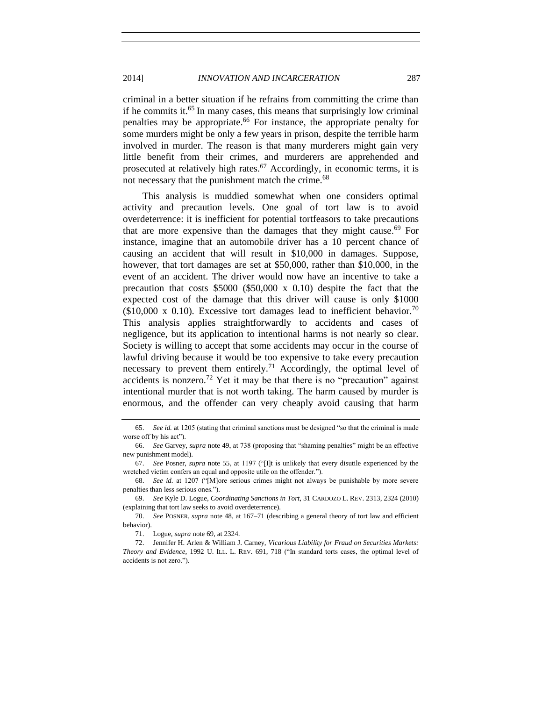# 2014] *INNOVATION AND INCARCERATION* 287

criminal in a better situation if he refrains from committing the crime than if he commits it.<sup>65</sup> In many cases, this means that surprisingly low criminal penalties may be appropriate.<sup>66</sup> For instance, the appropriate penalty for some murders might be only a few years in prison, despite the terrible harm involved in murder. The reason is that many murderers might gain very little benefit from their crimes, and murderers are apprehended and prosecuted at relatively high rates.<sup>67</sup> Accordingly, in economic terms, it is not necessary that the punishment match the crime.<sup>68</sup>

This analysis is muddied somewhat when one considers optimal activity and precaution levels. One goal of tort law is to avoid overdeterrence: it is inefficient for potential tortfeasors to take precautions that are more expensive than the damages that they might cause.<sup>69</sup> For instance, imagine that an automobile driver has a 10 percent chance of causing an accident that will result in \$10,000 in damages. Suppose, however, that tort damages are set at \$50,000, rather than \$10,000, in the event of an accident. The driver would now have an incentive to take a precaution that costs \$5000 (\$50,000 x 0.10) despite the fact that the expected cost of the damage that this driver will cause is only \$1000 (\$10,000 x 0.10). Excessive tort damages lead to inefficient behavior.<sup>70</sup> This analysis applies straightforwardly to accidents and cases of negligence, but its application to intentional harms is not nearly so clear. Society is willing to accept that some accidents may occur in the course of lawful driving because it would be too expensive to take every precaution necessary to prevent them entirely.<sup>71</sup> Accordingly, the optimal level of accidents is nonzero.<sup>72</sup> Yet it may be that there is no "precaution" against intentional murder that is not worth taking. The harm caused by murder is enormous, and the offender can very cheaply avoid causing that harm

<span id="page-12-0"></span>

<sup>65.</sup> *See id.* at 1205 (stating that criminal sanctions must be designed "so that the criminal is made worse off by his act").

<sup>66.</sup> *See* Garvey, *supra* note [49,](#page-9-1) at 738 (proposing that "shaming penalties" might be an effective new punishment model).

<sup>67.</sup> *See* Posner, *supra* note [55,](#page-10-0) at 1197 ("[I]t is unlikely that every disutile experienced by the wretched victim confers an equal and opposite utile on the offender.").

<sup>68.</sup> *See id.* at 1207 ("[M]ore serious crimes might not always be punishable by more severe penalties than less serious ones.").

<sup>69.</sup> *See* Kyle D. Logue, *Coordinating Sanctions in Tort*, 31 CARDOZO L. REV. 2313, 2324 (2010) (explaining that tort law seeks to avoid overdeterrence).

<sup>70.</sup> *See* POSNER, *supra* note [48,](#page-9-3) at 167–71 (describing a general theory of tort law and efficient behavior).

<sup>71.</sup> Logue, *supra* not[e 69,](#page-12-0) at 2324.

<sup>72.</sup> Jennifer H. Arlen & William J. Carney, *Vicarious Liability for Fraud on Securities Markets: Theory and Evidence*, 1992 U. ILL. L. REV. 691, 718 ("In standard torts cases, the optimal level of accidents is not zero.").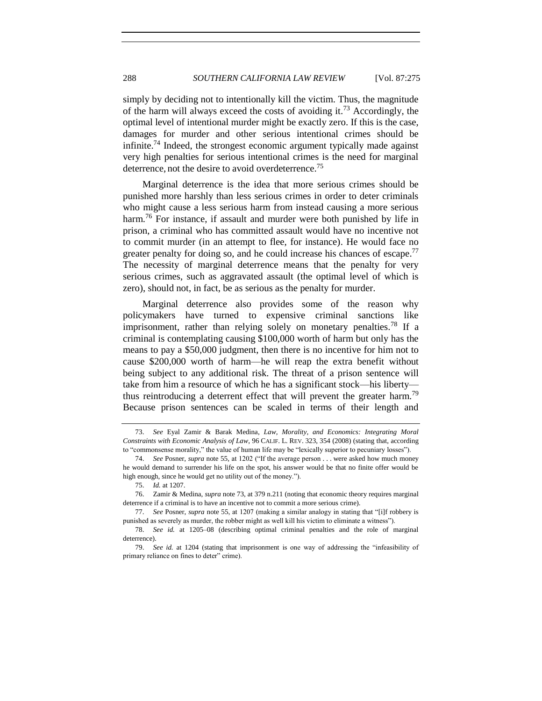<span id="page-13-0"></span>simply by deciding not to intentionally kill the victim. Thus, the magnitude of the harm will always exceed the costs of avoiding it.<sup>73</sup> Accordingly, the optimal level of intentional murder might be exactly zero. If this is the case, damages for murder and other serious intentional crimes should be infinite.<sup>74</sup> Indeed, the strongest economic argument typically made against very high penalties for serious intentional crimes is the need for marginal deterrence, not the desire to avoid overdeterrence.<sup>75</sup>

Marginal deterrence is the idea that more serious crimes should be punished more harshly than less serious crimes in order to deter criminals who might cause a less serious harm from instead causing a more serious harm.<sup>76</sup> For instance, if assault and murder were both punished by life in prison, a criminal who has committed assault would have no incentive not to commit murder (in an attempt to flee, for instance). He would face no greater penalty for doing so, and he could increase his chances of escape.<sup>77</sup> The necessity of marginal deterrence means that the penalty for very serious crimes, such as aggravated assault (the optimal level of which is zero), should not, in fact, be as serious as the penalty for murder.

Marginal deterrence also provides some of the reason why policymakers have turned to expensive criminal sanctions like imprisonment, rather than relying solely on monetary penalties.<sup>78</sup> If a criminal is contemplating causing \$100,000 worth of harm but only has the means to pay a \$50,000 judgment, then there is no incentive for him not to cause \$200,000 worth of harm—he will reap the extra benefit without being subject to any additional risk. The threat of a prison sentence will take from him a resource of which he has a significant stock—his liberty thus reintroducing a deterrent effect that will prevent the greater harm.<sup>79</sup> Because prison sentences can be scaled in terms of their length and

<sup>73.</sup> *See* Eyal Zamir & Barak Medina, *Law, Morality, and Economics: Integrating Moral Constraints with Economic Analysis of Law*, 96 CALIF. L. REV. 323, 354 (2008) (stating that, according to "commonsense morality," the value of human life may be "lexically superior to pecuniary losses").

<sup>74.</sup> *See* Posner, *supra* note [55,](#page-10-0) at 1202 ("If the average person . . . were asked how much money he would demand to surrender his life on the spot, his answer would be that no finite offer would be high enough, since he would get no utility out of the money.").

<sup>75.</sup> *Id.* at 1207.

<sup>76.</sup> Zamir & Medina, *supra* not[e 73,](#page-13-0) at 379 n.211 (noting that economic theory requires marginal deterrence if a criminal is to have an incentive not to commit a more serious crime).

<sup>77.</sup> *See* Posner, *supra* note [55,](#page-10-0) at 1207 (making a similar analogy in stating that "[i]f robbery is punished as severely as murder, the robber might as well kill his victim to eliminate a witness").

<sup>78.</sup> *See id.* at 1205–08 (describing optimal criminal penalties and the role of marginal deterrence).

<sup>79.</sup> *See id.* at 1204 (stating that imprisonment is one way of addressing the "infeasibility of primary reliance on fines to deter" crime).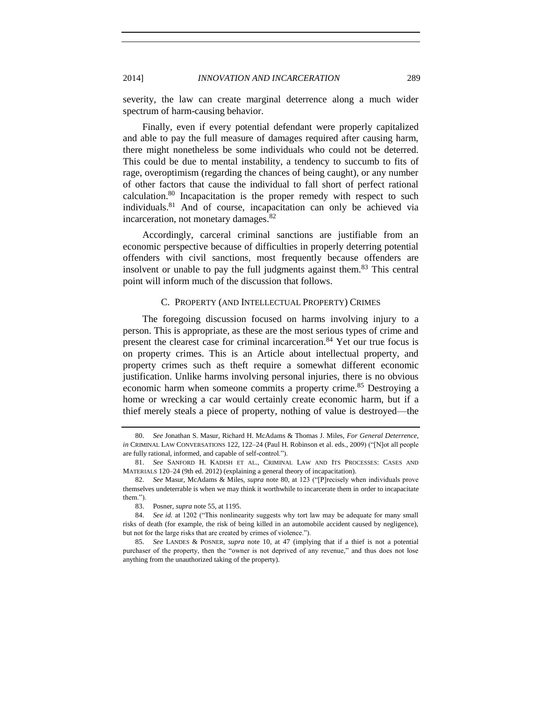severity, the law can create marginal deterrence along a much wider spectrum of harm-causing behavior.

Finally, even if every potential defendant were properly capitalized and able to pay the full measure of damages required after causing harm, there might nonetheless be some individuals who could not be deterred. This could be due to mental instability, a tendency to succumb to fits of rage, overoptimism (regarding the chances of being caught), or any number of other factors that cause the individual to fall short of perfect rational calculation. $80$  Incapacitation is the proper remedy with respect to such individuals.<sup>81</sup> And of course, incapacitation can only be achieved via incarceration, not monetary damages.<sup>82</sup>

<span id="page-14-1"></span>Accordingly, carceral criminal sanctions are justifiable from an economic perspective because of difficulties in properly deterring potential offenders with civil sanctions, most frequently because offenders are insolvent or unable to pay the full judgments against them.<sup>83</sup> This central point will inform much of the discussion that follows.

# C. PROPERTY (AND INTELLECTUAL PROPERTY) CRIMES

<span id="page-14-0"></span>The foregoing discussion focused on harms involving injury to a person. This is appropriate, as these are the most serious types of crime and present the clearest case for criminal incarceration.<sup>84</sup> Yet our true focus is on property crimes. This is an Article about intellectual property, and property crimes such as theft require a somewhat different economic justification. Unlike harms involving personal injuries, there is no obvious economic harm when someone commits a property crime.<sup>85</sup> Destroying a home or wrecking a car would certainly create economic harm, but if a thief merely steals a piece of property, nothing of value is destroyed—the

<sup>80.</sup> *See* Jonathan S. Masur, Richard H. McAdams & Thomas J. Miles, *For General Deterrence*, *in* CRIMINAL LAW CONVERSATIONS 122, 122–24 (Paul H. Robinson et al. eds., 2009) ("[N]ot all people are fully rational, informed, and capable of self-control.").

<sup>81.</sup> *See* SANFORD H. KADISH ET AL., CRIMINAL LAW AND ITS PROCESSES: CASES AND MATERIALS 120–24 (9th ed. 2012) (explaining a general theory of incapacitation).

<sup>82.</sup> *See* Masur, McAdams & Miles, *supra* note [80,](#page-14-1) at 123 ("[P]recisely when individuals prove themselves undeterrable is when we may think it worthwhile to incarcerate them in order to incapacitate them.").

<sup>83.</sup> Posner, *supra* not[e 55,](#page-10-0) at 1195.

<sup>84.</sup> *See id.* at 1202 ("This nonlinearity suggests why tort law may be adequate for many small risks of death (for example, the risk of being killed in an automobile accident caused by negligence), but not for the large risks that are created by crimes of violence.").

<sup>85.</sup> *See* LANDES & POSNER, *supra* note [10,](#page-3-0) at 47 (implying that if a thief is not a potential purchaser of the property, then the "owner is not deprived of any revenue," and thus does not lose anything from the unauthorized taking of the property).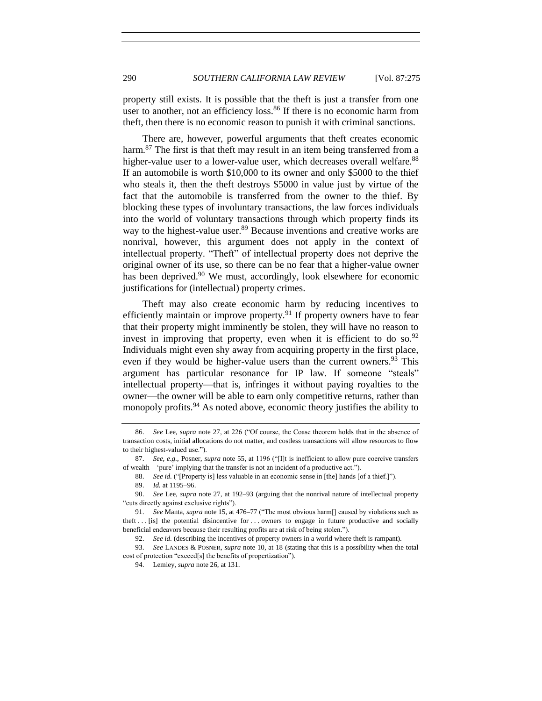property still exists. It is possible that the theft is just a transfer from one user to another, not an efficiency loss.<sup>86</sup> If there is no economic harm from theft, then there is no economic reason to punish it with criminal sanctions.

There are, however, powerful arguments that theft creates economic harm.<sup>87</sup> The first is that theft may result in an item being transferred from a higher-value user to a lower-value user, which decreases overall welfare.<sup>88</sup> If an automobile is worth \$10,000 to its owner and only \$5000 to the thief who steals it, then the theft destroys \$5000 in value just by virtue of the fact that the automobile is transferred from the owner to the thief. By blocking these types of involuntary transactions, the law forces individuals into the world of voluntary transactions through which property finds its way to the highest-value user.<sup>89</sup> Because inventions and creative works are nonrival, however, this argument does not apply in the context of intellectual property. "Theft" of intellectual property does not deprive the original owner of its use, so there can be no fear that a higher-value owner has been deprived.<sup>90</sup> We must, accordingly, look elsewhere for economic justifications for (intellectual) property crimes.

Theft may also create economic harm by reducing incentives to efficiently maintain or improve property.<sup>91</sup> If property owners have to fear that their property might imminently be stolen, they will have no reason to invest in improving that property, even when it is efficient to do so.  $92$ Individuals might even shy away from acquiring property in the first place, even if they would be higher-value users than the current owners.<sup>93</sup> This argument has particular resonance for IP law. If someone "steals" intellectual property—that is, infringes it without paying royalties to the owner—the owner will be able to earn only competitive returns, rather than monopoly profits.<sup>94</sup> As noted above, economic theory justifies the ability to

<sup>86.</sup> *See* Lee, *supra* not[e 27,](#page-6-2) at 226 ("Of course, the Coase theorem holds that in the absence of transaction costs, initial allocations do not matter, and costless transactions will allow resources to flow to their highest-valued use.").

<sup>87.</sup> *See, e.g.*, Posner, *supra* note [55,](#page-10-0) at 1196 ("[I]t is inefficient to allow pure coercive transfers of wealth—'pure' implying that the transfer is not an incident of a productive act.").

<sup>88.</sup> *See id.* ("[Property is] less valuable in an economic sense in [the] hands [of a thief.]"). 89. *Id.* at 1195–96.

<sup>90.</sup> *See* Lee, *supra* note [27,](#page-6-2) at 192–93 (arguing that the nonrival nature of intellectual property "cuts directly against exclusive rights").

<sup>91.</sup> *See* Manta, *supra* note [15,](#page-3-2) at 476–77 ("The most obvious harm[] caused by violations such as theft . . . [is] the potential disincentive for . . . owners to engage in future productive and socially beneficial endeavors because their resulting profits are at risk of being stolen.").

<sup>92.</sup> *See id.* (describing the incentives of property owners in a world where theft is rampant).

<sup>93.</sup> *See* LANDES & POSNER, *supra* note [10,](#page-3-0) at 18 (stating that this is a possibility when the total cost of protection "exceed[s] the benefits of propertization").

<sup>94.</sup> Lemley, *supra* not[e 26,](#page-6-1) at 131.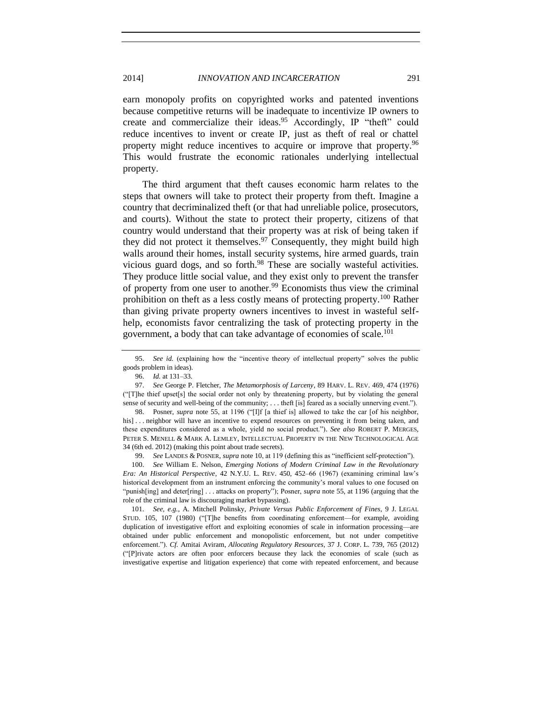earn monopoly profits on copyrighted works and patented inventions because competitive returns will be inadequate to incentivize IP owners to create and commercialize their ideas.<sup>95</sup> Accordingly, IP "theft" could reduce incentives to invent or create IP, just as theft of real or chattel property might reduce incentives to acquire or improve that property.<sup>96</sup> This would frustrate the economic rationales underlying intellectual property.

The third argument that theft causes economic harm relates to the steps that owners will take to protect their property from theft. Imagine a country that decriminalized theft (or that had unreliable police, prosecutors, and courts). Without the state to protect their property, citizens of that country would understand that their property was at risk of being taken if they did not protect it themselves.  $97$  Consequently, they might build high walls around their homes, install security systems, hire armed guards, train vicious guard dogs, and so forth.<sup>98</sup> These are socially wasteful activities. They produce little social value, and they exist only to prevent the transfer of property from one user to another.<sup>99</sup> Economists thus view the criminal prohibition on theft as a less costly means of protecting property.<sup>100</sup> Rather than giving private property owners incentives to invest in wasteful selfhelp, economists favor centralizing the task of protecting property in the government, a body that can take advantage of economies of scale.<sup>101</sup>

98. Posner, *supra* note [55,](#page-10-0) at 1196 ("[I]f [a thief is] allowed to take the car [of his neighbor, his]... neighbor will have an incentive to expend resources on preventing it from being taken, and these expenditures considered as a whole, yield no social product."). *See also* ROBERT P. MERGES, PETER S. MENELL & MARK A. LEMLEY, INTELLECTUAL PROPERTY IN THE NEW TECHNOLOGICAL AGE 34 (6th ed. 2012) (making this point about trade secrets).

99. *See* LANDES & POSNER, *supra* note [10,](#page-3-0) at 119 (defining this as "inefficient self-protection").

100. *See* William E. Nelson, *Emerging Notions of Modern Criminal Law in the Revolutionary Era: An Historical Perspective*, 42 N.Y.U. L. REV. 450, 452–66 (1967) (examining criminal law's historical development from an instrument enforcing the community's moral values to one focused on "punish[ing] and deter[ring] . . . attacks on property"); Posner, *supra* not[e 55,](#page-10-0) at 1196 (arguing that the role of the criminal law is discouraging market bypassing).

101. *See, e.g.*, A. Mitchell Polinsky, *Private Versus Public Enforcement of Fines*, 9 J. LEGAL STUD. 105, 107 (1980) ("[T]he benefits from coordinating enforcement—for example, avoiding duplication of investigative effort and exploiting economies of scale in information processing—are obtained under public enforcement and monopolistic enforcement, but not under competitive enforcement."). *Cf.* Amitai Aviram, *Allocating Regulatory Resources*, 37 J. CORP. L. 739, 765 (2012) ("[P]rivate actors are often poor enforcers because they lack the economies of scale (such as investigative expertise and litigation experience) that come with repeated enforcement, and because

<sup>95.</sup> *See id.* (explaining how the "incentive theory of intellectual property" solves the public goods problem in ideas).

<sup>96.</sup> *Id.* at 131–33.

<sup>97.</sup> *See* George P. Fletcher, *The Metamorphosis of Larceny*, 89 HARV. L. REV. 469, 474 (1976) ("[T]he thief upset[s] the social order not only by threatening property, but by violating the general sense of security and well-being of the community; . . . theft [is] feared as a socially unnerving event.").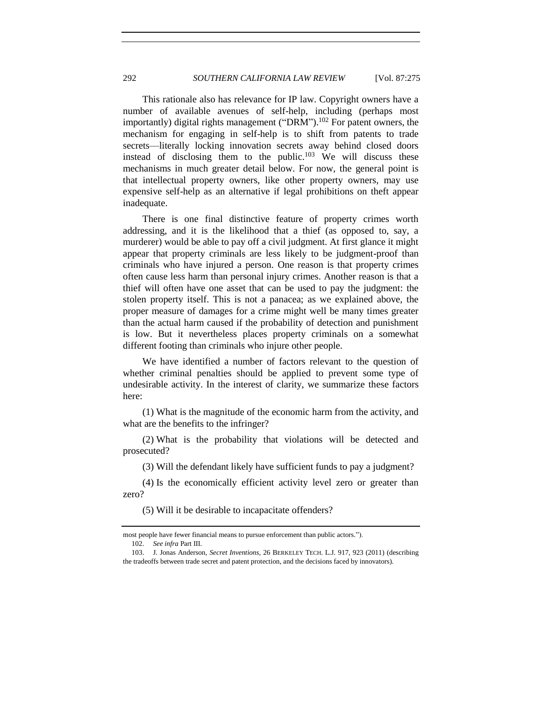<span id="page-17-0"></span>This rationale also has relevance for IP law. Copyright owners have a number of available avenues of self-help, including (perhaps most importantly) digital rights management ("DRM").<sup>102</sup> For patent owners, the mechanism for engaging in self-help is to shift from patents to trade secrets—literally locking innovation secrets away behind closed doors instead of disclosing them to the public. $103$  We will discuss these mechanisms in much greater detail below. For now, the general point is that intellectual property owners, like other property owners, may use expensive self-help as an alternative if legal prohibitions on theft appear inadequate.

There is one final distinctive feature of property crimes worth addressing, and it is the likelihood that a thief (as opposed to, say, a murderer) would be able to pay off a civil judgment. At first glance it might appear that property criminals are less likely to be judgment-proof than criminals who have injured a person. One reason is that property crimes often cause less harm than personal injury crimes. Another reason is that a thief will often have one asset that can be used to pay the judgment: the stolen property itself. This is not a panacea; as we explained above, the proper measure of damages for a crime might well be many times greater than the actual harm caused if the probability of detection and punishment is low. But it nevertheless places property criminals on a somewhat different footing than criminals who injure other people.

We have identified a number of factors relevant to the question of whether criminal penalties should be applied to prevent some type of undesirable activity. In the interest of clarity, we summarize these factors here:

(1) What is the magnitude of the economic harm from the activity, and what are the benefits to the infringer?

(2) What is the probability that violations will be detected and prosecuted?

(3) Will the defendant likely have sufficient funds to pay a judgment?

(4) Is the economically efficient activity level zero or greater than zero?

(5) Will it be desirable to incapacitate offenders?

most people have fewer financial means to pursue enforcement than public actors."). 102. *See infra* Part III.

<sup>103.</sup> J. Jonas Anderson, *Secret Inventions*, 26 BERKELEY TECH. L.J. 917, 923 (2011) (describing the tradeoffs between trade secret and patent protection, and the decisions faced by innovators).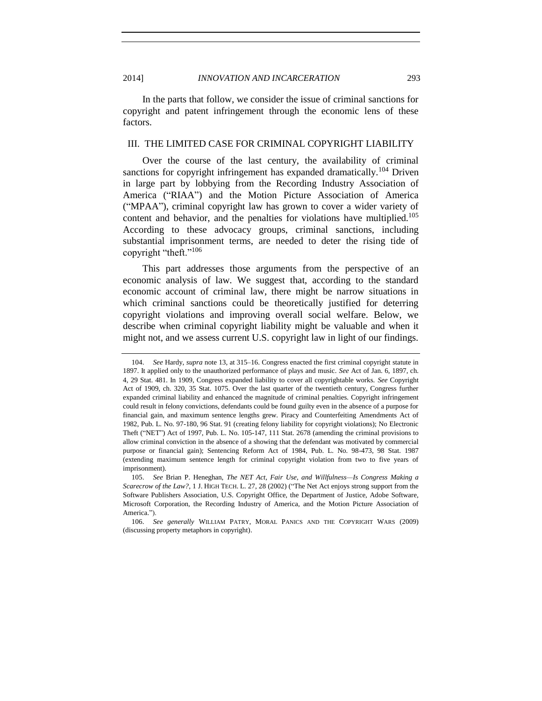2014] *INNOVATION AND INCARCERATION* 293

In the parts that follow, we consider the issue of criminal sanctions for copyright and patent infringement through the economic lens of these factors.

# <span id="page-18-0"></span>III. THE LIMITED CASE FOR CRIMINAL COPYRIGHT LIABILITY

Over the course of the last century, the availability of criminal sanctions for copyright infringement has expanded dramatically.<sup>104</sup> Driven in large part by lobbying from the Recording Industry Association of America ("RIAA") and the Motion Picture Association of America ("MPAA"), criminal copyright law has grown to cover a wider variety of content and behavior, and the penalties for violations have multiplied.<sup>105</sup> According to these advocacy groups, criminal sanctions, including substantial imprisonment terms, are needed to deter the rising tide of copyright "theft."<sup>106</sup>

<span id="page-18-1"></span>This part addresses those arguments from the perspective of an economic analysis of law. We suggest that, according to the standard economic account of criminal law, there might be narrow situations in which criminal sanctions could be theoretically justified for deterring copyright violations and improving overall social welfare. Below, we describe when criminal copyright liability might be valuable and when it might not, and we assess current U.S. copyright law in light of our findings.

<sup>104.</sup> *See* Hardy, *supra* not[e 13,](#page-3-1) at 315–16. Congress enacted the first criminal copyright statute in 1897. It applied only to the unauthorized performance of plays and music. *See* Act of Jan. 6, 1897, ch. 4, 29 Stat. 481. In 1909, Congress expanded liability to cover all copyrightable works. *See* Copyright Act of 1909, ch. 320, 35 Stat. 1075. Over the last quarter of the twentieth century, Congress further expanded criminal liability and enhanced the magnitude of criminal penalties. Copyright infringement could result in felony convictions, defendants could be found guilty even in the absence of a purpose for financial gain, and maximum sentence lengths grew. Piracy and Counterfeiting Amendments Act of 1982, Pub. L. No. 97-180, 96 Stat. 91 (creating felony liability for copyright violations); No Electronic Theft ("NET") Act of 1997, Pub. L. No. 105-147, 111 Stat. 2678 (amending the criminal provisions to allow criminal conviction in the absence of a showing that the defendant was motivated by commercial purpose or financial gain); Sentencing Reform Act of 1984, Pub. L. No. 98-473, 98 Stat. 1987 (extending maximum sentence length for criminal copyright violation from two to five years of imprisonment).

<sup>105.</sup> *See* Brian P. Heneghan, *The NET Act, Fair Use, and Willfulness—Is Congress Making a Scarecrow of the Law?*, 1 J. HIGH TECH. L. 27, 28 (2002) ("The Net Act enjoys strong support from the Software Publishers Association, U.S. Copyright Office, the Department of Justice, Adobe Software, Microsoft Corporation, the Recording Industry of America, and the Motion Picture Association of America.").

<sup>106.</sup> *See generally* WILLIAM PATRY, MORAL PANICS AND THE COPYRIGHT WARS (2009) (discussing property metaphors in copyright).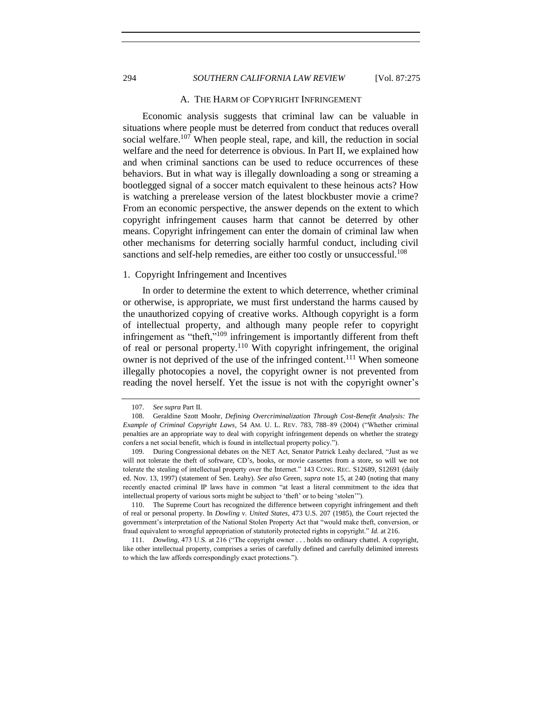# 294 *SOUTHERN CALIFORNIA LAW REVIEW* [Vol. 87:275

#### <span id="page-19-2"></span>A. THE HARM OF COPYRIGHT INFRINGEMENT

Economic analysis suggests that criminal law can be valuable in situations where people must be deterred from conduct that reduces overall social welfare.<sup>107</sup> When people steal, rape, and kill, the reduction in social welfare and the need for deterrence is obvious. In Part II, we explained how and when criminal sanctions can be used to reduce occurrences of these behaviors. But in what way is illegally downloading a song or streaming a bootlegged signal of a soccer match equivalent to these heinous acts? How is watching a prerelease version of the latest blockbuster movie a crime? From an economic perspective, the answer depends on the extent to which copyright infringement causes harm that cannot be deterred by other means. Copyright infringement can enter the domain of criminal law when other mechanisms for deterring socially harmful conduct, including civil sanctions and self-help remedies, are either too costly or unsuccessful.<sup>108</sup>

#### <span id="page-19-1"></span>1. Copyright Infringement and Incentives

In order to determine the extent to which deterrence, whether criminal or otherwise, is appropriate, we must first understand the harms caused by the unauthorized copying of creative works. Although copyright is a form of intellectual property, and although many people refer to copyright infringement as "theft,"<sup>109</sup> infringement is importantly different from theft of real or personal property.<sup>110</sup> With copyright infringement, the original owner is not deprived of the use of the infringed content.<sup>111</sup> When someone illegally photocopies a novel, the copyright owner is not prevented from reading the novel herself. Yet the issue is not with the copyright owner's

<span id="page-19-0"></span>

<sup>107.</sup> *See supra* Part II.

<sup>108.</sup> Geraldine Szott Moohr, *Defining Overcriminalization Through Cost-Benefit Analysis: The Example of Criminal Copyright Laws*, 54 AM. U. L. REV. 783, 788–89 (2004) ("Whether criminal penalties are an appropriate way to deal with copyright infringement depends on whether the strategy confers a net social benefit, which is found in intellectual property policy.").

<sup>109.</sup> During Congressional debates on the NET Act, Senator Patrick Leahy declared, "Just as we will not tolerate the theft of software, CD's, books, or movie cassettes from a store, so will we not tolerate the stealing of intellectual property over the Internet." 143 CONG. REC. S12689, S12691 (daily ed. Nov. 13, 1997) (statement of Sen. Leahy). *See also* Green, *supra* note [15,](#page-3-2) at 240 (noting that many recently enacted criminal IP laws have in common "at least a literal commitment to the idea that intellectual property of various sorts might be subject to 'theft' or to being 'stolen'").

<sup>110.</sup> The Supreme Court has recognized the difference between copyright infringement and theft of real or personal property. In *Dowling v. United States*, 473 U.S. 207 (1985), the Court rejected the government's interpretation of the National Stolen Property Act that "would make theft, conversion, or fraud equivalent to wrongful appropriation of statutorily protected rights in copyright." *Id.* at 216.

<sup>111.</sup> *Dowling*, 473 U.S. at 216 ("The copyright owner . . . holds no ordinary chattel. A copyright, like other intellectual property, comprises a series of carefully defined and carefully delimited interests to which the law affords correspondingly exact protections.").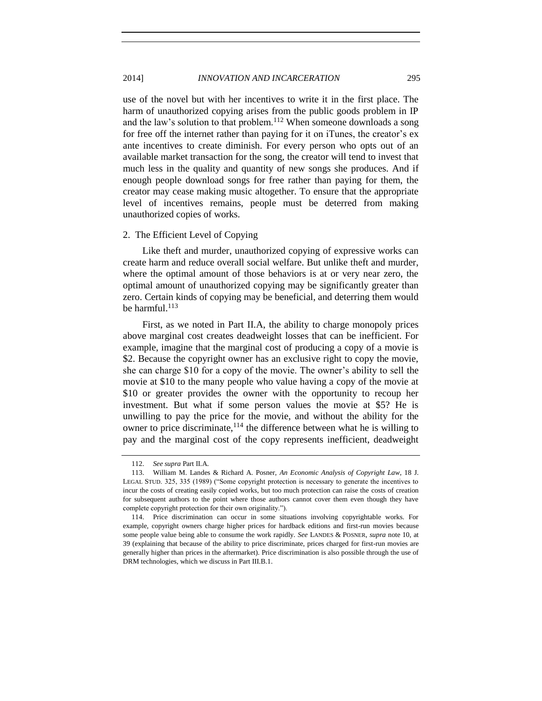use of the novel but with her incentives to write it in the first place. The harm of unauthorized copying arises from the public goods problem in IP and the law's solution to that problem.<sup>112</sup> When someone downloads a song for free off the internet rather than paying for it on iTunes, the creator's ex ante incentives to create diminish. For every person who opts out of an available market transaction for the song, the creator will tend to invest that much less in the quality and quantity of new songs she produces. And if enough people download songs for free rather than paying for them, the creator may cease making music altogether. To ensure that the appropriate level of incentives remains, people must be deterred from making unauthorized copies of works.

#### <span id="page-20-0"></span>2. The Efficient Level of Copying

Like theft and murder, unauthorized copying of expressive works can create harm and reduce overall social welfare. But unlike theft and murder, where the optimal amount of those behaviors is at or very near zero, the optimal amount of unauthorized copying may be significantly greater than zero. Certain kinds of copying may be beneficial, and deterring them would be harmful.<sup>113</sup>

<span id="page-20-1"></span>First, as we noted in Part II.A, the ability to charge monopoly prices above marginal cost creates deadweight losses that can be inefficient. For example, imagine that the marginal cost of producing a copy of a movie is \$2. Because the copyright owner has an exclusive right to copy the movie, she can charge \$10 for a copy of the movie. The owner's ability to sell the movie at \$10 to the many people who value having a copy of the movie at \$10 or greater provides the owner with the opportunity to recoup her investment. But what if some person values the movie at \$5? He is unwilling to pay the price for the movie, and without the ability for the owner to price discriminate,  $^{114}$  the difference between what he is willing to pay and the marginal cost of the copy represents inefficient, deadweight

<sup>112.</sup> *See supra* Part II.A.

<sup>113.</sup> William M. Landes & Richard A. Posner, *An Economic Analysis of Copyright Law*, 18 J. LEGAL STUD. 325, 335 (1989) ("Some copyright protection is necessary to generate the incentives to incur the costs of creating easily copied works, but too much protection can raise the costs of creation for subsequent authors to the point where those authors cannot cover them even though they have complete copyright protection for their own originality.").

<sup>114.</sup> Price discrimination can occur in some situations involving copyrightable works. For example, copyright owners charge higher prices for hardback editions and first-run movies because some people value being able to consume the work rapidly. *See* LANDES & POSNER, *supra* note [10,](#page-3-0) at 39 (explaining that because of the ability to price discriminate, prices charged for first-run movies are generally higher than prices in the aftermarket). Price discrimination is also possible through the use of DRM technologies, which we discuss in Part III.B.1.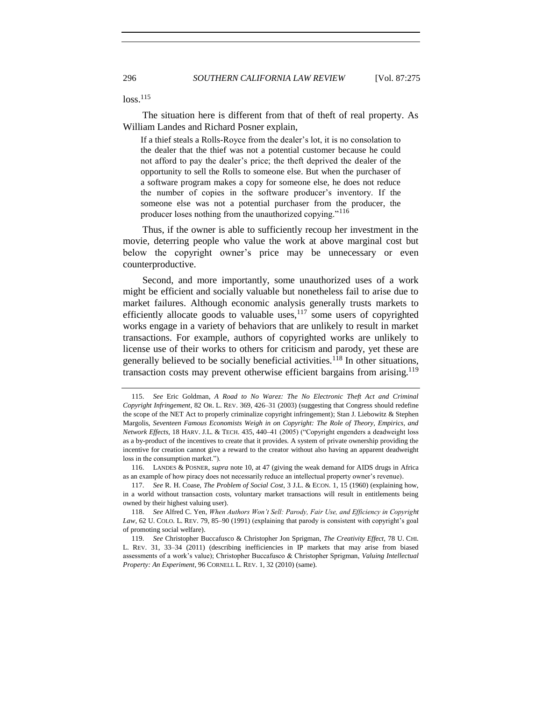<span id="page-21-0"></span> $loss.<sup>115</sup>$ 

The situation here is different from that of theft of real property. As William Landes and Richard Posner explain,

If a thief steals a Rolls-Royce from the dealer's lot, it is no consolation to the dealer that the thief was not a potential customer because he could not afford to pay the dealer's price; the theft deprived the dealer of the opportunity to sell the Rolls to someone else. But when the purchaser of a software program makes a copy for someone else, he does not reduce the number of copies in the software producer's inventory. If the someone else was not a potential purchaser from the producer, the producer loses nothing from the unauthorized copying."<sup>116</sup>

Thus, if the owner is able to sufficiently recoup her investment in the movie, deterring people who value the work at above marginal cost but below the copyright owner's price may be unnecessary or even counterproductive.

Second, and more importantly, some unauthorized uses of a work might be efficient and socially valuable but nonetheless fail to arise due to market failures. Although economic analysis generally trusts markets to efficiently allocate goods to valuable uses,  $117$  some users of copyrighted works engage in a variety of behaviors that are unlikely to result in market transactions. For example, authors of copyrighted works are unlikely to license use of their works to others for criticism and parody, yet these are generally believed to be socially beneficial activities.<sup>118</sup> In other situations, transaction costs may prevent otherwise efficient bargains from arising.<sup>119</sup>

116. LANDES & POSNER, *supra* note [10,](#page-3-0) at 47 (giving the weak demand for AIDS drugs in Africa as an example of how piracy does not necessarily reduce an intellectual property owner's revenue).

117. *See* R. H. Coase, *The Problem of Social Cost*, 3 J.L. & ECON. 1, 15 (1960) (explaining how, in a world without transaction costs, voluntary market transactions will result in entitlements being owned by their highest valuing user).

<sup>115.</sup> *See* Eric Goldman, *A Road to No Warez: The No Electronic Theft Act and Criminal Copyright Infringement*, 82 OR. L. REV. 369, 426–31 (2003) (suggesting that Congress should redefine the scope of the NET Act to properly criminalize copyright infringement); Stan J. Liebowitz & Stephen Margolis, *Seventeen Famous Economists Weigh in on Copyright: The Role of Theory, Empirics, and Network Effects*, 18 HARV. J.L. & TECH. 435, 440–41 (2005) ("Copyright engenders a deadweight loss as a by-product of the incentives to create that it provides. A system of private ownership providing the incentive for creation cannot give a reward to the creator without also having an apparent deadweight loss in the consumption market.").

<sup>118.</sup> *See* Alfred C. Yen, *When Authors Won't Sell: Parody, Fair Use, and Efficiency in Copyright Law*, 62 U. COLO. L. REV. 79, 85–90 (1991) (explaining that parody is consistent with copyright's goal of promoting social welfare).

<sup>119.</sup> *See* Christopher Buccafusco & Christopher Jon Sprigman, *The Creativity Effect*, 78 U. CHI. L. REV. 31, 33–34 (2011) (describing inefficiencies in IP markets that may arise from biased assessments of a work's value); Christopher Buccafusco & Christopher Sprigman, *Valuing Intellectual Property: An Experiment*, 96 CORNELL L. REV. 1, 32 (2010) (same).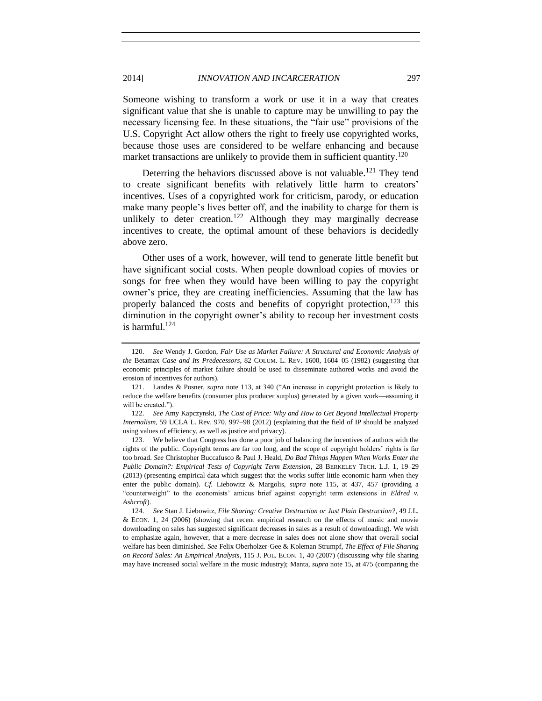# 2014] *INNOVATION AND INCARCERATION* 297

Someone wishing to transform a work or use it in a way that creates significant value that she is unable to capture may be unwilling to pay the necessary licensing fee. In these situations, the "fair use" provisions of the U.S. Copyright Act allow others the right to freely use copyrighted works, because those uses are considered to be welfare enhancing and because market transactions are unlikely to provide them in sufficient quantity.<sup>120</sup>

Deterring the behaviors discussed above is not valuable.<sup>121</sup> They tend to create significant benefits with relatively little harm to creators' incentives. Uses of a copyrighted work for criticism, parody, or education make many people's lives better off, and the inability to charge for them is unlikely to deter creation.<sup>122</sup> Although they may marginally decrease incentives to create, the optimal amount of these behaviors is decidedly above zero.

Other uses of a work, however, will tend to generate little benefit but have significant social costs. When people download copies of movies or songs for free when they would have been willing to pay the copyright owner's price, they are creating inefficiencies. Assuming that the law has properly balanced the costs and benefits of copyright protection.<sup>123</sup> this diminution in the copyright owner's ability to recoup her investment costs is harmful.<sup>124</sup>

<sup>120.</sup> *See* Wendy J. Gordon, *Fair Use as Market Failure: A Structural and Economic Analysis of the* Betamax *Case and Its Predecessors*, 82 COLUM. L. REV. 1600, 1604–05 (1982) (suggesting that economic principles of market failure should be used to disseminate authored works and avoid the erosion of incentives for authors).

<sup>121.</sup> Landes & Posner, *supra* note [113,](#page-20-1) at 340 ("An increase in copyright protection is likely to reduce the welfare benefits (consumer plus producer surplus) generated by a given work—assuming it will be created.").

<sup>122.</sup> *See* Amy Kapczynski, *The Cost of Price: Why and How to Get Beyond Intellectual Property Internalism*, 59 UCLA L. Rev. 970, 997–98 (2012) (explaining that the field of IP should be analyzed using values of efficiency, as well as justice and privacy).

<sup>123.</sup> We believe that Congress has done a poor job of balancing the incentives of authors with the rights of the public. Copyright terms are far too long, and the scope of copyright holders' rights is far too broad. *See* Christopher Buccafusco & Paul J. Heald, *Do Bad Things Happen When Works Enter the Public Domain?: Empirical Tests of Copyright Term Extension*, 28 BERKELEY TECH. L.J. 1, 19–29 (2013) (presenting empirical data which suggest that the works suffer little economic harm when they enter the public domain). *Cf.* Liebowitz & Margolis, *supra* note [115,](#page-21-0) at 437, 457 (providing a "counterweight" to the economists' amicus brief against copyright term extensions in *Eldred v. Ashcroft*).

<sup>124.</sup> *See* Stan J. Liebowitz, *File Sharing: Creative Destruction or Just Plain Destruction?*, 49 J.L. & ECON. 1, 24 (2006) (showing that recent empirical research on the effects of music and movie downloading on sales has suggested significant decreases in sales as a result of downloading). We wish to emphasize again, however, that a mere decrease in sales does not alone show that overall social welfare has been diminished. *See* Felix Oberholzer-Gee & Koleman Strumpf, *The Effect of File Sharing on Record Sales: An Empirical Analysis*, 115 J. POL. ECON. 1, 40 (2007) (discussing why file sharing may have increased social welfare in the music industry); Manta, *supra* not[e 15,](#page-3-2) at 475 (comparing the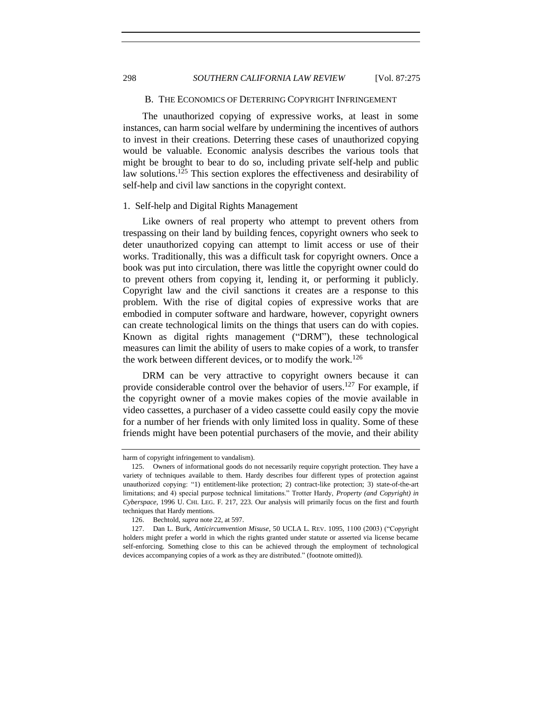298 *SOUTHERN CALIFORNIA LAW REVIEW* [Vol. 87:275

#### B. THE ECONOMICS OF DETERRING COPYRIGHT INFRINGEMENT

<span id="page-23-0"></span>The unauthorized copying of expressive works, at least in some instances, can harm social welfare by undermining the incentives of authors to invest in their creations. Deterring these cases of unauthorized copying would be valuable. Economic analysis describes the various tools that might be brought to bear to do so, including private self-help and public law solutions.<sup>125</sup> This section explores the effectiveness and desirability of self-help and civil law sanctions in the copyright context.

# <span id="page-23-1"></span>1. Self-help and Digital Rights Management

Like owners of real property who attempt to prevent others from trespassing on their land by building fences, copyright owners who seek to deter unauthorized copying can attempt to limit access or use of their works. Traditionally, this was a difficult task for copyright owners. Once a book was put into circulation, there was little the copyright owner could do to prevent others from copying it, lending it, or performing it publicly. Copyright law and the civil sanctions it creates are a response to this problem. With the rise of digital copies of expressive works that are embodied in computer software and hardware, however, copyright owners can create technological limits on the things that users can do with copies. Known as digital rights management ("DRM"), these technological measures can limit the ability of users to make copies of a work, to transfer the work between different devices, or to modify the work.<sup>126</sup>

<span id="page-23-2"></span>DRM can be very attractive to copyright owners because it can provide considerable control over the behavior of users.<sup>127</sup> For example, if the copyright owner of a movie makes copies of the movie available in video cassettes, a purchaser of a video cassette could easily copy the movie for a number of her friends with only limited loss in quality. Some of these friends might have been potential purchasers of the movie, and their ability

harm of copyright infringement to vandalism).

<sup>125.</sup> Owners of informational goods do not necessarily require copyright protection. They have a variety of techniques available to them. Hardy describes four different types of protection against unauthorized copying: "1) entitlement-like protection; 2) contract-like protection; 3) state-of-the-art limitations; and 4) special purpose technical limitations." Trotter Hardy, *Property (and Copyright) in Cyberspace*, 1996 U. CHI. LEG. F. 217, 223. Our analysis will primarily focus on the first and fourth techniques that Hardy mentions.

<sup>126.</sup> Bechtold, *supra* not[e 22,](#page-5-1) at 597.

<sup>127.</sup> Dan L. Burk, *Anticircumvention Misuse*, 50 UCLA L. REV. 1095, 1100 (2003) ("Copyright holders might prefer a world in which the rights granted under statute or asserted via license became self-enforcing. Something close to this can be achieved through the employment of technological devices accompanying copies of a work as they are distributed." (footnote omitted)).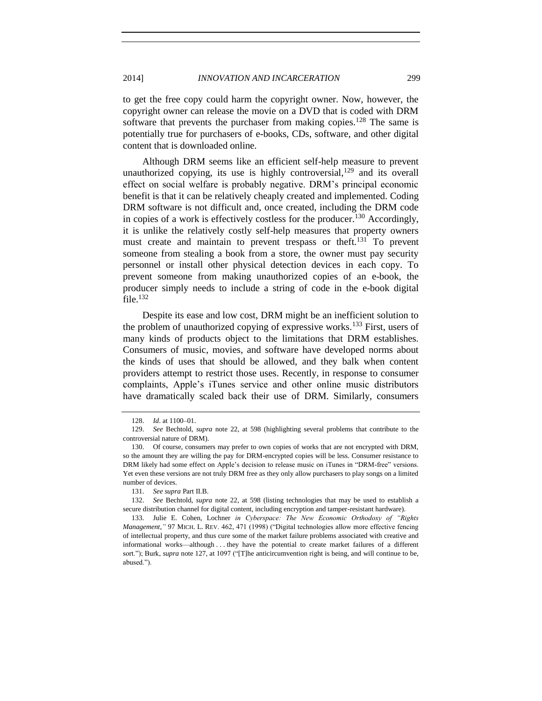to get the free copy could harm the copyright owner. Now, however, the copyright owner can release the movie on a DVD that is coded with DRM software that prevents the purchaser from making copies.<sup>128</sup> The same is potentially true for purchasers of e-books, CDs, software, and other digital content that is downloaded online.

Although DRM seems like an efficient self-help measure to prevent unauthorized copying, its use is highly controversial,  $129$  and its overall effect on social welfare is probably negative. DRM's principal economic benefit is that it can be relatively cheaply created and implemented. Coding DRM software is not difficult and, once created, including the DRM code in copies of a work is effectively costless for the producer.<sup>130</sup> Accordingly, it is unlike the relatively costly self-help measures that property owners must create and maintain to prevent trespass or theft.<sup>131</sup> To prevent someone from stealing a book from a store, the owner must pay security personnel or install other physical detection devices in each copy. To prevent someone from making unauthorized copies of an e-book, the producer simply needs to include a string of code in the e-book digital file. $132$ 

Despite its ease and low cost, DRM might be an inefficient solution to the problem of unauthorized copying of expressive works.<sup>133</sup> First, users of many kinds of products object to the limitations that DRM establishes. Consumers of music, movies, and software have developed norms about the kinds of uses that should be allowed, and they balk when content providers attempt to restrict those uses. Recently, in response to consumer complaints, Apple's iTunes service and other online music distributors have dramatically scaled back their use of DRM. Similarly, consumers

<sup>128.</sup> *Id*. at 1100–01.

<sup>129.</sup> *See* Bechtold, *supra* note [22,](#page-5-1) at 598 (highlighting several problems that contribute to the controversial nature of DRM).

<sup>130.</sup> Of course, consumers may prefer to own copies of works that are not encrypted with DRM, so the amount they are willing the pay for DRM-encrypted copies will be less. Consumer resistance to DRM likely had some effect on Apple's decision to release music on iTunes in "DRM-free" versions. Yet even these versions are not truly DRM free as they only allow purchasers to play songs on a limited number of devices.

<sup>131.</sup> *See supra* Part II.B.

<sup>132.</sup> *See* Bechtold, *supra* note [22,](#page-5-1) at 598 (listing technologies that may be used to establish a secure distribution channel for digital content, including encryption and tamper-resistant hardware).

<sup>133.</sup> Julie E. Cohen, Lochner *in Cyberspace: The New Economic Orthodoxy of "Rights Management*,*"* 97 MICH. L. REV. 462, 471 (1998) ("Digital technologies allow more effective fencing of intellectual property, and thus cure some of the market failure problems associated with creative and informational works—although . . . they have the potential to create market failures of a different sort."); Burk, *supra* note [127,](#page-23-2) at 1097 ("[T]he anticircumvention right is being, and will continue to be, abused.").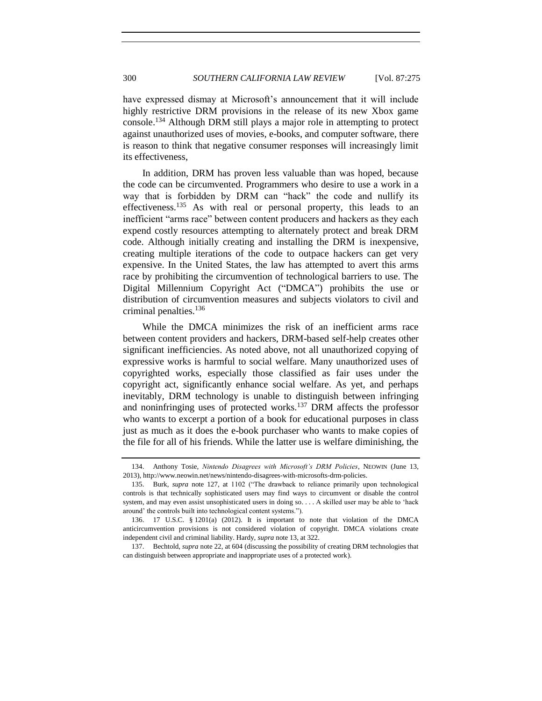have expressed dismay at Microsoft's announcement that it will include highly restrictive DRM provisions in the release of its new Xbox game console.<sup>134</sup> Although DRM still plays a major role in attempting to protect against unauthorized uses of movies, e-books, and computer software, there is reason to think that negative consumer responses will increasingly limit its effectiveness,

In addition, DRM has proven less valuable than was hoped, because the code can be circumvented. Programmers who desire to use a work in a way that is forbidden by DRM can "hack" the code and nullify its effectiveness.<sup>135</sup> As with real or personal property, this leads to an inefficient "arms race" between content producers and hackers as they each expend costly resources attempting to alternately protect and break DRM code. Although initially creating and installing the DRM is inexpensive, creating multiple iterations of the code to outpace hackers can get very expensive. In the United States, the law has attempted to avert this arms race by prohibiting the circumvention of technological barriers to use. The Digital Millennium Copyright Act ("DMCA") prohibits the use or distribution of circumvention measures and subjects violators to civil and criminal penalties.<sup>136</sup>

While the DMCA minimizes the risk of an inefficient arms race between content providers and hackers, DRM-based self-help creates other significant inefficiencies. As noted above, not all unauthorized copying of expressive works is harmful to social welfare. Many unauthorized uses of copyrighted works, especially those classified as fair uses under the copyright act, significantly enhance social welfare. As yet, and perhaps inevitably, DRM technology is unable to distinguish between infringing and noninfringing uses of protected works.<sup>137</sup> DRM affects the professor who wants to excerpt a portion of a book for educational purposes in class just as much as it does the e-book purchaser who wants to make copies of the file for all of his friends. While the latter use is welfare diminishing, the

<sup>134.</sup> Anthony Tosie, *Nintendo Disagrees with Microsoft's DRM Policies*, NEOWIN (June 13, 2013), http://www.neowin.net/news/nintendo-disagrees-with-microsofts-drm-policies.

<sup>135.</sup> Burk, *supra* note [127,](#page-23-2) at 1102 ("The drawback to reliance primarily upon technological controls is that technically sophisticated users may find ways to circumvent or disable the control system, and may even assist unsophisticated users in doing so. . . . A skilled user may be able to 'hack around' the controls built into technological content systems.").

<sup>136.</sup> 17 U.S.C. § 1201(a) (2012). It is important to note that violation of the DMCA anticircumvention provisions is not considered violation of copyright. DMCA violations create independent civil and criminal liability. Hardy, *supra* note [13,](#page-3-1) at 322.

<sup>137.</sup> Bechtold, *supra* note [22,](#page-5-1) at 604 (discussing the possibility of creating DRM technologies that can distinguish between appropriate and inappropriate uses of a protected work).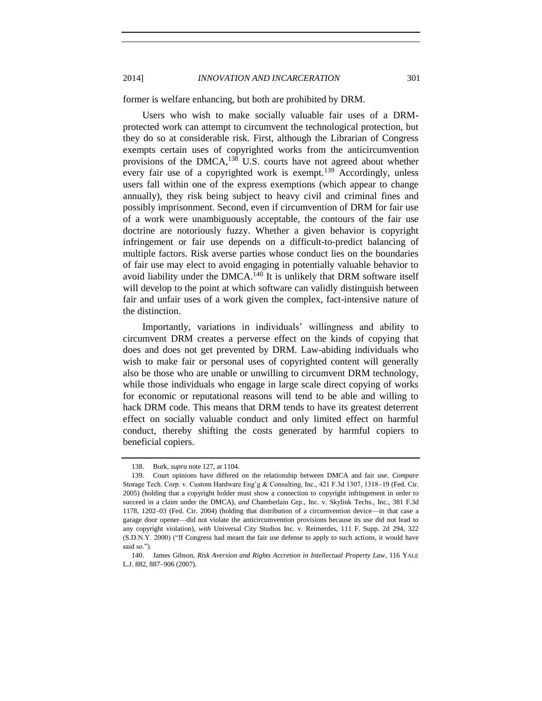2014] *INNOVATION AND INCARCERATION* 301

former is welfare enhancing, but both are prohibited by DRM.

Users who wish to make socially valuable fair uses of a DRMprotected work can attempt to circumvent the technological protection, but they do so at considerable risk. First, although the Librarian of Congress exempts certain uses of copyrighted works from the anticircumvention provisions of the DMCA, $138$  U.S. courts have not agreed about whether every fair use of a copyrighted work is exempt.<sup>139</sup> Accordingly, unless users fall within one of the express exemptions (which appear to change annually), they risk being subject to heavy civil and criminal fines and possibly imprisonment. Second, even if circumvention of DRM for fair use of a work were unambiguously acceptable, the contours of the fair use doctrine are notoriously fuzzy. Whether a given behavior is copyright infringement or fair use depends on a difficult-to-predict balancing of multiple factors. Risk averse parties whose conduct lies on the boundaries of fair use may elect to avoid engaging in potentially valuable behavior to avoid liability under the DMCA.<sup>140</sup> It is unlikely that DRM software itself will develop to the point at which software can validly distinguish between fair and unfair uses of a work given the complex, fact-intensive nature of the distinction.

Importantly, variations in individuals' willingness and ability to circumvent DRM creates a perverse effect on the kinds of copying that does and does not get prevented by DRM. Law-abiding individuals who wish to make fair or personal uses of copyrighted content will generally also be those who are unable or unwilling to circumvent DRM technology, while those individuals who engage in large scale direct copying of works for economic or reputational reasons will tend to be able and willing to hack DRM code. This means that DRM tends to have its greatest deterrent effect on socially valuable conduct and only limited effect on harmful conduct, thereby shifting the costs generated by harmful copiers to beneficial copiers.

<sup>138.</sup> Burk, *supra* note [127,](#page-23-2) at 1104.

<sup>139.</sup> Court opinions have differed on the relationship between DMCA and fair use. *Compare* Storage Tech. Corp. v. Custom Hardware Eng'g & Consulting, Inc., 421 F.3d 1307, 1318–19 (Fed. Cir. 2005) (holding that a copyright holder must show a connection to copyright infringement in order to succeed in a claim under the DMCA), *and* Chamberlain Grp., Inc. v. Skylink Techs., Inc., 381 F.3d 1178, 1202–03 (Fed. Cir. 2004) (holding that distribution of a circumvention device—in that case a garage door opener—did not violate the anticircumvention provisions because its use did not lead to any copyright violation), *with* Universal City Studios Inc. v. Reimerdes, 111 F. Supp. 2d 294, 322 (S.D.N.Y. 2000) ("If Congress had meant the fair use defense to apply to such actions, it would have said so.").

<sup>140.</sup> James Gibson, *Risk Aversion and Rights Accretion in Intellectual Property Law*, 116 YALE L.J. 882, 887–906 (2007).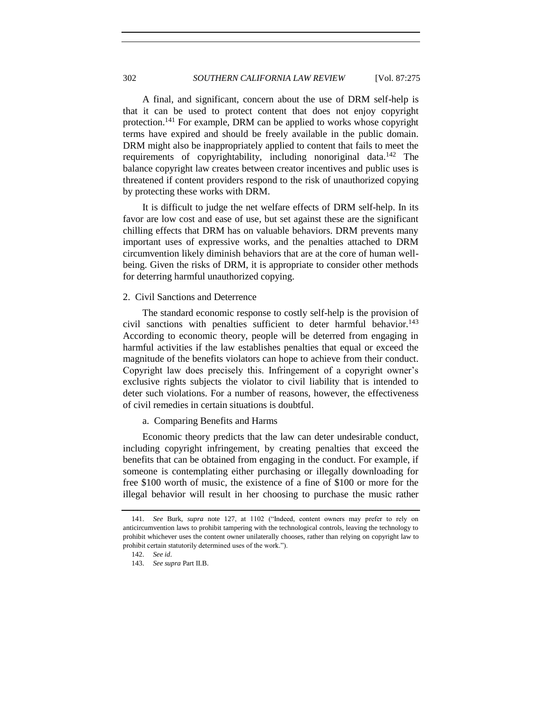A final, and significant, concern about the use of DRM self-help is that it can be used to protect content that does not enjoy copyright protection.<sup>141</sup> For example, DRM can be applied to works whose copyright terms have expired and should be freely available in the public domain. DRM might also be inappropriately applied to content that fails to meet the requirements of copyrightability, including nonoriginal data.<sup>142</sup> The balance copyright law creates between creator incentives and public uses is threatened if content providers respond to the risk of unauthorized copying by protecting these works with DRM.

It is difficult to judge the net welfare effects of DRM self-help. In its favor are low cost and ease of use, but set against these are the significant chilling effects that DRM has on valuable behaviors. DRM prevents many important uses of expressive works, and the penalties attached to DRM circumvention likely diminish behaviors that are at the core of human wellbeing. Given the risks of DRM, it is appropriate to consider other methods for deterring harmful unauthorized copying.

# <span id="page-27-0"></span>2. Civil Sanctions and Deterrence

The standard economic response to costly self-help is the provision of civil sanctions with penalties sufficient to deter harmful behavior.<sup>143</sup> According to economic theory, people will be deterred from engaging in harmful activities if the law establishes penalties that equal or exceed the magnitude of the benefits violators can hope to achieve from their conduct. Copyright law does precisely this. Infringement of a copyright owner's exclusive rights subjects the violator to civil liability that is intended to deter such violations. For a number of reasons, however, the effectiveness of civil remedies in certain situations is doubtful.

<span id="page-27-1"></span>a. Comparing Benefits and Harms

Economic theory predicts that the law can deter undesirable conduct, including copyright infringement, by creating penalties that exceed the benefits that can be obtained from engaging in the conduct. For example, if someone is contemplating either purchasing or illegally downloading for free \$100 worth of music, the existence of a fine of \$100 or more for the illegal behavior will result in her choosing to purchase the music rather

<sup>141.</sup> *See* Burk, *supra* note [127,](#page-23-2) at 1102 ("Indeed, content owners may prefer to rely on anticircumvention laws to prohibit tampering with the technological controls, leaving the technology to prohibit whichever uses the content owner unilaterally chooses, rather than relying on copyright law to prohibit certain statutorily determined uses of the work.").

<sup>142.</sup> *See id*.

<sup>143.</sup> *See supra* Part II.B.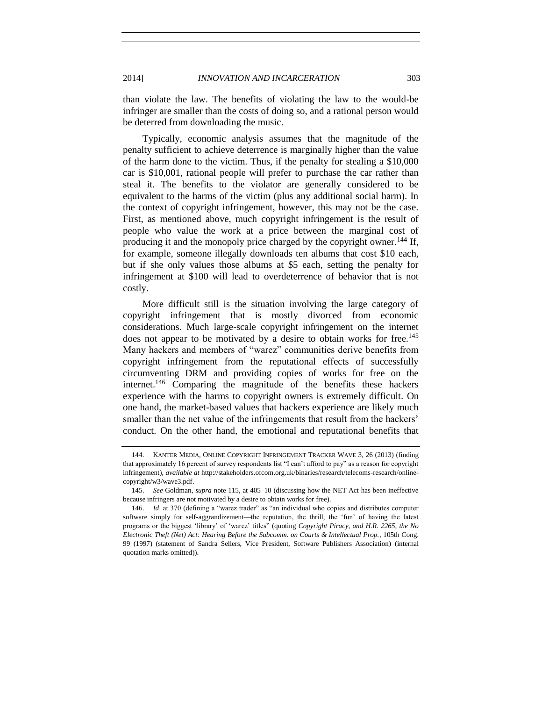than violate the law. The benefits of violating the law to the would-be infringer are smaller than the costs of doing so, and a rational person would be deterred from downloading the music.

Typically, economic analysis assumes that the magnitude of the penalty sufficient to achieve deterrence is marginally higher than the value of the harm done to the victim. Thus, if the penalty for stealing a \$10,000 car is \$10,001, rational people will prefer to purchase the car rather than steal it. The benefits to the violator are generally considered to be equivalent to the harms of the victim (plus any additional social harm). In the context of copyright infringement, however, this may not be the case. First, as mentioned above, much copyright infringement is the result of people who value the work at a price between the marginal cost of producing it and the monopoly price charged by the copyright owner.<sup>144</sup> If, for example, someone illegally downloads ten albums that cost \$10 each, but if she only values those albums at \$5 each, setting the penalty for infringement at \$100 will lead to overdeterrence of behavior that is not costly.

More difficult still is the situation involving the large category of copyright infringement that is mostly divorced from economic considerations. Much large-scale copyright infringement on the internet does not appear to be motivated by a desire to obtain works for free.<sup>145</sup> Many hackers and members of "warez" communities derive benefits from copyright infringement from the reputational effects of successfully circumventing DRM and providing copies of works for free on the internet.<sup>146</sup> Comparing the magnitude of the benefits these hackers experience with the harms to copyright owners is extremely difficult. On one hand, the market-based values that hackers experience are likely much smaller than the net value of the infringements that result from the hackers' conduct. On the other hand, the emotional and reputational benefits that

<span id="page-28-0"></span>

<sup>144.</sup> KANTER MEDIA, ONLINE COPYRIGHT INFRINGEMENT TRACKER WAVE 3, 26 (2013) (finding that approximately 16 percent of survey respondents list "I can't afford to pay" as a reason for copyright infringement), *available at* http://stakeholders.ofcom.org.uk/binaries/research/telecoms-research/onlinecopyright/w3/wave3.pdf.

<sup>145.</sup> *See* Goldman, *supra* note [115,](#page-21-0) at 405–10 (discussing how the NET Act has been ineffective because infringers are not motivated by a desire to obtain works for free).

<sup>146.</sup> *Id.* at 370 (defining a "warez trader" as "an individual who copies and distributes computer software simply for self-aggrandizement—the reputation, the thrill, the 'fun' of having the latest programs or the biggest 'library' of 'warez' titles" (quoting *Copyright Piracy, and H.R. 2265, the No Electronic Theft (Net) Act: Hearing Before the Subcomm. on Courts & Intellectual Prop.*, 105th Cong. 99 (1997) (statement of Sandra Sellers, Vice President, Software Publishers Association) (internal quotation marks omitted)).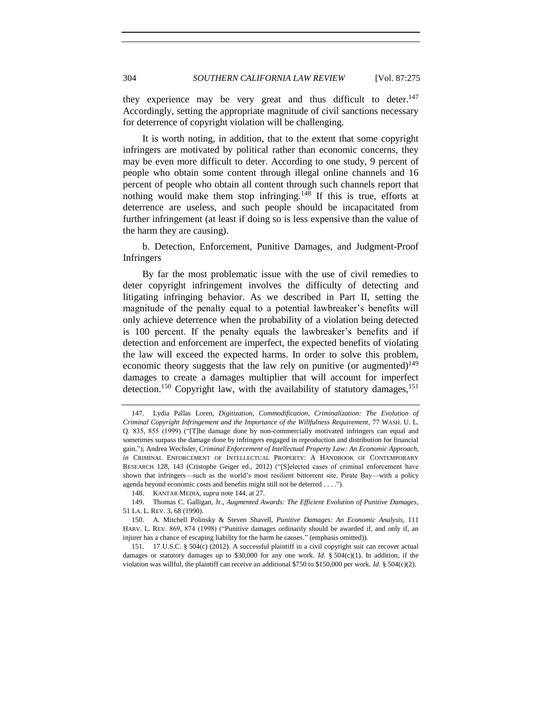they experience may be very great and thus difficult to deter. $147$ Accordingly, setting the appropriate magnitude of civil sanctions necessary for deterrence of copyright violation will be challenging.

It is worth noting, in addition, that to the extent that some copyright infringers are motivated by political rather than economic concerns, they may be even more difficult to deter. According to one study, 9 percent of people who obtain some content through illegal online channels and 16 percent of people who obtain all content through such channels report that nothing would make them stop infringing.<sup>148</sup> If this is true, efforts at deterrence are useless, and such people should be incapacitated from further infringement (at least if doing so is less expensive than the value of the harm they are causing).

<span id="page-29-0"></span>b. Detection, Enforcement, Punitive Damages, and Judgment-Proof Infringers

By far the most problematic issue with the use of civil remedies to deter copyright infringement involves the difficulty of detecting and litigating infringing behavior. As we described in Part II, setting the magnitude of the penalty equal to a potential lawbreaker's benefits will only achieve deterrence when the probability of a violation being detected is 100 percent. If the penalty equals the lawbreaker's benefits and if detection and enforcement are imperfect, the expected benefits of violating the law will exceed the expected harms. In order to solve this problem, economic theory suggests that the law rely on punitive (or augmented)<sup>149</sup> damages to create a damages multiplier that will account for imperfect detection.<sup>150</sup> Copyright law, with the availability of statutory damages,<sup>151</sup>

<span id="page-29-1"></span>

<sup>147.</sup> Lydia Pallas Loren, *Digitization, Commodification, Criminalization: The Evolution of Criminal Copyright Infringement and the Importance of the Willfulness Requirement*, 77 WASH. U. L. Q. 835, 855 (1999) ("[T]he damage done by non-commercially motivated infringers can equal and sometimes surpass the damage done by infringers engaged in reproduction and distribution for financial gain."); Andrea Wechsler, *Criminal Enforcement of Intellectual Property Law: An Economic Approach*, *in* CRIMINAL ENFORCEMENT OF INTELLECTUAL PROPERTY: A HANDBOOK OF CONTEMPORARY RESEARCH 128, 143 (Cristophe Geiger ed., 2012) ("[S]elected cases of criminal enforcement have shown that infringers—such as the world's most resilient bittorrent site, Pirate Bay—with a policy agenda beyond economic costs and benefits might still not be deterred . . . .").

<sup>148.</sup> KANTAR MEDIA, *supra* not[e 144,](#page-28-0) at 27.

<sup>149.</sup> Thomas C. Galligan, Jr., *Augmented Awards: The Efficient Evolution of Punitive Damages*, 51 LA. L. REV. 3, 68 (1990).

<sup>150.</sup> A. Mitchell Polinsky & Steven Shavell, *Punitive Damages: An Economic Analysis*, 111 HARV. L. REV. 869, 874 (1998) ("Punitive damages ordinarily should be awarded if, and only if, an injurer has a chance of escaping liability for the harm he causes." (emphasis omitted)).

<sup>151.</sup> 17 U.S.C. § 504(c) (2012). A successful plaintiff in a civil copyright suit can recover actual damages or statutory damages up to \$30,000 for any one work. *Id.* § 504(c)(1). In addition, if the violation was willful, the plaintiff can receive an additional \$750 to \$150,000 per work. *Id.* § 504(c)(2).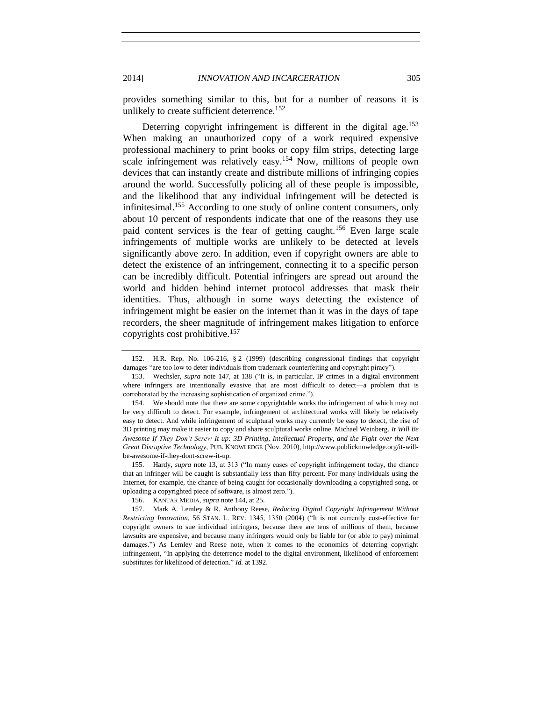provides something similar to this, but for a number of reasons it is unlikely to create sufficient deterrence.<sup>152</sup>

Deterring copyright infringement is different in the digital age.<sup>153</sup> When making an unauthorized copy of a work required expensive professional machinery to print books or copy film strips, detecting large scale infringement was relatively easy.<sup>154</sup> Now, millions of people own devices that can instantly create and distribute millions of infringing copies around the world. Successfully policing all of these people is impossible, and the likelihood that any individual infringement will be detected is infinitesimal.<sup>155</sup> According to one study of online content consumers, only about 10 percent of respondents indicate that one of the reasons they use paid content services is the fear of getting caught.<sup>156</sup> Even large scale infringements of multiple works are unlikely to be detected at levels significantly above zero. In addition, even if copyright owners are able to detect the existence of an infringement, connecting it to a specific person can be incredibly difficult. Potential infringers are spread out around the world and hidden behind internet protocol addresses that mask their identities. Thus, although in some ways detecting the existence of infringement might be easier on the internet than it was in the days of tape recorders, the sheer magnitude of infringement makes litigation to enforce copyrights cost prohibitive.<sup>157</sup>

155. Hardy, *supra* note [13,](#page-3-1) at 313 ("In many cases of copyright infringement today, the chance that an infringer will be caught is substantially less than fifty percent. For many individuals using the Internet, for example, the chance of being caught for occasionally downloading a copyrighted song, or uploading a copyrighted piece of software, is almost zero.").

<span id="page-30-0"></span><sup>152.</sup> H.R. Rep. No. 106-216, § 2 (1999) (describing congressional findings that copyright damages "are too low to deter individuals from trademark counterfeiting and copyright piracy").

<sup>153.</sup> Wechsler, *supra* note [147,](#page-29-1) at 138 ("It is, in particular, IP crimes in a digital environment where infringers are intentionally evasive that are most difficult to detect—a problem that is corroborated by the increasing sophistication of organized crime.").

<sup>154.</sup> We should note that there are some copyrightable works the infringement of which may not be very difficult to detect. For example, infringement of architectural works will likely be relatively easy to detect. And while infringement of sculptural works may currently be easy to detect, the rise of 3D printing may make it easier to copy and share sculptural works online. Michael Weinberg, *It Will Be Awesome If They Don't Screw It up: 3D Printing, Intellectual Property, and the Fight over the Next Great Disruptive Technology*, PUB. KNOWLEDGE (Nov. 2010), http://www.publicknowledge.org/it-willbe-awesome-if-they-dont-screw-it-up.

<sup>156.</sup> KANTAR MEDIA, *supra* not[e 144,](#page-28-0) at 25.

<sup>157.</sup> Mark A. Lemley & R. Anthony Reese, *Reducing Digital Copyright Infringement Without Restricting Innovation*, 56 STAN. L. REV. 1345, 1350 (2004) ("It is not currently cost-effective for copyright owners to sue individual infringers, because there are tens of millions of them, because lawsuits are expensive, and because many infringers would only be liable for (or able to pay) minimal damages.") As Lemley and Reese note, when it comes to the economics of deterring copyright infringement, "In applying the deterrence model to the digital environment, likelihood of enforcement substitutes for likelihood of detection." *Id.* at 1392.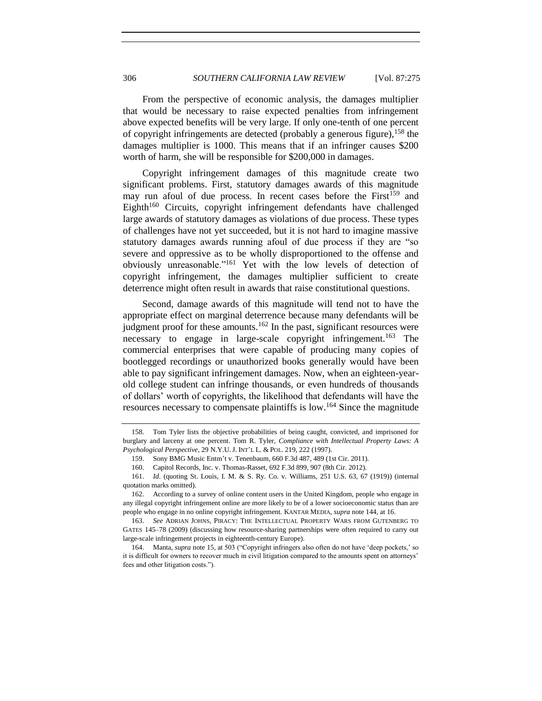<span id="page-31-1"></span>From the perspective of economic analysis, the damages multiplier that would be necessary to raise expected penalties from infringement above expected benefits will be very large. If only one-tenth of one percent of copyright infringements are detected (probably a generous figure),  $158$  the damages multiplier is 1000. This means that if an infringer causes \$200 worth of harm, she will be responsible for \$200,000 in damages.

<span id="page-31-0"></span>Copyright infringement damages of this magnitude create two significant problems. First, statutory damages awards of this magnitude may run afoul of due process. In recent cases before the First<sup>159</sup> and Eighth<sup>160</sup> Circuits, copyright infringement defendants have challenged large awards of statutory damages as violations of due process. These types of challenges have not yet succeeded, but it is not hard to imagine massive statutory damages awards running afoul of due process if they are "so severe and oppressive as to be wholly disproportioned to the offense and obviously unreasonable."<sup>161</sup> Yet with the low levels of detection of copyright infringement, the damages multiplier sufficient to create deterrence might often result in awards that raise constitutional questions.

Second, damage awards of this magnitude will tend not to have the appropriate effect on marginal deterrence because many defendants will be judgment proof for these amounts.<sup>162</sup> In the past, significant resources were necessary to engage in large-scale copyright infringement.<sup>163</sup> The commercial enterprises that were capable of producing many copies of bootlegged recordings or unauthorized books generally would have been able to pay significant infringement damages. Now, when an eighteen-yearold college student can infringe thousands, or even hundreds of thousands of dollars' worth of copyrights, the likelihood that defendants will have the resources necessary to compensate plaintiffs is low.<sup>164</sup> Since the magnitude

<sup>158.</sup> Tom Tyler lists the objective probabilities of being caught, convicted, and imprisoned for burglary and larceny at one percent. Tom R. Tyler, *Compliance with Intellectual Property Laws: A Psychological Perspective*, 29 N.Y.U. J. INT'L L. & POL. 219, 222 (1997).

<sup>159.</sup> Sony BMG Music Entm't v. Tenenbaum, 660 F.3d 487, 489 (1st Cir. 2011).

<sup>160.</sup> Capitol Records, Inc. v. Thomas-Rasset, 692 F.3d 899, 907 (8th Cir. 2012).

<sup>161.</sup> *Id*. (quoting St. Louis, I. M. & S. Ry. Co. v. Williams, 251 U.S. 63, 67 (1919)) (internal quotation marks omitted).

<sup>162.</sup> According to a survey of online content users in the United Kingdom, people who engage in any illegal copyright infringement online are more likely to be of a lower socioeconomic status than are people who engage in no online copyright infringement. KANTAR MEDIA, *supra* not[e 144,](#page-28-0) at 16.

<sup>163.</sup> *See* ADRIAN JOHNS, PIRACY: THE INTELLECTUAL PROPERTY WARS FROM GUTENBERG TO GATES 145–78 (2009) (discussing how resource-sharing partnerships were often required to carry out large-scale infringement projects in eighteenth-century Europe).

<sup>164.</sup> Manta, *supra* note [15,](#page-3-2) at 503 ("Copyright infringers also often do not have 'deep pockets,' so it is difficult for owners to recover much in civil litigation compared to the amounts spent on attorneys' fees and other litigation costs.").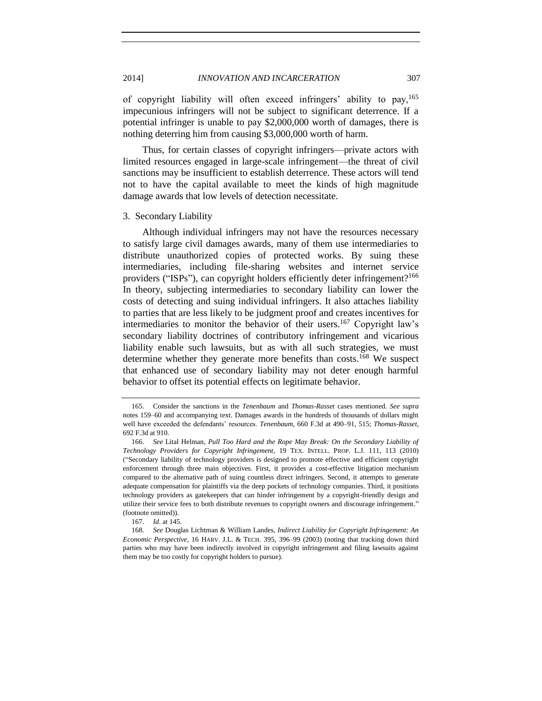of copyright liability will often exceed infringers' ability to pay,<sup>165</sup> impecunious infringers will not be subject to significant deterrence. If a potential infringer is unable to pay \$2,000,000 worth of damages, there is nothing deterring him from causing \$3,000,000 worth of harm.

Thus, for certain classes of copyright infringers—private actors with limited resources engaged in large-scale infringement—the threat of civil sanctions may be insufficient to establish deterrence. These actors will tend not to have the capital available to meet the kinds of high magnitude damage awards that low levels of detection necessitate.

#### <span id="page-32-0"></span>3. Secondary Liability

Although individual infringers may not have the resources necessary to satisfy large civil damages awards, many of them use intermediaries to distribute unauthorized copies of protected works. By suing these intermediaries, including file-sharing websites and internet service providers ("ISPs"), can copyright holders efficiently deter infringement?<sup>166</sup> In theory, subjecting intermediaries to secondary liability can lower the costs of detecting and suing individual infringers. It also attaches liability to parties that are less likely to be judgment proof and creates incentives for intermediaries to monitor the behavior of their users.<sup>167</sup> Copyright law's secondary liability doctrines of contributory infringement and vicarious liability enable such lawsuits, but as with all such strategies, we must determine whether they generate more benefits than costs.<sup>168</sup> We suspect that enhanced use of secondary liability may not deter enough harmful behavior to offset its potential effects on legitimate behavior.

<span id="page-32-1"></span>

<sup>165.</sup> Consider the sanctions in the *Tenenbaum* and *Thomas-Rasset* cases mentioned. *See supra* notes [159–](#page-31-0)60 and accompanying text. Damages awards in the hundreds of thousands of dollars might well have exceeded the defendants' resources. *Tenenbaum*, 660 F.3d at 490–91, 515; *Thomas-Rasset*, 692 F.3d at 910.

<sup>166.</sup> *See* Lital Helman, *Pull Too Hard and the Rope May Break: On the Secondary Liability of Technology Providers for Copyright Infringement*, 19 TEX. INTELL. PROP. L.J. 111, 113 (2010) ("Secondary liability of technology providers is designed to promote effective and efficient copyright enforcement through three main objectives. First, it provides a cost-effective litigation mechanism compared to the alternative path of suing countless direct infringers. Second, it attempts to generate adequate compensation for plaintiffs via the deep pockets of technology companies. Third, it positions technology providers as gatekeepers that can hinder infringement by a copyright-friendly design and utilize their service fees to both distribute revenues to copyright owners and discourage infringement." (footnote omitted)).

<sup>167.</sup> *Id*. at 145.

<sup>168.</sup> *See* Douglas Lichtman & William Landes, *Indirect Liability for Copyright Infringement: An Economic Perspective*, 16 HARV. J.L. & TECH. 395, 396–99 (2003) (noting that tracking down third parties who may have been indirectly involved in copyright infringement and filing lawsuits against them may be too costly for copyright holders to pursue).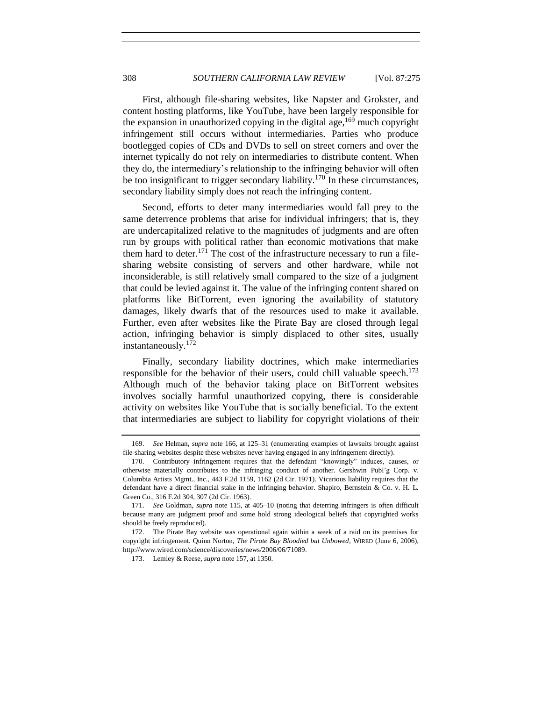First, although file-sharing websites, like Napster and Grokster, and content hosting platforms, like YouTube, have been largely responsible for the expansion in unauthorized copying in the digital age,  $169$  much copyright infringement still occurs without intermediaries. Parties who produce bootlegged copies of CDs and DVDs to sell on street corners and over the internet typically do not rely on intermediaries to distribute content. When they do, the intermediary's relationship to the infringing behavior will often be too insignificant to trigger secondary liability.<sup>170</sup> In these circumstances, secondary liability simply does not reach the infringing content.

Second, efforts to deter many intermediaries would fall prey to the same deterrence problems that arise for individual infringers; that is, they are undercapitalized relative to the magnitudes of judgments and are often run by groups with political rather than economic motivations that make them hard to deter.<sup>171</sup> The cost of the infrastructure necessary to run a filesharing website consisting of servers and other hardware, while not inconsiderable, is still relatively small compared to the size of a judgment that could be levied against it. The value of the infringing content shared on platforms like BitTorrent, even ignoring the availability of statutory damages, likely dwarfs that of the resources used to make it available. Further, even after websites like the Pirate Bay are closed through legal action, infringing behavior is simply displaced to other sites, usually instantaneously.<sup>172</sup>

Finally, secondary liability doctrines, which make intermediaries responsible for the behavior of their users, could chill valuable speech.<sup>173</sup> Although much of the behavior taking place on BitTorrent websites involves socially harmful unauthorized copying, there is considerable activity on websites like YouTube that is socially beneficial. To the extent that intermediaries are subject to liability for copyright violations of their

<sup>169.</sup> *See* Helman, *supra* note [166,](#page-32-1) at 125–31 (enumerating examples of lawsuits brought against file-sharing websites despite these websites never having engaged in any infringement directly).

<sup>170.</sup> Contributory infringement requires that the defendant "knowingly" induces, causes, or otherwise materially contributes to the infringing conduct of another. Gershwin Publ'g Corp. v. Columbia Artists Mgmt., Inc., 443 F.2d 1159, 1162 (2d Cir. 1971). Vicarious liability requires that the defendant have a direct financial stake in the infringing behavior. Shapiro, Bernstein & Co. v. H. L. Green Co., 316 F.2d 304, 307 (2d Cir. 1963).

<sup>171.</sup> *See* Goldman, *supra* note [115,](#page-21-0) at 405–10 (noting that deterring infringers is often difficult because many are judgment proof and some hold strong ideological beliefs that copyrighted works should be freely reproduced).

<sup>172.</sup> The Pirate Bay website was operational again within a week of a raid on its premises for copyright infringement. Quinn Norton, *The Pirate Bay Bloodied but Unbowed*, WIRED (June 6, 2006), http://www.wired.com/science/discoveries/news/2006/06/71089.

<sup>173.</sup> Lemley & Reese, *supra* not[e 157,](#page-30-0) at 1350.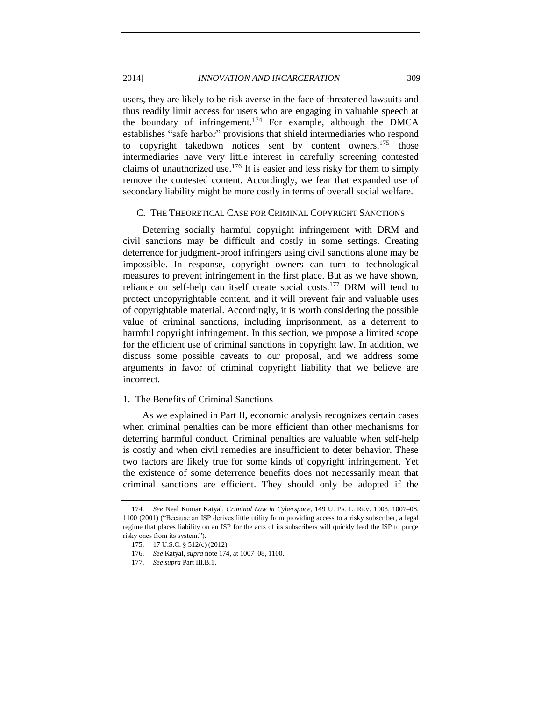# 2014] *INNOVATION AND INCARCERATION* 309

<span id="page-34-2"></span>users, they are likely to be risk averse in the face of threatened lawsuits and thus readily limit access for users who are engaging in valuable speech at the boundary of infringement.<sup>174</sup> For example, although the DMCA establishes "safe harbor" provisions that shield intermediaries who respond to copyright takedown notices sent by content owners,  $175$  those intermediaries have very little interest in carefully screening contested claims of unauthorized use.<sup>176</sup> It is easier and less risky for them to simply remove the contested content. Accordingly, we fear that expanded use of secondary liability might be more costly in terms of overall social welfare.

#### <span id="page-34-0"></span>C. THE THEORETICAL CASE FOR CRIMINAL COPYRIGHT SANCTIONS

Deterring socially harmful copyright infringement with DRM and civil sanctions may be difficult and costly in some settings. Creating deterrence for judgment-proof infringers using civil sanctions alone may be impossible. In response, copyright owners can turn to technological measures to prevent infringement in the first place. But as we have shown, reliance on self-help can itself create social costs.<sup>177</sup> DRM will tend to protect uncopyrightable content, and it will prevent fair and valuable uses of copyrightable material. Accordingly, it is worth considering the possible value of criminal sanctions, including imprisonment, as a deterrent to harmful copyright infringement. In this section, we propose a limited scope for the efficient use of criminal sanctions in copyright law. In addition, we discuss some possible caveats to our proposal, and we address some arguments in favor of criminal copyright liability that we believe are incorrect.

# <span id="page-34-1"></span>1. The Benefits of Criminal Sanctions

As we explained in Part II, economic analysis recognizes certain cases when criminal penalties can be more efficient than other mechanisms for deterring harmful conduct. Criminal penalties are valuable when self-help is costly and when civil remedies are insufficient to deter behavior. These two factors are likely true for some kinds of copyright infringement. Yet the existence of some deterrence benefits does not necessarily mean that criminal sanctions are efficient. They should only be adopted if the

<sup>174.</sup> *See* Neal Kumar Katyal, *Criminal Law in Cyberspace*, 149 U. PA. L. REV. 1003, 1007–08, 1100 (2001) ("Because an ISP derives little utility from providing access to a risky subscriber, a legal regime that places liability on an ISP for the acts of its subscribers will quickly lead the ISP to purge risky ones from its system.").

<sup>175.</sup> 17 U.S.C. § 512(c) (2012).

<sup>176.</sup> *See* Katyal, *supra* not[e 174,](#page-34-2) at 1007–08, 1100.

<sup>177.</sup> *See supra* Part III.B.1.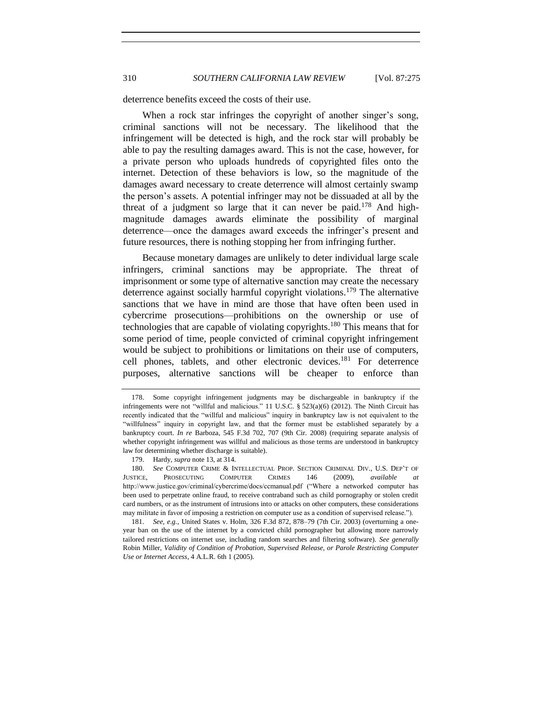deterrence benefits exceed the costs of their use.

When a rock star infringes the copyright of another singer's song, criminal sanctions will not be necessary. The likelihood that the infringement will be detected is high, and the rock star will probably be able to pay the resulting damages award. This is not the case, however, for a private person who uploads hundreds of copyrighted files onto the internet. Detection of these behaviors is low, so the magnitude of the damages award necessary to create deterrence will almost certainly swamp the person's assets. A potential infringer may not be dissuaded at all by the threat of a judgment so large that it can never be paid.<sup>178</sup> And highmagnitude damages awards eliminate the possibility of marginal deterrence—once the damages award exceeds the infringer's present and future resources, there is nothing stopping her from infringing further.

Because monetary damages are unlikely to deter individual large scale infringers, criminal sanctions may be appropriate. The threat of imprisonment or some type of alternative sanction may create the necessary deterrence against socially harmful copyright violations.<sup>179</sup> The alternative sanctions that we have in mind are those that have often been used in cybercrime prosecutions—prohibitions on the ownership or use of technologies that are capable of violating copyrights.<sup>180</sup> This means that for some period of time, people convicted of criminal copyright infringement would be subject to prohibitions or limitations on their use of computers, cell phones, tablets, and other electronic devices.<sup>181</sup> For deterrence purposes, alternative sanctions will be cheaper to enforce than

181. *See, e.g.*, United States v. Holm, 326 F.3d 872, 878–79 (7th Cir. 2003) (overturning a oneyear ban on the use of the internet by a convicted child pornographer but allowing more narrowly tailored restrictions on internet use, including random searches and filtering software). *See generally* Robin Miller, *Validity of Condition of Probation, Supervised Release, or Parole Restricting Computer Use or Internet Access*, 4 A.L.R. 6th 1 (2005).

<sup>178.</sup> Some copyright infringement judgments may be dischargeable in bankruptcy if the infringements were not "willful and malicious." 11 U.S.C.  $\S 523(a)(6)$  (2012). The Ninth Circuit has recently indicated that the "willful and malicious" inquiry in bankruptcy law is not equivalent to the "willfulness" inquiry in copyright law, and that the former must be established separately by a bankruptcy court. *In re* Barboza, 545 F.3d 702, 707 (9th Cir. 2008) (requiring separate analysis of whether copyright infringement was willful and malicious as those terms are understood in bankruptcy law for determining whether discharge is suitable).

<sup>179.</sup> Hardy, *supra* note [13,](#page-3-1) at 314.

<sup>180.</sup> *See* COMPUTER CRIME & INTELLECTUAL PROP. SECTION CRIMINAL DIV., U.S. DEP'T OF JUSTICE, PROSECUTING COMPUTER CRIMES 146 (2009), *available at* http://www.justice.gov/criminal/cybercrime/docs/ccmanual.pdf ("Where a networked computer has been used to perpetrate online fraud, to receive contraband such as child pornography or stolen credit card numbers, or as the instrument of intrusions into or attacks on other computers, these considerations may militate in favor of imposing a restriction on computer use as a condition of supervised release.").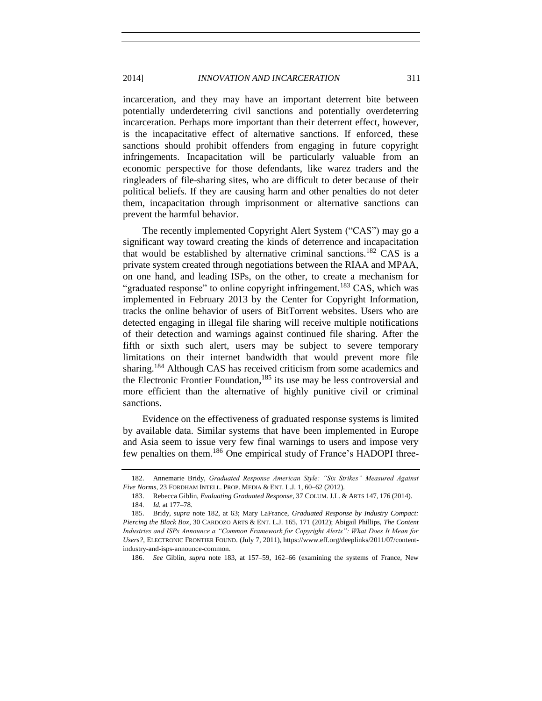incarceration, and they may have an important deterrent bite between potentially underdeterring civil sanctions and potentially overdeterring incarceration. Perhaps more important than their deterrent effect, however, is the incapacitative effect of alternative sanctions. If enforced, these sanctions should prohibit offenders from engaging in future copyright infringements. Incapacitation will be particularly valuable from an economic perspective for those defendants, like warez traders and the ringleaders of file-sharing sites, who are difficult to deter because of their political beliefs. If they are causing harm and other penalties do not deter them, incapacitation through imprisonment or alternative sanctions can prevent the harmful behavior.

<span id="page-36-1"></span><span id="page-36-0"></span>The recently implemented Copyright Alert System ("CAS") may go a significant way toward creating the kinds of deterrence and incapacitation that would be established by alternative criminal sanctions.<sup>182</sup> CAS is a private system created through negotiations between the RIAA and MPAA, on one hand, and leading ISPs, on the other, to create a mechanism for "graduated response" to online copyright infringement.<sup>183</sup> CAS, which was implemented in February 2013 by the Center for Copyright Information, tracks the online behavior of users of BitTorrent websites. Users who are detected engaging in illegal file sharing will receive multiple notifications of their detection and warnings against continued file sharing. After the fifth or sixth such alert, users may be subject to severe temporary limitations on their internet bandwidth that would prevent more file sharing.<sup>184</sup> Although CAS has received criticism from some academics and the Electronic Frontier Foundation, $185$  its use may be less controversial and more efficient than the alternative of highly punitive civil or criminal sanctions.

Evidence on the effectiveness of graduated response systems is limited by available data. Similar systems that have been implemented in Europe and Asia seem to issue very few final warnings to users and impose very few penalties on them.<sup>186</sup> One empirical study of France's HADOPI three-

<sup>182.</sup> Annemarie Bridy, *Graduated Response American Style: "Six Strikes" Measured Against Five Norms*, 23 FORDHAM INTELL. PROP. MEDIA & ENT. L.J. 1, 60–62 (2012).

<sup>183.</sup> Rebecca Giblin, *Evaluating Graduated Response*, 37 COLUM. J.L. & ARTS 147, 176 (2014). 184. *Id.* at 177–78.

<sup>185.</sup> Bridy, *supra* note [182,](#page-36-0) at 63; Mary LaFrance, *Graduated Response by Industry Compact: Piercing the Black Box*, 30 CARDOZO ARTS & ENT. L.J. 165, 171 (2012); Abigail Phillips, *The Content Industries and ISPs Announce a "Common Framework for Copyright Alerts": What Does It Mean for Users?*, ELECTRONIC FRONTIER FOUND. (July 7, 2011), https://www.eff.org/deeplinks/2011/07/contentindustry-and-isps-announce-common.

<sup>186.</sup> *See* Giblin, *supra* note [183,](#page-36-1) at 157–59, 162–66 (examining the systems of France, New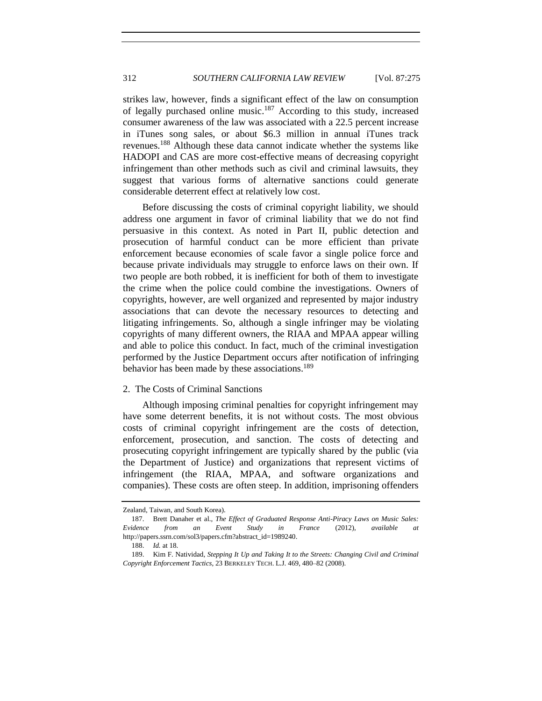strikes law, however, finds a significant effect of the law on consumption of legally purchased online music.<sup>187</sup> According to this study, increased consumer awareness of the law was associated with a 22.5 percent increase in iTunes song sales, or about \$6.3 million in annual iTunes track revenues.<sup>188</sup> Although these data cannot indicate whether the systems like HADOPI and CAS are more cost-effective means of decreasing copyright infringement than other methods such as civil and criminal lawsuits, they suggest that various forms of alternative sanctions could generate considerable deterrent effect at relatively low cost.

Before discussing the costs of criminal copyright liability, we should address one argument in favor of criminal liability that we do not find persuasive in this context. As noted in Part II, public detection and prosecution of harmful conduct can be more efficient than private enforcement because economies of scale favor a single police force and because private individuals may struggle to enforce laws on their own. If two people are both robbed, it is inefficient for both of them to investigate the crime when the police could combine the investigations. Owners of copyrights, however, are well organized and represented by major industry associations that can devote the necessary resources to detecting and litigating infringements. So, although a single infringer may be violating copyrights of many different owners, the RIAA and MPAA appear willing and able to police this conduct. In fact, much of the criminal investigation performed by the Justice Department occurs after notification of infringing behavior has been made by these associations.<sup>189</sup>

# <span id="page-37-0"></span>2. The Costs of Criminal Sanctions

Although imposing criminal penalties for copyright infringement may have some deterrent benefits, it is not without costs. The most obvious costs of criminal copyright infringement are the costs of detection, enforcement, prosecution, and sanction. The costs of detecting and prosecuting copyright infringement are typically shared by the public (via the Department of Justice) and organizations that represent victims of infringement (the RIAA, MPAA, and software organizations and companies). These costs are often steep. In addition, imprisoning offenders

Zealand, Taiwan, and South Korea).

<sup>187.</sup> Brett Danaher et al., *The Effect of Graduated Response Anti-Piracy Laws on Music Sales: Evidence from an Event Study in France* (2012), *available at*  http://papers.ssrn.com/sol3/papers.cfm?abstract\_id=1989240.

<sup>188.</sup> *Id.* at 18.

<sup>189.</sup> Kim F. Natividad, *Stepping It Up and Taking It to the Streets: Changing Civil and Criminal Copyright Enforcement Tactics*, 23 BERKELEY TECH. L.J. 469, 480–82 (2008).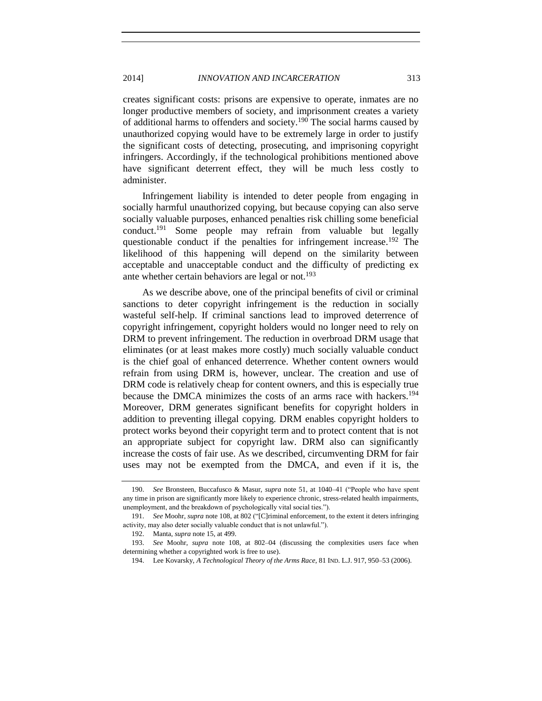creates significant costs: prisons are expensive to operate, inmates are no longer productive members of society, and imprisonment creates a variety of additional harms to offenders and society.<sup>190</sup> The social harms caused by unauthorized copying would have to be extremely large in order to justify the significant costs of detecting, prosecuting, and imprisoning copyright infringers. Accordingly, if the technological prohibitions mentioned above have significant deterrent effect, they will be much less costly to administer.

Infringement liability is intended to deter people from engaging in socially harmful unauthorized copying, but because copying can also serve socially valuable purposes, enhanced penalties risk chilling some beneficial conduct.<sup>191</sup> Some people may refrain from valuable but legally questionable conduct if the penalties for infringement increase.<sup>192</sup> The likelihood of this happening will depend on the similarity between acceptable and unacceptable conduct and the difficulty of predicting ex ante whether certain behaviors are legal or not.<sup>193</sup>

As we describe above, one of the principal benefits of civil or criminal sanctions to deter copyright infringement is the reduction in socially wasteful self-help. If criminal sanctions lead to improved deterrence of copyright infringement, copyright holders would no longer need to rely on DRM to prevent infringement. The reduction in overbroad DRM usage that eliminates (or at least makes more costly) much socially valuable conduct is the chief goal of enhanced deterrence. Whether content owners would refrain from using DRM is, however, unclear. The creation and use of DRM code is relatively cheap for content owners, and this is especially true because the DMCA minimizes the costs of an arms race with hackers.<sup>194</sup> Moreover, DRM generates significant benefits for copyright holders in addition to preventing illegal copying. DRM enables copyright holders to protect works beyond their copyright term and to protect content that is not an appropriate subject for copyright law. DRM also can significantly increase the costs of fair use. As we described, circumventing DRM for fair uses may not be exempted from the DMCA, and even if it is, the

<sup>190.</sup> *See* Bronsteen, Buccafusco & Masur, *supra* note [51,](#page-9-4) at 1040–41 ("People who have spent any time in prison are significantly more likely to experience chronic, stress-related health impairments, unemployment, and the breakdown of psychologically vital social ties.").

<sup>191.</sup> *See* Moohr, *supra* note [108,](#page-19-2) at 802 ("[C]riminal enforcement, to the extent it deters infringing activity, may also deter socially valuable conduct that is not unlawful.").

<sup>192.</sup> Manta, *supra* note [15,](#page-3-2) at 499.

<sup>193.</sup> *See* Moohr, *supra* note [108,](#page-19-2) at 802–04 (discussing the complexities users face when determining whether a copyrighted work is free to use).

<sup>194.</sup> Lee Kovarsky, *A Technological Theory of the Arms Race*, 81 IND. L.J. 917, 950–53 (2006).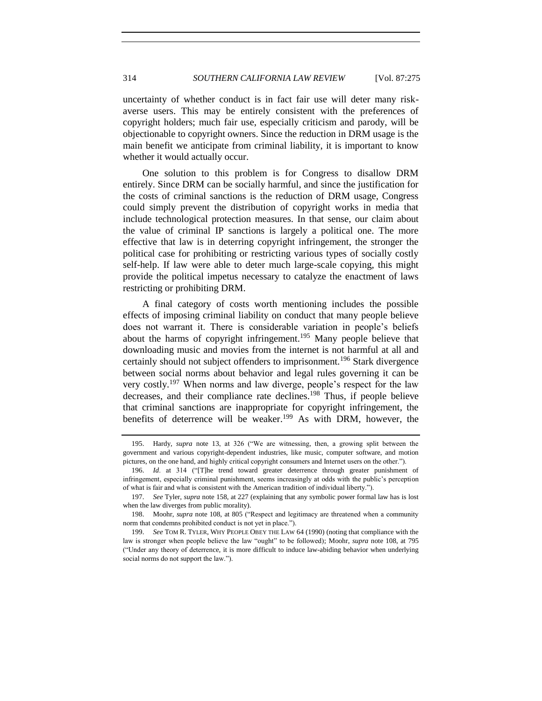uncertainty of whether conduct is in fact fair use will deter many riskaverse users. This may be entirely consistent with the preferences of copyright holders; much fair use, especially criticism and parody, will be objectionable to copyright owners. Since the reduction in DRM usage is the main benefit we anticipate from criminal liability, it is important to know whether it would actually occur.

One solution to this problem is for Congress to disallow DRM entirely. Since DRM can be socially harmful, and since the justification for the costs of criminal sanctions is the reduction of DRM usage, Congress could simply prevent the distribution of copyright works in media that include technological protection measures. In that sense, our claim about the value of criminal IP sanctions is largely a political one. The more effective that law is in deterring copyright infringement, the stronger the political case for prohibiting or restricting various types of socially costly self-help. If law were able to deter much large-scale copying, this might provide the political impetus necessary to catalyze the enactment of laws restricting or prohibiting DRM.

A final category of costs worth mentioning includes the possible effects of imposing criminal liability on conduct that many people believe does not warrant it. There is considerable variation in people's beliefs about the harms of copyright infringement.<sup>195</sup> Many people believe that downloading music and movies from the internet is not harmful at all and certainly should not subject offenders to imprisonment.<sup>196</sup> Stark divergence between social norms about behavior and legal rules governing it can be very costly.<sup>197</sup> When norms and law diverge, people's respect for the law decreases, and their compliance rate declines.<sup>198</sup> Thus, if people believe that criminal sanctions are inappropriate for copyright infringement, the benefits of deterrence will be weaker.<sup>199</sup> As with DRM, however, the

<sup>195.</sup> Hardy, *supra* note [13,](#page-3-1) at 326 ("We are witnessing, then, a growing split between the government and various copyright-dependent industries, like music, computer software, and motion pictures, on the one hand, and highly critical copyright consumers and Internet users on the other.").

<sup>196.</sup> *Id*. at 314 ("[T]he trend toward greater deterrence through greater punishment of infringement, especially criminal punishment, seems increasingly at odds with the public's perception of what is fair and what is consistent with the American tradition of individual liberty.").

<sup>197.</sup> *See* Tyler, *supra* note [158,](#page-31-1) at 227 (explaining that any symbolic power formal law has is lost when the law diverges from public morality).

<sup>198.</sup> Moohr, *supra* note [108,](#page-19-2) at 805 ("Respect and legitimacy are threatened when a community norm that condemns prohibited conduct is not yet in place.").

<sup>199.</sup> *See* TOM R. TYLER, WHY PEOPLE OBEY THE LAW 64 (1990) (noting that compliance with the law is stronger when people believe the law "ought" to be followed); Moohr, *supra* note [108,](#page-19-2) at 795 ("Under any theory of deterrence, it is more difficult to induce law-abiding behavior when underlying social norms do not support the law.").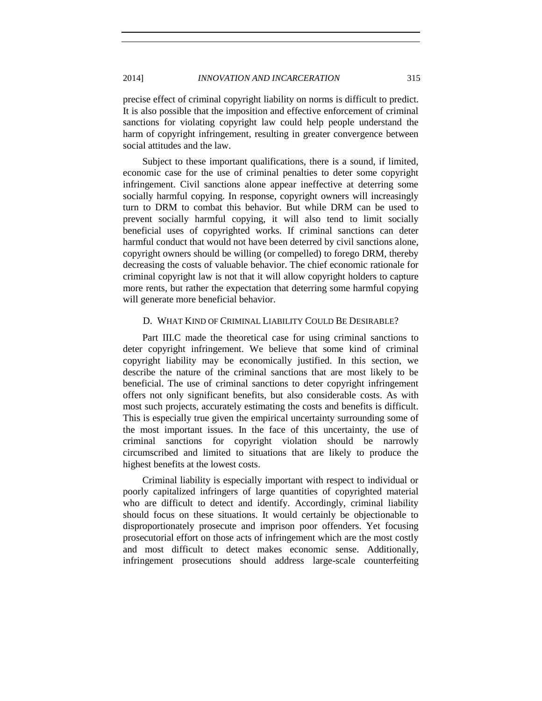precise effect of criminal copyright liability on norms is difficult to predict. It is also possible that the imposition and effective enforcement of criminal sanctions for violating copyright law could help people understand the harm of copyright infringement, resulting in greater convergence between social attitudes and the law.

Subject to these important qualifications, there is a sound, if limited, economic case for the use of criminal penalties to deter some copyright infringement. Civil sanctions alone appear ineffective at deterring some socially harmful copying. In response, copyright owners will increasingly turn to DRM to combat this behavior. But while DRM can be used to prevent socially harmful copying, it will also tend to limit socially beneficial uses of copyrighted works. If criminal sanctions can deter harmful conduct that would not have been deterred by civil sanctions alone, copyright owners should be willing (or compelled) to forego DRM, thereby decreasing the costs of valuable behavior. The chief economic rationale for criminal copyright law is not that it will allow copyright holders to capture more rents, but rather the expectation that deterring some harmful copying will generate more beneficial behavior.

# <span id="page-40-0"></span>D. WHAT KIND OF CRIMINAL LIABILITY COULD BE DESIRABLE?

Part III.C made the theoretical case for using criminal sanctions to deter copyright infringement. We believe that some kind of criminal copyright liability may be economically justified. In this section, we describe the nature of the criminal sanctions that are most likely to be beneficial. The use of criminal sanctions to deter copyright infringement offers not only significant benefits, but also considerable costs. As with most such projects, accurately estimating the costs and benefits is difficult. This is especially true given the empirical uncertainty surrounding some of the most important issues. In the face of this uncertainty, the use of criminal sanctions for copyright violation should be narrowly circumscribed and limited to situations that are likely to produce the highest benefits at the lowest costs.

Criminal liability is especially important with respect to individual or poorly capitalized infringers of large quantities of copyrighted material who are difficult to detect and identify. Accordingly, criminal liability should focus on these situations. It would certainly be objectionable to disproportionately prosecute and imprison poor offenders. Yet focusing prosecutorial effort on those acts of infringement which are the most costly and most difficult to detect makes economic sense. Additionally, infringement prosecutions should address large-scale counterfeiting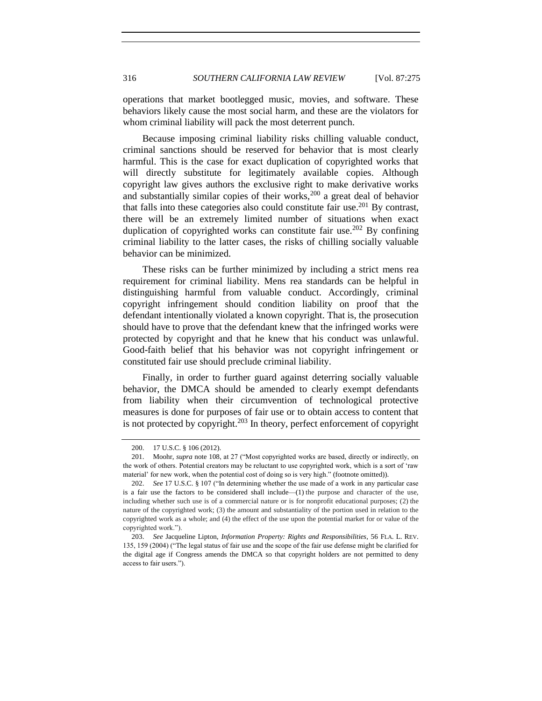operations that market bootlegged music, movies, and software. These behaviors likely cause the most social harm, and these are the violators for whom criminal liability will pack the most deterrent punch.

Because imposing criminal liability risks chilling valuable conduct, criminal sanctions should be reserved for behavior that is most clearly harmful. This is the case for exact duplication of copyrighted works that will directly substitute for legitimately available copies. Although copyright law gives authors the exclusive right to make derivative works and substantially similar copies of their works,<sup>200</sup> a great deal of behavior that falls into these categories also could constitute fair use.<sup>201</sup> By contrast, there will be an extremely limited number of situations when exact duplication of copyrighted works can constitute fair use.<sup>202</sup> By confining criminal liability to the latter cases, the risks of chilling socially valuable behavior can be minimized.

These risks can be further minimized by including a strict mens rea requirement for criminal liability. Mens rea standards can be helpful in distinguishing harmful from valuable conduct. Accordingly, criminal copyright infringement should condition liability on proof that the defendant intentionally violated a known copyright. That is, the prosecution should have to prove that the defendant knew that the infringed works were protected by copyright and that he knew that his conduct was unlawful. Good-faith belief that his behavior was not copyright infringement or constituted fair use should preclude criminal liability.

Finally, in order to further guard against deterring socially valuable behavior, the DMCA should be amended to clearly exempt defendants from liability when their circumvention of technological protective measures is done for purposes of fair use or to obtain access to content that is not protected by copyright. $203$  In theory, perfect enforcement of copyright

<sup>200.</sup> 17 U.S.C. § 106 (2012).

<sup>201.</sup> Moohr, *supra* note [108,](#page-19-2) at 27 ("Most copyrighted works are based, directly or indirectly, on the work of others. Potential creators may be reluctant to use copyrighted work, which is a sort of 'raw material' for new work, when the potential cost of doing so is very high." (footnote omitted)).

<sup>202.</sup> *See* 17 U.S.C. § 107 ("In determining whether the use made of a work in any particular case is a fair use the factors to be considered shall include—(1) the purpose and character of the use, including whether such use is of a commercial nature or is for nonprofit educational purposes; (2) the nature of the copyrighted work; (3) the amount and substantiality of the portion used in relation to the copyrighted work as a whole; and (4) the effect of the use upon the potential market for or value of the copyrighted work.").

<sup>203.</sup> *See* Jacqueline Lipton, *Information Property: Rights and Responsibilities*, 56 FLA. L. REV. 135, 159 (2004) ("The legal status of fair use and the scope of the fair use defense might be clarified for the digital age if Congress amends the DMCA so that copyright holders are not permitted to deny access to fair users.").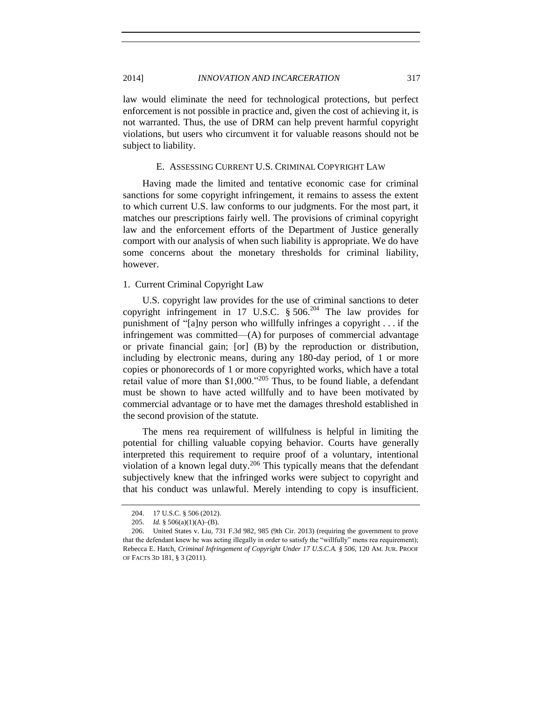law would eliminate the need for technological protections, but perfect enforcement is not possible in practice and, given the cost of achieving it, is not warranted. Thus, the use of DRM can help prevent harmful copyright violations, but users who circumvent it for valuable reasons should not be subject to liability.

# E. ASSESSING CURRENT U.S. CRIMINAL COPYRIGHT LAW

<span id="page-42-0"></span>Having made the limited and tentative economic case for criminal sanctions for some copyright infringement, it remains to assess the extent to which current U.S. law conforms to our judgments. For the most part, it matches our prescriptions fairly well. The provisions of criminal copyright law and the enforcement efforts of the Department of Justice generally comport with our analysis of when such liability is appropriate. We do have some concerns about the monetary thresholds for criminal liability, however.

## <span id="page-42-1"></span>1. Current Criminal Copyright Law

U.S. copyright law provides for the use of criminal sanctions to deter copyright infringement in 17 U.S.C.  $\S 506$ <sup>204</sup> The law provides for punishment of "[a]ny person who willfully infringes a copyright . . . if the infringement was committed—(A) for purposes of commercial advantage or private financial gain; [or] (B) by the reproduction or distribution, including by electronic means, during any 180-day period, of 1 or more copies or phonorecords of 1 or more copyrighted works, which have a total retail value of more than \$1,000."<sup>205</sup> Thus, to be found liable, a defendant must be shown to have acted willfully and to have been motivated by commercial advantage or to have met the damages threshold established in the second provision of the statute.

The mens rea requirement of willfulness is helpful in limiting the potential for chilling valuable copying behavior. Courts have generally interpreted this requirement to require proof of a voluntary, intentional violation of a known legal duty.<sup>206</sup> This typically means that the defendant subjectively knew that the infringed works were subject to copyright and that his conduct was unlawful. Merely intending to copy is insufficient.

<span id="page-42-2"></span><sup>204.</sup> 17 U.S.C. § 506 (2012).

<sup>205.</sup> *Id.* § 506(a)(1)(A)–(B).

<sup>206.</sup> United States v. Liu, 731 F.3d 982, 985 (9th Cir. 2013) (requiring the government to prove that the defendant knew he was acting illegally in order to satisfy the "willfully" mens rea requirement); Rebecca E. Hatch, *Criminal Infringement of Copyright Under 17 U.S.C.A. § 506*, 120 AM. JUR. PROOF OF FACTS 3D 181, § 3 (2011).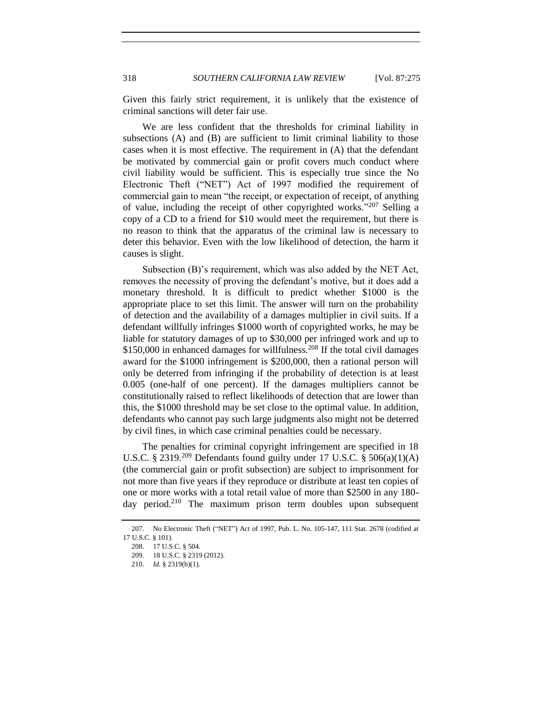Given this fairly strict requirement, it is unlikely that the existence of criminal sanctions will deter fair use.

We are less confident that the thresholds for criminal liability in subsections (A) and (B) are sufficient to limit criminal liability to those cases when it is most effective. The requirement in (A) that the defendant be motivated by commercial gain or profit covers much conduct where civil liability would be sufficient. This is especially true since the No Electronic Theft ("NET") Act of 1997 modified the requirement of commercial gain to mean "the receipt, or expectation of receipt, of anything of value, including the receipt of other copyrighted works."<sup>207</sup> Selling a copy of a CD to a friend for \$10 would meet the requirement, but there is no reason to think that the apparatus of the criminal law is necessary to deter this behavior. Even with the low likelihood of detection, the harm it causes is slight.

Subsection (B)'s requirement, which was also added by the NET Act, removes the necessity of proving the defendant's motive, but it does add a monetary threshold. It is difficult to predict whether \$1000 is the appropriate place to set this limit. The answer will turn on the probability of detection and the availability of a damages multiplier in civil suits. If a defendant willfully infringes \$1000 worth of copyrighted works, he may be liable for statutory damages of up to \$30,000 per infringed work and up to  $$150,000$  in enhanced damages for willfulness.<sup>208</sup> If the total civil damages award for the \$1000 infringement is \$200,000, then a rational person will only be deterred from infringing if the probability of detection is at least 0.005 (one-half of one percent). If the damages multipliers cannot be constitutionally raised to reflect likelihoods of detection that are lower than this, the \$1000 threshold may be set close to the optimal value. In addition, defendants who cannot pay such large judgments also might not be deterred by civil fines, in which case criminal penalties could be necessary.

The penalties for criminal copyright infringement are specified in 18 U.S.C. § 2319.<sup>209</sup> Defendants found guilty under 17 U.S.C. § 506(a)(1)(A) (the commercial gain or profit subsection) are subject to imprisonment for not more than five years if they reproduce or distribute at least ten copies of one or more works with a total retail value of more than \$2500 in any 180 day period.<sup>210</sup> The maximum prison term doubles upon subsequent

<sup>207.</sup> No Electronic Theft ("NET") Act of 1997, Pub. L. No. 105-147, 111 Stat. 2678 (codified at 17 U.S.C. § 101).

<sup>208.</sup> 17 U.S.C. § 504.

<sup>209.</sup> 18 U.S.C. § 2319 (2012).

<sup>210.</sup> *Id.* § 2319(b)(1).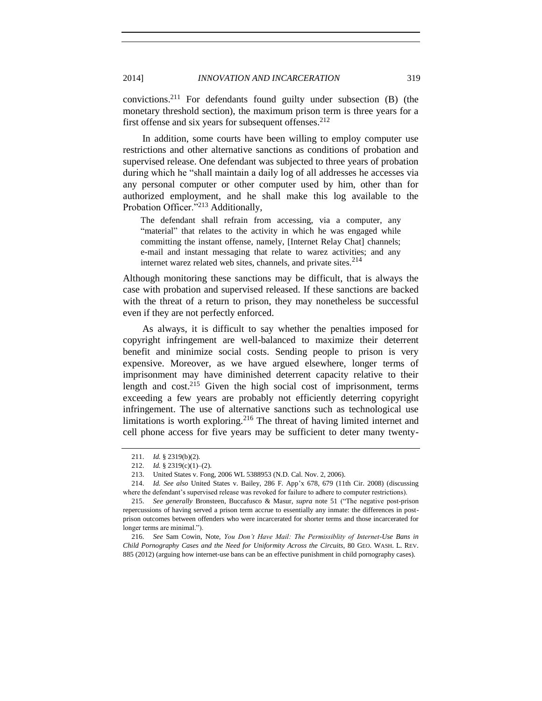convictions.<sup>211</sup> For defendants found guilty under subsection (B) (the monetary threshold section), the maximum prison term is three years for a first offense and six years for subsequent offenses.<sup>212</sup>

In addition, some courts have been willing to employ computer use restrictions and other alternative sanctions as conditions of probation and supervised release. One defendant was subjected to three years of probation during which he "shall maintain a daily log of all addresses he accesses via any personal computer or other computer used by him, other than for authorized employment, and he shall make this log available to the Probation Officer."<sup>213</sup> Additionally,

The defendant shall refrain from accessing, via a computer, any "material" that relates to the activity in which he was engaged while committing the instant offense, namely, [Internet Relay Chat] channels; e-mail and instant messaging that relate to warez activities; and any internet warez related web sites, channels, and private sites. $2^{14}$ 

Although monitoring these sanctions may be difficult, that is always the case with probation and supervised released. If these sanctions are backed with the threat of a return to prison, they may nonetheless be successful even if they are not perfectly enforced.

As always, it is difficult to say whether the penalties imposed for copyright infringement are well-balanced to maximize their deterrent benefit and minimize social costs. Sending people to prison is very expensive. Moreover, as we have argued elsewhere, longer terms of imprisonment may have diminished deterrent capacity relative to their length and  $cost^{215}$  Given the high social cost of imprisonment, terms exceeding a few years are probably not efficiently deterring copyright infringement. The use of alternative sanctions such as technological use limitations is worth exploring.<sup>216</sup> The threat of having limited internet and cell phone access for five years may be sufficient to deter many twenty-

<sup>211.</sup> *Id.* § 2319(b)(2).

<sup>212.</sup> *Id.* § 2319(c)(1)–(2).

<sup>213.</sup> United States v. Fong, 2006 WL 5388953 (N.D. Cal. Nov. 2, 2006).

<sup>214.</sup> *Id. See also* United States v. Bailey, 286 F. App'x 678, 679 (11th Cir. 2008) (discussing where the defendant's supervised release was revoked for failure to adhere to computer restrictions).

<sup>215.</sup> *See generally* Bronsteen, Buccafusco & Masur, *supra* note [51](#page-9-4) ("The negative post-prison repercussions of having served a prison term accrue to essentially any inmate: the differences in postprison outcomes between offenders who were incarcerated for shorter terms and those incarcerated for longer terms are minimal.").

<sup>216.</sup> *See* Sam Cowin, Note, *You Don't Have Mail: The Permissiblity of Internet-Use Bans in Child Pornography Cases and the Need for Uniformity Across the Circuits*, 80 GEO. WASH. L. REV. 885 (2012) (arguing how internet-use bans can be an effective punishment in child pornography cases).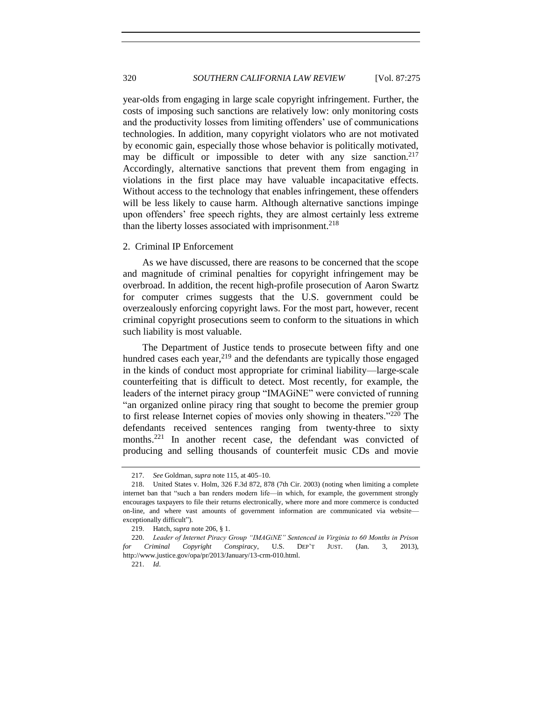year-olds from engaging in large scale copyright infringement. Further, the costs of imposing such sanctions are relatively low: only monitoring costs and the productivity losses from limiting offenders' use of communications technologies. In addition, many copyright violators who are not motivated by economic gain, especially those whose behavior is politically motivated, may be difficult or impossible to deter with any size sanction.<sup>217</sup> Accordingly, alternative sanctions that prevent them from engaging in violations in the first place may have valuable incapacitative effects. Without access to the technology that enables infringement, these offenders will be less likely to cause harm. Although alternative sanctions impinge upon offenders' free speech rights, they are almost certainly less extreme than the liberty losses associated with imprisonment.<sup>218</sup>

# <span id="page-45-0"></span>2. Criminal IP Enforcement

As we have discussed, there are reasons to be concerned that the scope and magnitude of criminal penalties for copyright infringement may be overbroad. In addition, the recent high-profile prosecution of Aaron Swartz for computer crimes suggests that the U.S. government could be overzealously enforcing copyright laws. For the most part, however, recent criminal copyright prosecutions seem to conform to the situations in which such liability is most valuable.

The Department of Justice tends to prosecute between fifty and one hundred cases each year,  $2^{19}$  and the defendants are typically those engaged in the kinds of conduct most appropriate for criminal liability—large-scale counterfeiting that is difficult to detect. Most recently, for example, the leaders of the internet piracy group "IMAGiNE" were convicted of running "an organized online piracy ring that sought to become the premier group to first release Internet copies of movies only showing in theaters."<sup>220</sup> The defendants received sentences ranging from twenty-three to sixty months.<sup>221</sup> In another recent case, the defendant was convicted of producing and selling thousands of counterfeit music CDs and movie

<sup>217.</sup> *See* Goldman, *supra* note [115,](#page-21-0) at 405–10.

<sup>218.</sup> United States v. Holm, 326 F.3d 872, 878 (7th Cir. 2003) (noting when limiting a complete internet ban that "such a ban renders modern life—in which, for example, the government strongly encourages taxpayers to file their returns electronically, where more and more commerce is conducted on-line, and where vast amounts of government information are communicated via website exceptionally difficult").

<sup>219.</sup> Hatch, *supra* note [206,](#page-42-2) § 1.

<sup>220.</sup> *Leader of Internet Piracy Group "IMAGiNE" Sentenced in Virginia to 60 Months in Prison for Criminal Copyright Conspiracy*, U.S. DEP'T JUST. (Jan. 3, 2013), http://www.justice.gov/opa/pr/2013/January/13-crm-010.html.

<sup>221.</sup> *Id*.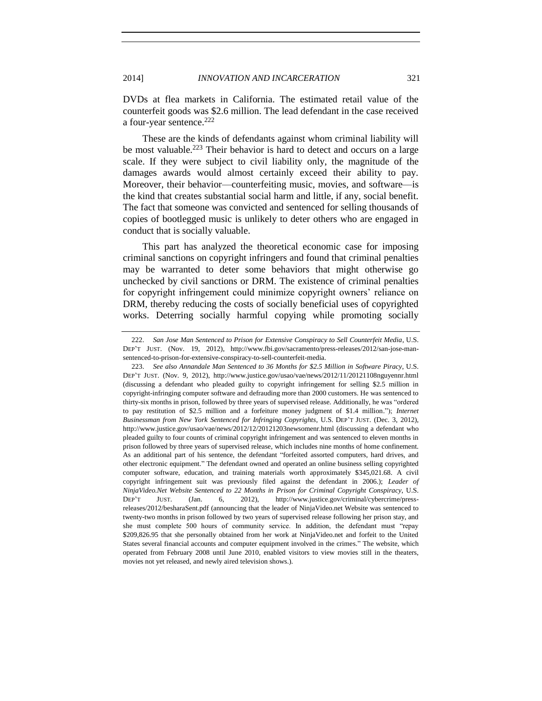DVDs at flea markets in California. The estimated retail value of the counterfeit goods was \$2.6 million. The lead defendant in the case received a four-year sentence.<sup>222</sup>

These are the kinds of defendants against whom criminal liability will be most valuable.<sup>223</sup> Their behavior is hard to detect and occurs on a large scale. If they were subject to civil liability only, the magnitude of the damages awards would almost certainly exceed their ability to pay. Moreover, their behavior—counterfeiting music, movies, and software—is the kind that creates substantial social harm and little, if any, social benefit. The fact that someone was convicted and sentenced for selling thousands of copies of bootlegged music is unlikely to deter others who are engaged in conduct that is socially valuable.

This part has analyzed the theoretical economic case for imposing criminal sanctions on copyright infringers and found that criminal penalties may be warranted to deter some behaviors that might otherwise go unchecked by civil sanctions or DRM. The existence of criminal penalties for copyright infringement could minimize copyright owners' reliance on DRM, thereby reducing the costs of socially beneficial uses of copyrighted works. Deterring socially harmful copying while promoting socially

<sup>222.</sup> *San Jose Man Sentenced to Prison for Extensive Conspiracy to Sell Counterfeit Media*, U.S. DEP'T JUST. (Nov. 19, 2012), http://www.fbi.gov/sacramento/press-releases/2012/san-jose-mansentenced-to-prison-for-extensive-conspiracy-to-sell-counterfeit-media.

<sup>223.</sup> *See also Annandale Man Sentenced to 36 Months for \$2.5 Million in Software Piracy*, U.S. DEP'T JUST. (Nov. 9, 2012), http://www.justice.gov/usao/vae/news/2012/11/20121108nguyennr.html (discussing a defendant who pleaded guilty to copyright infringement for selling \$2.5 million in copyright-infringing computer software and defrauding more than 2000 customers. He was sentenced to thirty-six months in prison, followed by three years of supervised release. Additionally, he was "ordered to pay restitution of \$2.5 million and a forfeiture money judgment of \$1.4 million."); *Internet Businessman from New York Sentenced for Infringing Copyrights*, U.S. DEP'T JUST. (Dec. 3, 2012), http://www.justice.gov/usao/vae/news/2012/12/20121203newsomenr.html (discussing a defendant who pleaded guilty to four counts of criminal copyright infringement and was sentenced to eleven months in prison followed by three years of supervised release, which includes nine months of home confinement. As an additional part of his sentence, the defendant "forfeited assorted computers, hard drives, and other electronic equipment." The defendant owned and operated an online business selling copyrighted computer software, education, and training materials worth approximately \$345,021.68. A civil copyright infringement suit was previously filed against the defendant in 2006.); *Leader of NinjaVideo.Net Website Sentenced to 22 Months in Prison for Criminal Copyright Conspiracy*, U.S. DEP'T JUST. (Jan. 6, 2012), http://www.justice.gov/criminal/cybercrime/pressreleases/2012/besharaSent.pdf (announcing that the leader of NinjaVideo.net Website was sentenced to twenty-two months in prison followed by two years of supervised release following her prison stay, and she must complete 500 hours of community service. In addition, the defendant must "repay \$209,826.95 that she personally obtained from her work at NinjaVideo.net and forfeit to the United States several financial accounts and computer equipment involved in the crimes." The website, which operated from February 2008 until June 2010, enabled visitors to view movies still in the theaters, movies not yet released, and newly aired television shows.).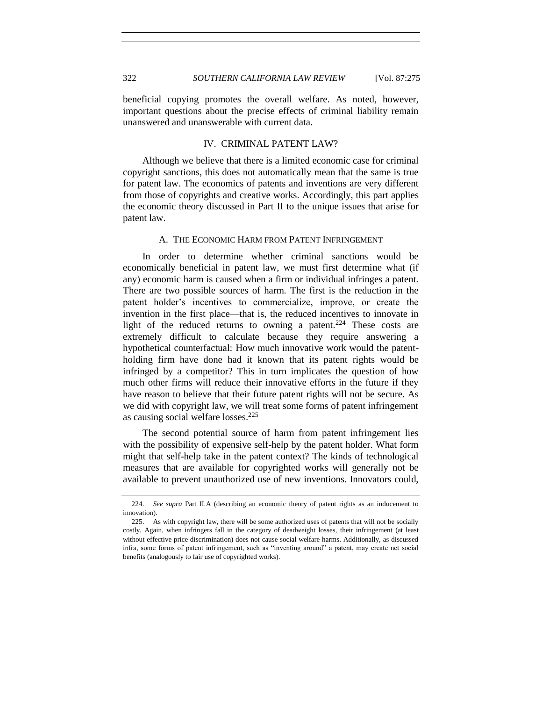beneficial copying promotes the overall welfare. As noted, however, important questions about the precise effects of criminal liability remain unanswered and unanswerable with current data.

# IV. CRIMINAL PATENT LAW?

<span id="page-47-0"></span>Although we believe that there is a limited economic case for criminal copyright sanctions, this does not automatically mean that the same is true for patent law. The economics of patents and inventions are very different from those of copyrights and creative works. Accordingly, this part applies the economic theory discussed in Part II to the unique issues that arise for patent law.

# A. THE ECONOMIC HARM FROM PATENT INFRINGEMENT

<span id="page-47-1"></span>In order to determine whether criminal sanctions would be economically beneficial in patent law, we must first determine what (if any) economic harm is caused when a firm or individual infringes a patent. There are two possible sources of harm. The first is the reduction in the patent holder's incentives to commercialize, improve, or create the invention in the first place—that is, the reduced incentives to innovate in light of the reduced returns to owning a patent.<sup>224</sup> These costs are extremely difficult to calculate because they require answering a hypothetical counterfactual: How much innovative work would the patentholding firm have done had it known that its patent rights would be infringed by a competitor? This in turn implicates the question of how much other firms will reduce their innovative efforts in the future if they have reason to believe that their future patent rights will not be secure. As we did with copyright law, we will treat some forms of patent infringement as causing social welfare losses.<sup>225</sup>

The second potential source of harm from patent infringement lies with the possibility of expensive self-help by the patent holder. What form might that self-help take in the patent context? The kinds of technological measures that are available for copyrighted works will generally not be available to prevent unauthorized use of new inventions. Innovators could,

<sup>224.</sup> *See supra* Part II.A (describing an economic theory of patent rights as an inducement to innovation).

<sup>225.</sup> As with copyright law, there will be some authorized uses of patents that will not be socially costly. Again, when infringers fall in the category of deadweight losses, their infringement (at least without effective price discrimination) does not cause social welfare harms. Additionally, as discussed infra, some forms of patent infringement, such as "inventing around" a patent, may create net social benefits (analogously to fair use of copyrighted works).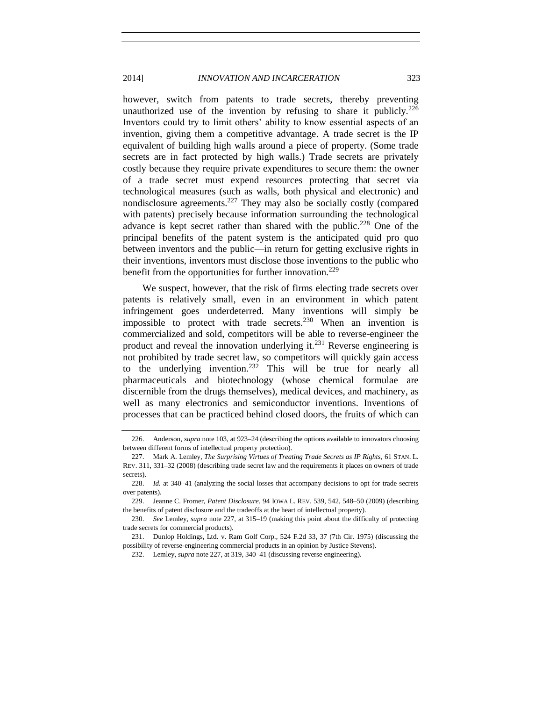however, switch from patents to trade secrets, thereby preventing unauthorized use of the invention by refusing to share it publicly.<sup>226</sup> Inventors could try to limit others' ability to know essential aspects of an invention, giving them a competitive advantage. A trade secret is the IP equivalent of building high walls around a piece of property. (Some trade secrets are in fact protected by high walls.) Trade secrets are privately costly because they require private expenditures to secure them: the owner of a trade secret must expend resources protecting that secret via technological measures (such as walls, both physical and electronic) and nondisclosure agreements.<sup>227</sup> They may also be socially costly (compared with patents) precisely because information surrounding the technological advance is kept secret rather than shared with the public.<sup>228</sup> One of the principal benefits of the patent system is the anticipated quid pro quo between inventors and the public—in return for getting exclusive rights in their inventions, inventors must disclose those inventions to the public who benefit from the opportunities for further innovation.<sup>229</sup>

<span id="page-48-0"></span>We suspect, however, that the risk of firms electing trade secrets over patents is relatively small, even in an environment in which patent infringement goes underdeterred. Many inventions will simply be impossible to protect with trade secrets.<sup>230</sup> When an invention is commercialized and sold, competitors will be able to reverse-engineer the product and reveal the innovation underlying it.<sup>231</sup> Reverse engineering is not prohibited by trade secret law, so competitors will quickly gain access to the underlying invention.<sup>232</sup> This will be true for nearly all pharmaceuticals and biotechnology (whose chemical formulae are discernible from the drugs themselves), medical devices, and machinery, as well as many electronics and semiconductor inventions. Inventions of processes that can be practiced behind closed doors, the fruits of which can

<sup>226.</sup> Anderson, *supra* note [103,](#page-17-0) at 923–24 (describing the options available to innovators choosing between different forms of intellectual property protection).

<sup>227.</sup> Mark A. Lemley, *The Surprising Virtues of Treating Trade Secrets as IP Rights*, 61 STAN. L. REV. 311, 331–32 (2008) (describing trade secret law and the requirements it places on owners of trade secrets).

<sup>228.</sup> *Id.* at 340–41 (analyzing the social losses that accompany decisions to opt for trade secrets over patents).

<sup>229.</sup> Jeanne C. Fromer, *Patent Disclosure*, 94 IOWA L. REV. 539, 542, 548–50 (2009) (describing the benefits of patent disclosure and the tradeoffs at the heart of intellectual property).

<sup>230.</sup> *See* Lemley, *supra* note [227,](#page-48-0) at 315–19 (making this point about the difficulty of protecting trade secrets for commercial products).

<sup>231.</sup> Dunlop Holdings, Ltd. v. Ram Golf Corp., 524 F.2d 33, 37 (7th Cir. 1975) (discussing the possibility of reverse-engineering commercial products in an opinion by Justice Stevens).

<sup>232.</sup> Lemley, *supra* note [227,](#page-48-0) at 319, 340–41 (discussing reverse engineering).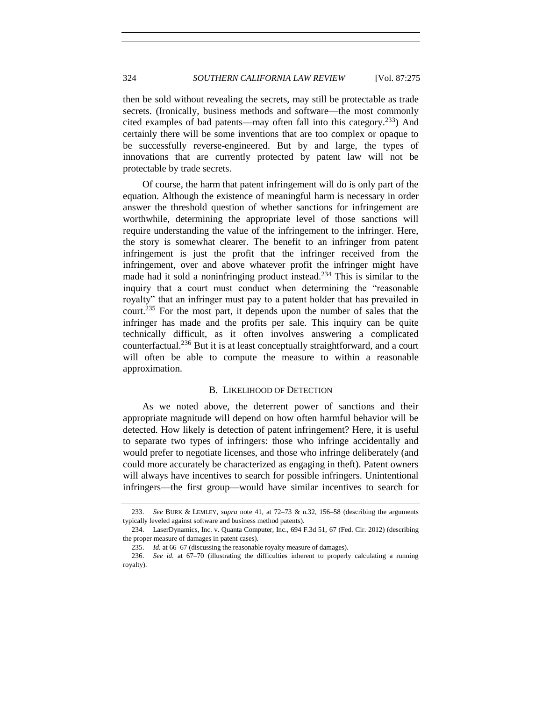then be sold without revealing the secrets, may still be protectable as trade secrets. (Ironically, business methods and software—the most commonly cited examples of bad patents—may often fall into this category.<sup>233</sup>) And certainly there will be some inventions that are too complex or opaque to be successfully reverse-engineered. But by and large, the types of innovations that are currently protected by patent law will not be protectable by trade secrets.

Of course, the harm that patent infringement will do is only part of the equation. Although the existence of meaningful harm is necessary in order answer the threshold question of whether sanctions for infringement are worthwhile, determining the appropriate level of those sanctions will require understanding the value of the infringement to the infringer. Here, the story is somewhat clearer. The benefit to an infringer from patent infringement is just the profit that the infringer received from the infringement, over and above whatever profit the infringer might have made had it sold a noninfringing product instead.<sup>234</sup> This is similar to the inquiry that a court must conduct when determining the "reasonable royalty" that an infringer must pay to a patent holder that has prevailed in court.<sup>235</sup> For the most part, it depends upon the number of sales that the infringer has made and the profits per sale. This inquiry can be quite technically difficult, as it often involves answering a complicated counterfactual.<sup>236</sup> But it is at least conceptually straightforward, and a court will often be able to compute the measure to within a reasonable approximation.

# B. LIKELIHOOD OF DETECTION

<span id="page-49-0"></span>As we noted above, the deterrent power of sanctions and their appropriate magnitude will depend on how often harmful behavior will be detected. How likely is detection of patent infringement? Here, it is useful to separate two types of infringers: those who infringe accidentally and would prefer to negotiate licenses, and those who infringe deliberately (and could more accurately be characterized as engaging in theft). Patent owners will always have incentives to search for possible infringers. Unintentional infringers—the first group—would have similar incentives to search for

<sup>233.</sup> *See* BURK & LEMLEY, *supra* note [41,](#page-8-0) at 72–73 & n.32, 156–58 (describing the arguments typically leveled against software and business method patents).

<sup>234.</sup> LaserDynamics, Inc. v. Quanta Computer, Inc., 694 F.3d 51, 67 (Fed. Cir. 2012) (describing the proper measure of damages in patent cases).

<sup>235.</sup> *Id.* at 66–67 (discussing the reasonable royalty measure of damages).

<sup>236.</sup> *See id.* at 67–70 (illustrating the difficulties inherent to properly calculating a running royalty).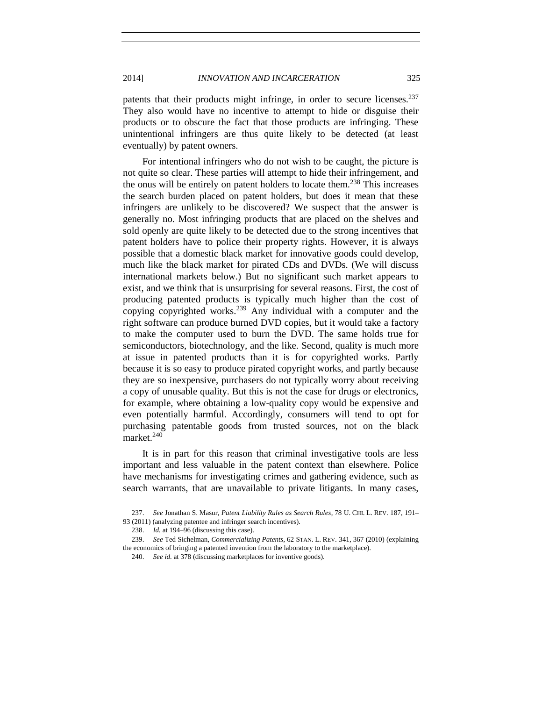patents that their products might infringe, in order to secure licenses.<sup>237</sup> They also would have no incentive to attempt to hide or disguise their products or to obscure the fact that those products are infringing. These unintentional infringers are thus quite likely to be detected (at least eventually) by patent owners.

For intentional infringers who do not wish to be caught, the picture is not quite so clear. These parties will attempt to hide their infringement, and the onus will be entirely on patent holders to locate them.<sup>238</sup> This increases the search burden placed on patent holders, but does it mean that these infringers are unlikely to be discovered? We suspect that the answer is generally no. Most infringing products that are placed on the shelves and sold openly are quite likely to be detected due to the strong incentives that patent holders have to police their property rights. However, it is always possible that a domestic black market for innovative goods could develop, much like the black market for pirated CDs and DVDs. (We will discuss international markets below.) But no significant such market appears to exist, and we think that is unsurprising for several reasons. First, the cost of producing patented products is typically much higher than the cost of copying copyrighted works.<sup>239</sup> Any individual with a computer and the right software can produce burned DVD copies, but it would take a factory to make the computer used to burn the DVD. The same holds true for semiconductors, biotechnology, and the like. Second, quality is much more at issue in patented products than it is for copyrighted works. Partly because it is so easy to produce pirated copyright works, and partly because they are so inexpensive, purchasers do not typically worry about receiving a copy of unusable quality. But this is not the case for drugs or electronics, for example, where obtaining a low-quality copy would be expensive and even potentially harmful. Accordingly, consumers will tend to opt for purchasing patentable goods from trusted sources, not on the black market.<sup>240</sup>

It is in part for this reason that criminal investigative tools are less important and less valuable in the patent context than elsewhere. Police have mechanisms for investigating crimes and gathering evidence, such as search warrants, that are unavailable to private litigants. In many cases,

<sup>237.</sup> *See* Jonathan S. Masur, *Patent Liability Rules as Search Rules*, 78 U. CHI. L. REV. 187, 191–

<sup>93 (2011) (</sup>analyzing patentee and infringer search incentives).

<sup>238.</sup> *Id.* at 194–96 (discussing this case).

<sup>239.</sup> *See* Ted Sichelman, *Commercializing Patents*, 62 STAN. L. REV. 341, 367 (2010) (explaining the economics of bringing a patented invention from the laboratory to the marketplace).

<sup>240.</sup> *See id.* at 378 (discussing marketplaces for inventive goods).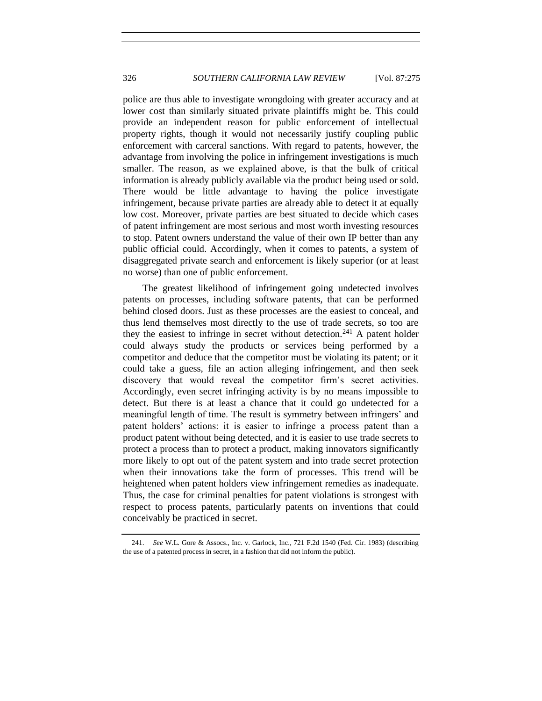police are thus able to investigate wrongdoing with greater accuracy and at lower cost than similarly situated private plaintiffs might be. This could provide an independent reason for public enforcement of intellectual property rights, though it would not necessarily justify coupling public enforcement with carceral sanctions. With regard to patents, however, the advantage from involving the police in infringement investigations is much smaller. The reason, as we explained above, is that the bulk of critical information is already publicly available via the product being used or sold. There would be little advantage to having the police investigate infringement, because private parties are already able to detect it at equally low cost. Moreover, private parties are best situated to decide which cases of patent infringement are most serious and most worth investing resources to stop. Patent owners understand the value of their own IP better than any public official could. Accordingly, when it comes to patents, a system of disaggregated private search and enforcement is likely superior (or at least no worse) than one of public enforcement.

The greatest likelihood of infringement going undetected involves patents on processes, including software patents, that can be performed behind closed doors. Just as these processes are the easiest to conceal, and thus lend themselves most directly to the use of trade secrets, so too are they the easiest to infringe in secret without detection.<sup>241</sup> A patent holder could always study the products or services being performed by a competitor and deduce that the competitor must be violating its patent; or it could take a guess, file an action alleging infringement, and then seek discovery that would reveal the competitor firm's secret activities. Accordingly, even secret infringing activity is by no means impossible to detect. But there is at least a chance that it could go undetected for a meaningful length of time. The result is symmetry between infringers' and patent holders' actions: it is easier to infringe a process patent than a product patent without being detected, and it is easier to use trade secrets to protect a process than to protect a product, making innovators significantly more likely to opt out of the patent system and into trade secret protection when their innovations take the form of processes. This trend will be heightened when patent holders view infringement remedies as inadequate. Thus, the case for criminal penalties for patent violations is strongest with respect to process patents, particularly patents on inventions that could conceivably be practiced in secret.

<sup>241.</sup> *See* W.L. Gore & Assocs., Inc. v. Garlock, Inc., 721 F.2d 1540 (Fed. Cir. 1983) (describing the use of a patented process in secret, in a fashion that did not inform the public).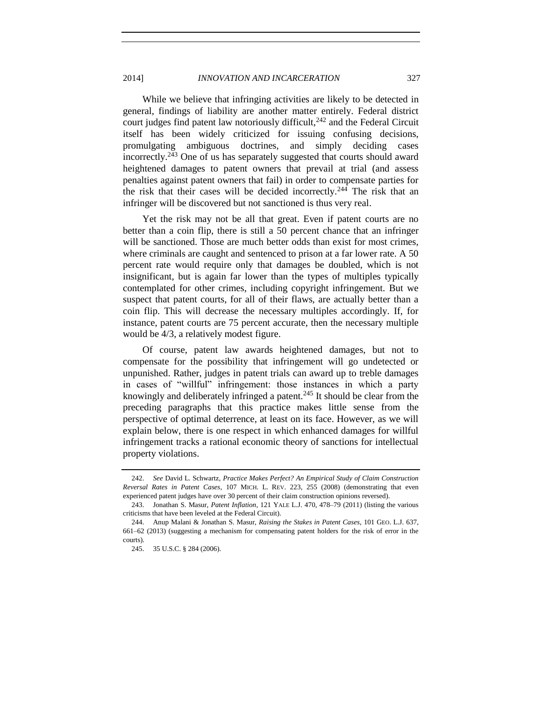2014] *INNOVATION AND INCARCERATION* 327

While we believe that infringing activities are likely to be detected in general, findings of liability are another matter entirely. Federal district court judges find patent law notoriously difficult,  $242$  and the Federal Circuit itself has been widely criticized for issuing confusing decisions, promulgating ambiguous doctrines, and simply deciding cases incorrectly.<sup>243</sup> One of us has separately suggested that courts should award heightened damages to patent owners that prevail at trial (and assess penalties against patent owners that fail) in order to compensate parties for the risk that their cases will be decided incorrectly.<sup>244</sup> The risk that an infringer will be discovered but not sanctioned is thus very real.

<span id="page-52-0"></span>Yet the risk may not be all that great. Even if patent courts are no better than a coin flip, there is still a 50 percent chance that an infringer will be sanctioned. Those are much better odds than exist for most crimes, where criminals are caught and sentenced to prison at a far lower rate. A 50 percent rate would require only that damages be doubled, which is not insignificant, but is again far lower than the types of multiples typically contemplated for other crimes, including copyright infringement. But we suspect that patent courts, for all of their flaws, are actually better than a coin flip. This will decrease the necessary multiples accordingly. If, for instance, patent courts are 75 percent accurate, then the necessary multiple would be 4/3, a relatively modest figure.

Of course, patent law awards heightened damages, but not to compensate for the possibility that infringement will go undetected or unpunished. Rather, judges in patent trials can award up to treble damages in cases of "willful" infringement: those instances in which a party knowingly and deliberately infringed a patent.<sup>245</sup> It should be clear from the preceding paragraphs that this practice makes little sense from the perspective of optimal deterrence, at least on its face. However, as we will explain below, there is one respect in which enhanced damages for willful infringement tracks a rational economic theory of sanctions for intellectual property violations.

<sup>242.</sup> *See* David L. Schwartz, *Practice Makes Perfect? An Empirical Study of Claim Construction Reversal Rates in Patent Cases*, 107 MICH. L. REV. 223, 255 (2008) (demonstrating that even experienced patent judges have over 30 percent of their claim construction opinions reversed).

<sup>243.</sup> Jonathan S. Masur, *Patent Inflation*, 121 YALE L.J. 470, 478–79 (2011) (listing the various criticisms that have been leveled at the Federal Circuit).

<sup>244.</sup> Anup Malani & Jonathan S. Masur, *Raising the Stakes in Patent Cases*, 101 GEO. L.J. 637, 661–62 (2013) (suggesting a mechanism for compensating patent holders for the risk of error in the courts).

<sup>245.</sup> 35 U.S.C. § 284 (2006).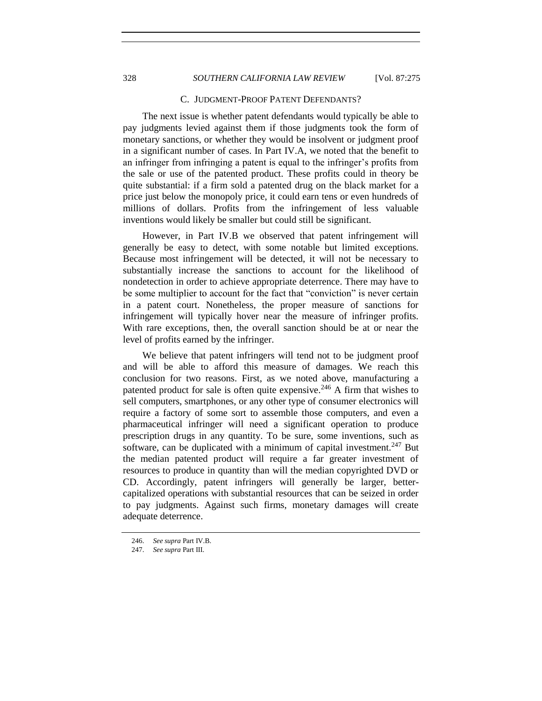# 328 *SOUTHERN CALIFORNIA LAW REVIEW* [Vol. 87:275

## C. JUDGMENT-PROOF PATENT DEFENDANTS?

<span id="page-53-0"></span>The next issue is whether patent defendants would typically be able to pay judgments levied against them if those judgments took the form of monetary sanctions, or whether they would be insolvent or judgment proof in a significant number of cases. In Part IV.A, we noted that the benefit to an infringer from infringing a patent is equal to the infringer's profits from the sale or use of the patented product. These profits could in theory be quite substantial: if a firm sold a patented drug on the black market for a price just below the monopoly price, it could earn tens or even hundreds of millions of dollars. Profits from the infringement of less valuable inventions would likely be smaller but could still be significant.

However, in Part IV.B we observed that patent infringement will generally be easy to detect, with some notable but limited exceptions. Because most infringement will be detected, it will not be necessary to substantially increase the sanctions to account for the likelihood of nondetection in order to achieve appropriate deterrence. There may have to be some multiplier to account for the fact that "conviction" is never certain in a patent court. Nonetheless, the proper measure of sanctions for infringement will typically hover near the measure of infringer profits. With rare exceptions, then, the overall sanction should be at or near the level of profits earned by the infringer.

We believe that patent infringers will tend not to be judgment proof and will be able to afford this measure of damages. We reach this conclusion for two reasons. First, as we noted above, manufacturing a patented product for sale is often quite expensive.<sup>246</sup> A firm that wishes to sell computers, smartphones, or any other type of consumer electronics will require a factory of some sort to assemble those computers, and even a pharmaceutical infringer will need a significant operation to produce prescription drugs in any quantity. To be sure, some inventions, such as software, can be duplicated with a minimum of capital investment.<sup>247</sup> But the median patented product will require a far greater investment of resources to produce in quantity than will the median copyrighted DVD or CD. Accordingly, patent infringers will generally be larger, bettercapitalized operations with substantial resources that can be seized in order to pay judgments. Against such firms, monetary damages will create adequate deterrence.

<sup>246.</sup> *See supra* Part IV.B.

<sup>247.</sup> *See supra* Part III.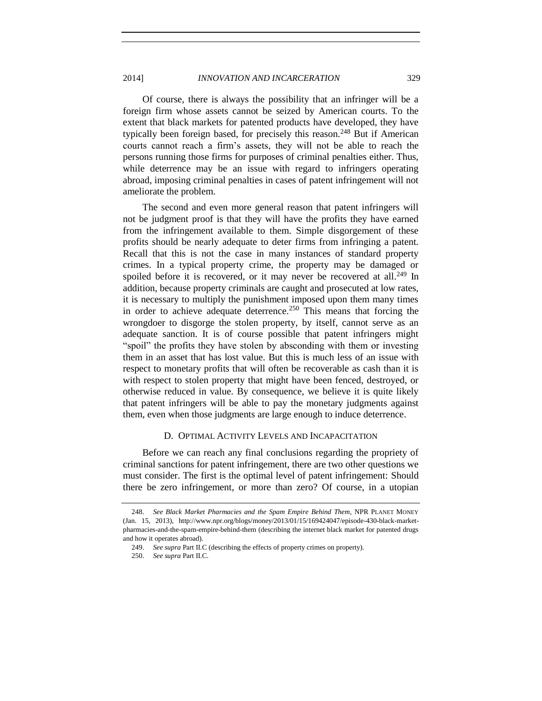Of course, there is always the possibility that an infringer will be a foreign firm whose assets cannot be seized by American courts. To the extent that black markets for patented products have developed, they have typically been foreign based, for precisely this reason.<sup>248</sup> But if American courts cannot reach a firm's assets, they will not be able to reach the persons running those firms for purposes of criminal penalties either. Thus, while deterrence may be an issue with regard to infringers operating abroad, imposing criminal penalties in cases of patent infringement will not ameliorate the problem.

The second and even more general reason that patent infringers will not be judgment proof is that they will have the profits they have earned from the infringement available to them. Simple disgorgement of these profits should be nearly adequate to deter firms from infringing a patent. Recall that this is not the case in many instances of standard property crimes. In a typical property crime, the property may be damaged or spoiled before it is recovered, or it may never be recovered at all.<sup>249</sup> In addition, because property criminals are caught and prosecuted at low rates, it is necessary to multiply the punishment imposed upon them many times in order to achieve adequate deterrence.<sup>250</sup> This means that forcing the wrongdoer to disgorge the stolen property, by itself, cannot serve as an adequate sanction. It is of course possible that patent infringers might "spoil" the profits they have stolen by absconding with them or investing them in an asset that has lost value. But this is much less of an issue with respect to monetary profits that will often be recoverable as cash than it is with respect to stolen property that might have been fenced, destroyed, or otherwise reduced in value. By consequence, we believe it is quite likely that patent infringers will be able to pay the monetary judgments against them, even when those judgments are large enough to induce deterrence.

#### D. OPTIMAL ACTIVITY LEVELS AND INCAPACITATION

<span id="page-54-0"></span>Before we can reach any final conclusions regarding the propriety of criminal sanctions for patent infringement, there are two other questions we must consider. The first is the optimal level of patent infringement: Should there be zero infringement, or more than zero? Of course, in a utopian

<sup>248.</sup> *See Black Market Pharmacies and the Spam Empire Behind Them*, NPR PLANET MONEY (Jan. 15, 2013), http://www.npr.org/blogs/money/2013/01/15/169424047/episode-430-black-marketpharmacies-and-the-spam-empire-behind-them (describing the internet black market for patented drugs and how it operates abroad).

<sup>249.</sup> *See supra* Part II.C (describing the effects of property crimes on property).

<sup>250.</sup> *See supra* Part II.C.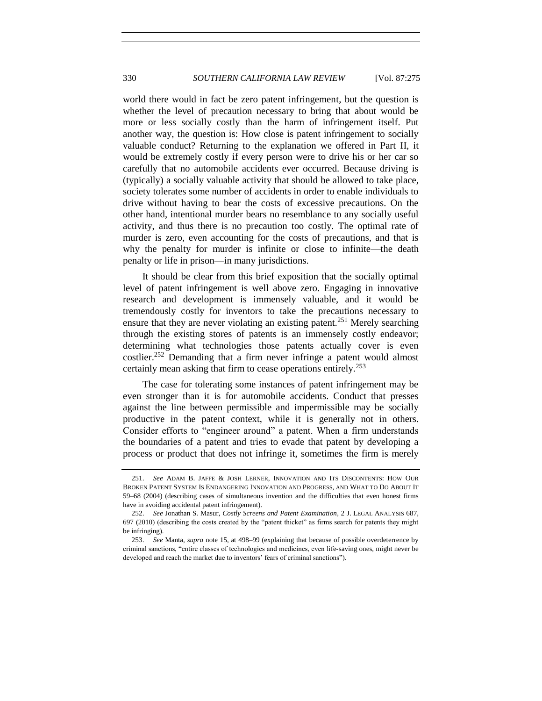world there would in fact be zero patent infringement, but the question is whether the level of precaution necessary to bring that about would be more or less socially costly than the harm of infringement itself. Put another way, the question is: How close is patent infringement to socially valuable conduct? Returning to the explanation we offered in Part II, it would be extremely costly if every person were to drive his or her car so carefully that no automobile accidents ever occurred. Because driving is (typically) a socially valuable activity that should be allowed to take place, society tolerates some number of accidents in order to enable individuals to drive without having to bear the costs of excessive precautions. On the other hand, intentional murder bears no resemblance to any socially useful activity, and thus there is no precaution too costly. The optimal rate of murder is zero, even accounting for the costs of precautions, and that is why the penalty for murder is infinite or close to infinite—the death penalty or life in prison—in many jurisdictions.

<span id="page-55-0"></span>It should be clear from this brief exposition that the socially optimal level of patent infringement is well above zero. Engaging in innovative research and development is immensely valuable, and it would be tremendously costly for inventors to take the precautions necessary to ensure that they are never violating an existing patent.<sup>251</sup> Merely searching through the existing stores of patents is an immensely costly endeavor; determining what technologies those patents actually cover is even costlier.<sup>252</sup> Demanding that a firm never infringe a patent would almost certainly mean asking that firm to cease operations entirely.<sup>253</sup>

The case for tolerating some instances of patent infringement may be even stronger than it is for automobile accidents. Conduct that presses against the line between permissible and impermissible may be socially productive in the patent context, while it is generally not in others. Consider efforts to "engineer around" a patent. When a firm understands the boundaries of a patent and tries to evade that patent by developing a process or product that does not infringe it, sometimes the firm is merely

<sup>251.</sup> *See* ADAM B. JAFFE & JOSH LERNER, INNOVATION AND ITS DISCONTENTS: HOW OUR BROKEN PATENT SYSTEM IS ENDANGERING INNOVATION AND PROGRESS, AND WHAT TO DO ABOUT IT 59–68 (2004) (describing cases of simultaneous invention and the difficulties that even honest firms have in avoiding accidental patent infringement).

<sup>252.</sup> *See* Jonathan S. Masur, *Costly Screens and Patent Examination*, 2 J. LEGAL ANALYSIS 687, 697 (2010) (describing the costs created by the "patent thicket" as firms search for patents they might be infringing).

<sup>253.</sup> *See* Manta, *supra* note [15,](#page-3-2) at 498–99 (explaining that because of possible overdeterrence by criminal sanctions, "entire classes of technologies and medicines, even life-saving ones, might never be developed and reach the market due to inventors' fears of criminal sanctions").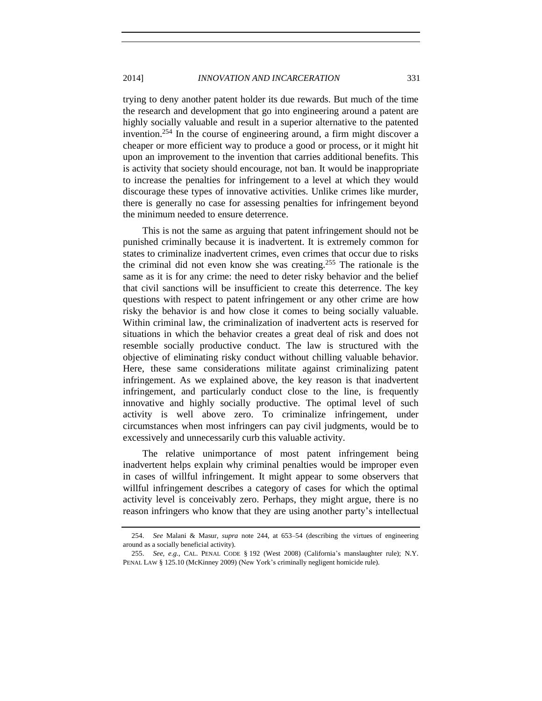trying to deny another patent holder its due rewards. But much of the time the research and development that go into engineering around a patent are highly socially valuable and result in a superior alternative to the patented invention.<sup>254</sup> In the course of engineering around, a firm might discover a cheaper or more efficient way to produce a good or process, or it might hit upon an improvement to the invention that carries additional benefits. This is activity that society should encourage, not ban. It would be inappropriate to increase the penalties for infringement to a level at which they would discourage these types of innovative activities. Unlike crimes like murder, there is generally no case for assessing penalties for infringement beyond the minimum needed to ensure deterrence.

This is not the same as arguing that patent infringement should not be punished criminally because it is inadvertent. It is extremely common for states to criminalize inadvertent crimes, even crimes that occur due to risks the criminal did not even know she was creating.<sup>255</sup> The rationale is the same as it is for any crime: the need to deter risky behavior and the belief that civil sanctions will be insufficient to create this deterrence. The key questions with respect to patent infringement or any other crime are how risky the behavior is and how close it comes to being socially valuable. Within criminal law, the criminalization of inadvertent acts is reserved for situations in which the behavior creates a great deal of risk and does not resemble socially productive conduct. The law is structured with the objective of eliminating risky conduct without chilling valuable behavior. Here, these same considerations militate against criminalizing patent infringement. As we explained above, the key reason is that inadvertent infringement, and particularly conduct close to the line, is frequently innovative and highly socially productive. The optimal level of such activity is well above zero. To criminalize infringement, under circumstances when most infringers can pay civil judgments, would be to excessively and unnecessarily curb this valuable activity.

The relative unimportance of most patent infringement being inadvertent helps explain why criminal penalties would be improper even in cases of willful infringement. It might appear to some observers that willful infringement describes a category of cases for which the optimal activity level is conceivably zero. Perhaps, they might argue, there is no reason infringers who know that they are using another party's intellectual

<sup>254.</sup> *See* Malani & Masur, *supra* note [244,](#page-52-0) at 653–54 (describing the virtues of engineering around as a socially beneficial activity).

<sup>255.</sup> *See, e.g.*, CAL. PENAL CODE § 192 (West 2008) (California's manslaughter rule); N.Y. PENAL LAW § 125.10 (McKinney 2009) (New York's criminally negligent homicide rule).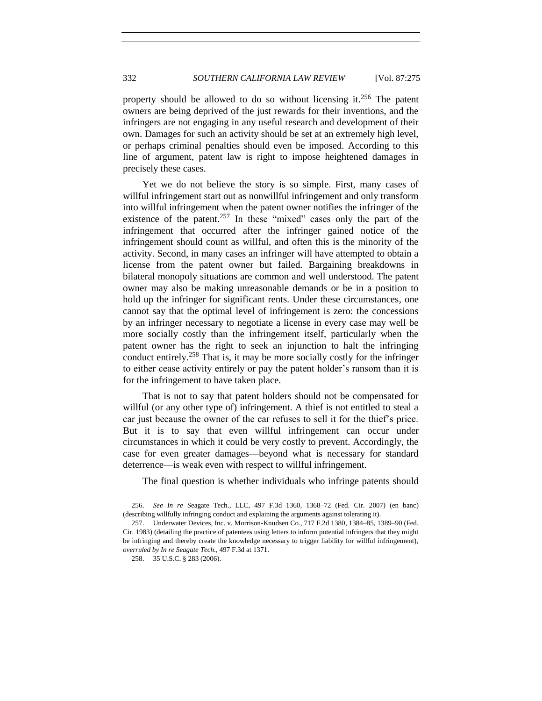property should be allowed to do so without licensing it.<sup>256</sup> The patent owners are being deprived of the just rewards for their inventions, and the infringers are not engaging in any useful research and development of their own. Damages for such an activity should be set at an extremely high level, or perhaps criminal penalties should even be imposed. According to this line of argument, patent law is right to impose heightened damages in precisely these cases.

Yet we do not believe the story is so simple. First, many cases of willful infringement start out as nonwillful infringement and only transform into willful infringement when the patent owner notifies the infringer of the existence of the patent.<sup>257</sup> In these "mixed" cases only the part of the infringement that occurred after the infringer gained notice of the infringement should count as willful, and often this is the minority of the activity. Second, in many cases an infringer will have attempted to obtain a license from the patent owner but failed. Bargaining breakdowns in bilateral monopoly situations are common and well understood. The patent owner may also be making unreasonable demands or be in a position to hold up the infringer for significant rents. Under these circumstances, one cannot say that the optimal level of infringement is zero: the concessions by an infringer necessary to negotiate a license in every case may well be more socially costly than the infringement itself, particularly when the patent owner has the right to seek an injunction to halt the infringing conduct entirely.<sup>258</sup> That is, it may be more socially costly for the infringer to either cease activity entirely or pay the patent holder's ransom than it is for the infringement to have taken place.

That is not to say that patent holders should not be compensated for willful (or any other type of) infringement. A thief is not entitled to steal a car just because the owner of the car refuses to sell it for the thief's price. But it is to say that even willful infringement can occur under circumstances in which it could be very costly to prevent. Accordingly, the case for even greater damages—beyond what is necessary for standard deterrence—is weak even with respect to willful infringement.

The final question is whether individuals who infringe patents should

<sup>256.</sup> *See In re* Seagate Tech., LLC, 497 F.3d 1360, 1368–72 (Fed. Cir. 2007) (en banc) (describing willfully infringing conduct and explaining the arguments against tolerating it).

<sup>257.</sup> Underwater Devices, Inc. v. Morrison-Knudsen Co., 717 F.2d 1380, 1384–85, 1389–90 (Fed. Cir. 1983) (detailing the practice of patentees using letters to inform potential infringers that they might be infringing and thereby create the knowledge necessary to trigger liability for willful infringement), *overruled by In re Seagate Tech.*, 497 F.3d at 1371.

<sup>258.</sup> 35 U.S.C. § 283 (2006).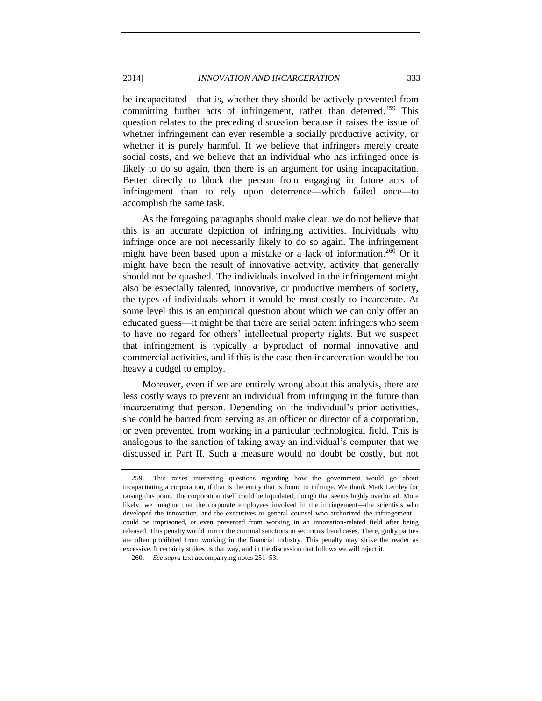be incapacitated—that is, whether they should be actively prevented from committing further acts of infringement, rather than deterred.<sup>259</sup> This question relates to the preceding discussion because it raises the issue of whether infringement can ever resemble a socially productive activity, or whether it is purely harmful. If we believe that infringers merely create social costs, and we believe that an individual who has infringed once is likely to do so again, then there is an argument for using incapacitation. Better directly to block the person from engaging in future acts of infringement than to rely upon deterrence—which failed once—to accomplish the same task.

As the foregoing paragraphs should make clear, we do not believe that this is an accurate depiction of infringing activities. Individuals who infringe once are not necessarily likely to do so again. The infringement might have been based upon a mistake or a lack of information.<sup>260</sup> Or it might have been the result of innovative activity, activity that generally should not be quashed. The individuals involved in the infringement might also be especially talented, innovative, or productive members of society, the types of individuals whom it would be most costly to incarcerate. At some level this is an empirical question about which we can only offer an educated guess—it might be that there are serial patent infringers who seem to have no regard for others' intellectual property rights. But we suspect that infringement is typically a byproduct of normal innovative and commercial activities, and if this is the case then incarceration would be too heavy a cudgel to employ.

Moreover, even if we are entirely wrong about this analysis, there are less costly ways to prevent an individual from infringing in the future than incarcerating that person. Depending on the individual's prior activities, she could be barred from serving as an officer or director of a corporation, or even prevented from working in a particular technological field. This is analogous to the sanction of taking away an individual's computer that we discussed in Part II. Such a measure would no doubt be costly, but not

<sup>259.</sup> This raises interesting questions regarding how the government would go about incapacitating a corporation, if that is the entity that is found to infringe. We thank Mark Lemley for raising this point. The corporation itself could be liquidated, though that seems highly overbroad. More likely, we imagine that the corporate employees involved in the infringement—the scientists who developed the innovation, and the executives or general counsel who authorized the infringement could be imprisoned, or even prevented from working in an innovation-related field after being released. This penalty would mirror the criminal sanctions in securities fraud cases. There, guilty parties are often prohibited from working in the financial industry. This penalty may strike the reader as excessive. It certainly strikes us that way, and in the discussion that follows we will reject it.

<sup>260.</sup> *See supra* text accompanying notes [251–](#page-55-0)53.